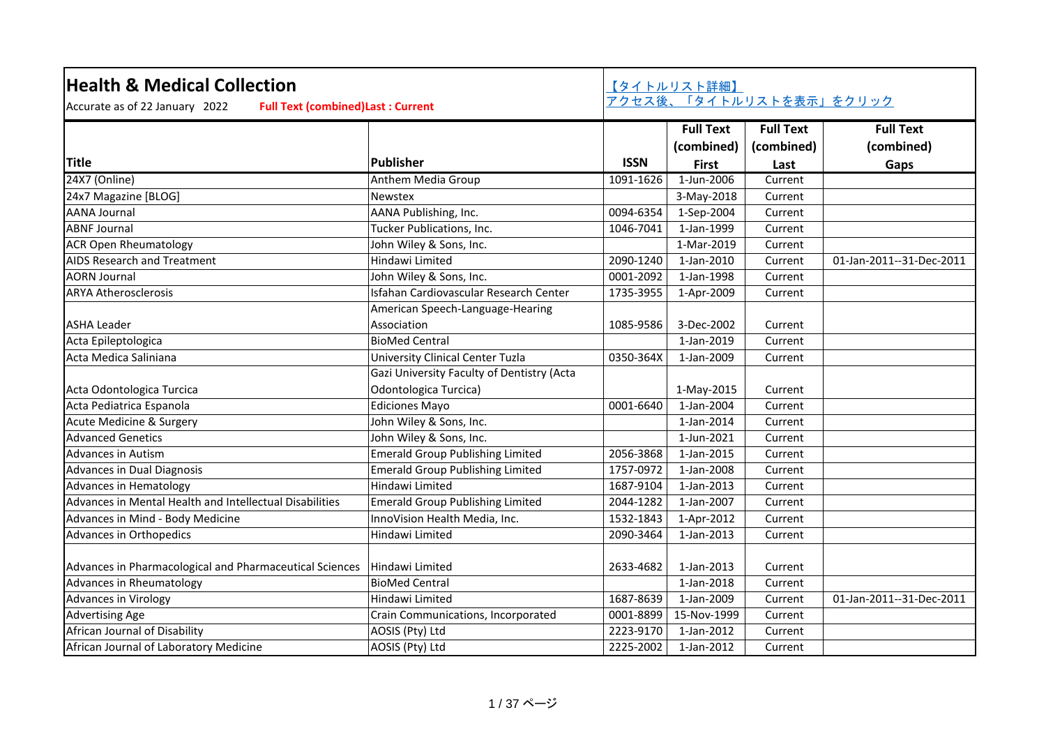| <b>Health &amp; Medical Collection</b><br>Accurate as of 22 January 2022<br><b>Full Text (combined) Last: Current</b> |                                            |             | 【タイトルリスト詳細】      | アクセス後、「タイトルリストを表示」をクリック |                          |
|-----------------------------------------------------------------------------------------------------------------------|--------------------------------------------|-------------|------------------|-------------------------|--------------------------|
|                                                                                                                       |                                            |             | <b>Full Text</b> | <b>Full Text</b>        | <b>Full Text</b>         |
|                                                                                                                       |                                            |             | (combined)       | (combined)              | (combined)               |
| <b>Title</b>                                                                                                          | <b>Publisher</b>                           | <b>ISSN</b> | <b>First</b>     | Last                    | Gaps                     |
| 24X7 (Online)                                                                                                         | Anthem Media Group                         | 1091-1626   | 1-Jun-2006       | Current                 |                          |
| 24x7 Magazine [BLOG]                                                                                                  | Newstex                                    |             | 3-May-2018       | Current                 |                          |
| <b>AANA Journal</b>                                                                                                   | AANA Publishing, Inc.                      | 0094-6354   | 1-Sep-2004       | Current                 |                          |
| <b>ABNF Journal</b>                                                                                                   | Tucker Publications, Inc.                  | 1046-7041   | 1-Jan-1999       | Current                 |                          |
| <b>ACR Open Rheumatology</b>                                                                                          | John Wiley & Sons, Inc.                    |             | 1-Mar-2019       | Current                 |                          |
| AIDS Research and Treatment                                                                                           | Hindawi Limited                            | 2090-1240   | 1-Jan-2010       | Current                 | 01-Jan-2011--31-Dec-2011 |
| <b>AORN Journal</b>                                                                                                   | John Wiley & Sons, Inc.                    | 0001-2092   | 1-Jan-1998       | Current                 |                          |
| <b>ARYA Atherosclerosis</b>                                                                                           | Isfahan Cardiovascular Research Center     | 1735-3955   | 1-Apr-2009       | Current                 |                          |
|                                                                                                                       | American Speech-Language-Hearing           |             |                  |                         |                          |
| <b>ASHA Leader</b>                                                                                                    | Association                                | 1085-9586   | 3-Dec-2002       | Current                 |                          |
| Acta Epileptologica                                                                                                   | <b>BioMed Central</b>                      |             | 1-Jan-2019       | Current                 |                          |
| Acta Medica Saliniana                                                                                                 | University Clinical Center Tuzla           | 0350-364X   | 1-Jan-2009       | Current                 |                          |
|                                                                                                                       | Gazi University Faculty of Dentistry (Acta |             |                  |                         |                          |
| Acta Odontologica Turcica                                                                                             | Odontologica Turcica)                      |             | 1-May-2015       | Current                 |                          |
| Acta Pediatrica Espanola                                                                                              | <b>Ediciones Mayo</b>                      | 0001-6640   | 1-Jan-2004       | Current                 |                          |
| Acute Medicine & Surgery                                                                                              | John Wiley & Sons, Inc.                    |             | 1-Jan-2014       | Current                 |                          |
| <b>Advanced Genetics</b>                                                                                              | John Wiley & Sons, Inc.                    |             | 1-Jun-2021       | Current                 |                          |
| <b>Advances in Autism</b>                                                                                             | <b>Emerald Group Publishing Limited</b>    | 2056-3868   | 1-Jan-2015       | Current                 |                          |
| Advances in Dual Diagnosis                                                                                            | <b>Emerald Group Publishing Limited</b>    | 1757-0972   | 1-Jan-2008       | Current                 |                          |
| Advances in Hematology                                                                                                | Hindawi Limited                            | 1687-9104   | 1-Jan-2013       | Current                 |                          |
| Advances in Mental Health and Intellectual Disabilities                                                               | <b>Emerald Group Publishing Limited</b>    | 2044-1282   | 1-Jan-2007       | Current                 |                          |
| Advances in Mind - Body Medicine                                                                                      | InnoVision Health Media, Inc.              | 1532-1843   | 1-Apr-2012       | Current                 |                          |
| Advances in Orthopedics                                                                                               | Hindawi Limited                            | 2090-3464   | 1-Jan-2013       | Current                 |                          |
| Advances in Pharmacological and Pharmaceutical Sciences                                                               | Hindawi Limited                            | 2633-4682   | 1-Jan-2013       | Current                 |                          |
| Advances in Rheumatology                                                                                              | <b>BioMed Central</b>                      |             | 1-Jan-2018       | Current                 |                          |
| <b>Advances in Virology</b>                                                                                           | Hindawi Limited                            | 1687-8639   | 1-Jan-2009       | Current                 | 01-Jan-2011--31-Dec-2011 |
| <b>Advertising Age</b>                                                                                                | Crain Communications, Incorporated         | 0001-8899   | 15-Nov-1999      | Current                 |                          |
| African Journal of Disability                                                                                         | AOSIS (Pty) Ltd                            | 2223-9170   | 1-Jan-2012       | Current                 |                          |
| African Journal of Laboratory Medicine                                                                                | AOSIS (Pty) Ltd                            | 2225-2002   | 1-Jan-2012       | Current                 |                          |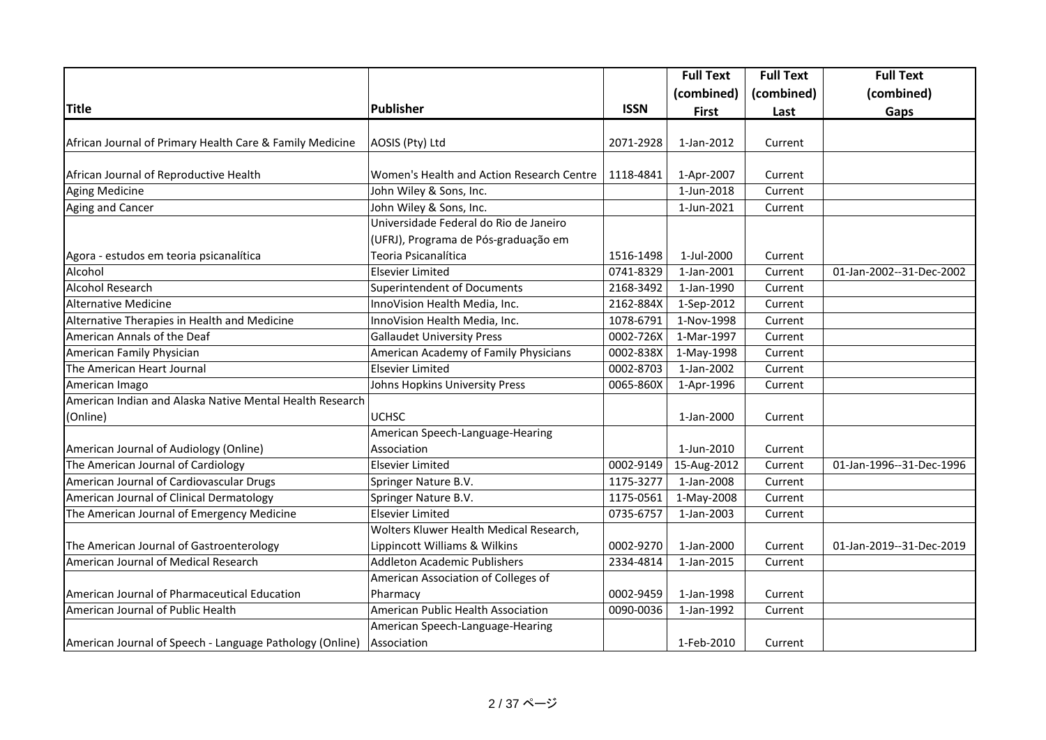|                                                          |                                           |             | <b>Full Text</b> | <b>Full Text</b> | <b>Full Text</b>         |
|----------------------------------------------------------|-------------------------------------------|-------------|------------------|------------------|--------------------------|
|                                                          |                                           |             | (combined)       | (combined)       | (combined)               |
| <b>Title</b>                                             | <b>Publisher</b>                          | <b>ISSN</b> | <b>First</b>     | Last             | Gaps                     |
|                                                          |                                           |             |                  |                  |                          |
| African Journal of Primary Health Care & Family Medicine | AOSIS (Pty) Ltd                           | 2071-2928   | 1-Jan-2012       | Current          |                          |
|                                                          |                                           |             |                  |                  |                          |
| African Journal of Reproductive Health                   | Women's Health and Action Research Centre | 1118-4841   | 1-Apr-2007       | Current          |                          |
| <b>Aging Medicine</b>                                    | John Wiley & Sons, Inc.                   |             | 1-Jun-2018       | Current          |                          |
| Aging and Cancer                                         | John Wiley & Sons, Inc.                   |             | 1-Jun-2021       | Current          |                          |
|                                                          | Universidade Federal do Rio de Janeiro    |             |                  |                  |                          |
|                                                          | (UFRJ), Programa de Pós-graduação em      |             |                  |                  |                          |
| Agora - estudos em teoria psicanalítica                  | Teoria Psicanalítica                      | 1516-1498   | 1-Jul-2000       | Current          |                          |
| Alcohol                                                  | <b>Elsevier Limited</b>                   | 0741-8329   | 1-Jan-2001       | Current          | 01-Jan-2002--31-Dec-2002 |
| <b>Alcohol Research</b>                                  | Superintendent of Documents               | 2168-3492   | 1-Jan-1990       | Current          |                          |
| <b>Alternative Medicine</b>                              | InnoVision Health Media, Inc.             | 2162-884X   | 1-Sep-2012       | Current          |                          |
| Alternative Therapies in Health and Medicine             | InnoVision Health Media, Inc.             | 1078-6791   | 1-Nov-1998       | Current          |                          |
| American Annals of the Deaf                              | <b>Gallaudet University Press</b>         | 0002-726X   | 1-Mar-1997       | Current          |                          |
| American Family Physician                                | American Academy of Family Physicians     | 0002-838X   | 1-May-1998       | Current          |                          |
| The American Heart Journal                               | <b>Elsevier Limited</b>                   | 0002-8703   | 1-Jan-2002       | Current          |                          |
| American Imago                                           | Johns Hopkins University Press            | 0065-860X   | 1-Apr-1996       | Current          |                          |
| American Indian and Alaska Native Mental Health Research |                                           |             |                  |                  |                          |
| (Online)                                                 | <b>UCHSC</b>                              |             | 1-Jan-2000       | Current          |                          |
|                                                          | American Speech-Language-Hearing          |             |                  |                  |                          |
| American Journal of Audiology (Online)                   | Association                               |             | 1-Jun-2010       | Current          |                          |
| The American Journal of Cardiology                       | <b>Elsevier Limited</b>                   | 0002-9149   | 15-Aug-2012      | Current          | 01-Jan-1996--31-Dec-1996 |
| American Journal of Cardiovascular Drugs                 | Springer Nature B.V.                      | 1175-3277   | 1-Jan-2008       | Current          |                          |
| American Journal of Clinical Dermatology                 | Springer Nature B.V.                      | 1175-0561   | 1-May-2008       | Current          |                          |
| The American Journal of Emergency Medicine               | <b>Elsevier Limited</b>                   | 0735-6757   | 1-Jan-2003       | Current          |                          |
|                                                          | Wolters Kluwer Health Medical Research,   |             |                  |                  |                          |
| The American Journal of Gastroenterology                 | Lippincott Williams & Wilkins             | 0002-9270   | 1-Jan-2000       | Current          | 01-Jan-2019--31-Dec-2019 |
| American Journal of Medical Research                     | <b>Addleton Academic Publishers</b>       | 2334-4814   | 1-Jan-2015       | Current          |                          |
|                                                          | American Association of Colleges of       |             |                  |                  |                          |
| American Journal of Pharmaceutical Education             | Pharmacy                                  | 0002-9459   | 1-Jan-1998       | Current          |                          |
| American Journal of Public Health                        | American Public Health Association        | 0090-0036   | 1-Jan-1992       | Current          |                          |
|                                                          | American Speech-Language-Hearing          |             |                  |                  |                          |
| American Journal of Speech - Language Pathology (Online) | Association                               |             | 1-Feb-2010       | Current          |                          |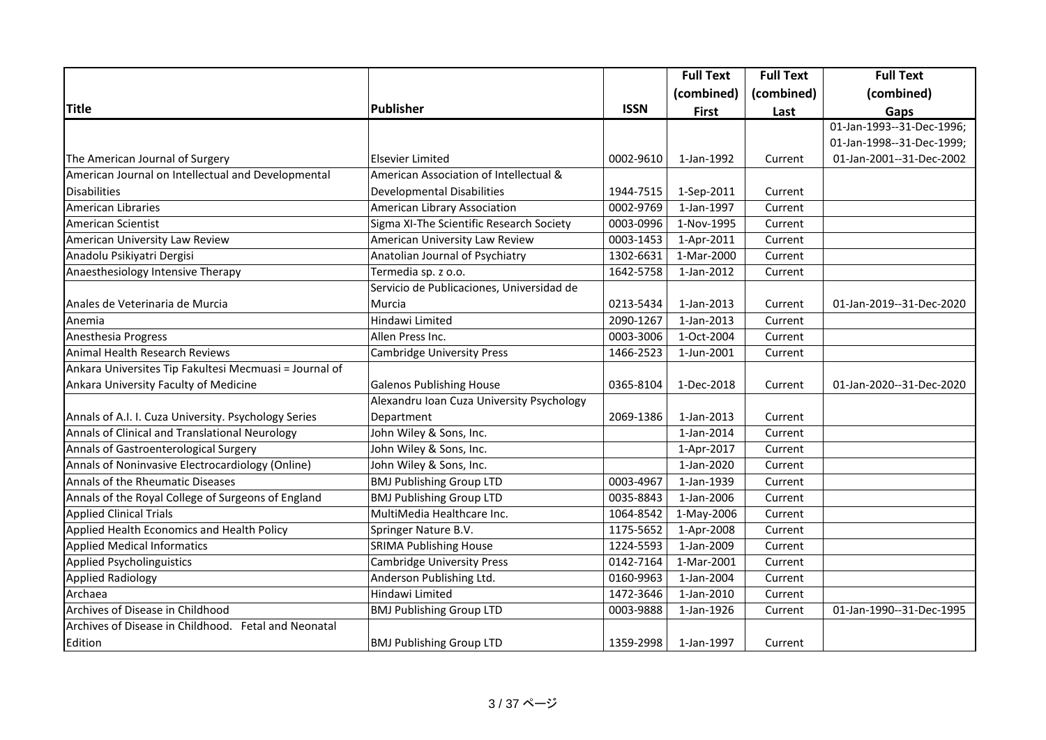|                                                        |                                           |             | <b>Full Text</b> | <b>Full Text</b> | <b>Full Text</b>          |
|--------------------------------------------------------|-------------------------------------------|-------------|------------------|------------------|---------------------------|
|                                                        |                                           |             | (combined)       | (combined)       | (combined)                |
| <b>Title</b>                                           | Publisher                                 | <b>ISSN</b> | <b>First</b>     | Last             | Gaps                      |
|                                                        |                                           |             |                  |                  | 01-Jan-1993--31-Dec-1996; |
|                                                        |                                           |             |                  |                  | 01-Jan-1998--31-Dec-1999; |
| The American Journal of Surgery                        | <b>Elsevier Limited</b>                   | 0002-9610   | 1-Jan-1992       | Current          | 01-Jan-2001--31-Dec-2002  |
| American Journal on Intellectual and Developmental     | American Association of Intellectual &    |             |                  |                  |                           |
| <b>Disabilities</b>                                    | <b>Developmental Disabilities</b>         | 1944-7515   | 1-Sep-2011       | Current          |                           |
| American Libraries                                     | American Library Association              | 0002-9769   | 1-Jan-1997       | Current          |                           |
| American Scientist                                     | Sigma XI-The Scientific Research Society  | 0003-0996   | 1-Nov-1995       | Current          |                           |
| American University Law Review                         | American University Law Review            | 0003-1453   | 1-Apr-2011       | Current          |                           |
| Anadolu Psikiyatri Dergisi                             | Anatolian Journal of Psychiatry           | 1302-6631   | 1-Mar-2000       | Current          |                           |
| Anaesthesiology Intensive Therapy                      | Termedia sp. z o.o.                       | 1642-5758   | 1-Jan-2012       | Current          |                           |
|                                                        | Servicio de Publicaciones, Universidad de |             |                  |                  |                           |
| Anales de Veterinaria de Murcia                        | Murcia                                    | 0213-5434   | 1-Jan-2013       | Current          | 01-Jan-2019--31-Dec-2020  |
| Anemia                                                 | <b>Hindawi Limited</b>                    | 2090-1267   | 1-Jan-2013       | Current          |                           |
| Anesthesia Progress                                    | Allen Press Inc.                          | 0003-3006   | 1-Oct-2004       | Current          |                           |
| Animal Health Research Reviews                         | <b>Cambridge University Press</b>         | 1466-2523   | 1-Jun-2001       | Current          |                           |
| Ankara Universites Tip Fakultesi Mecmuasi = Journal of |                                           |             |                  |                  |                           |
| Ankara University Faculty of Medicine                  | <b>Galenos Publishing House</b>           | 0365-8104   | 1-Dec-2018       | Current          | 01-Jan-2020--31-Dec-2020  |
|                                                        | Alexandru Ioan Cuza University Psychology |             |                  |                  |                           |
| Annals of A.I. I. Cuza University. Psychology Series   | Department                                | 2069-1386   | 1-Jan-2013       | Current          |                           |
| Annals of Clinical and Translational Neurology         | John Wiley & Sons, Inc.                   |             | 1-Jan-2014       | Current          |                           |
| Annals of Gastroenterological Surgery                  | John Wiley & Sons, Inc.                   |             | 1-Apr-2017       | Current          |                           |
| Annals of Noninvasive Electrocardiology (Online)       | John Wiley & Sons, Inc.                   |             | 1-Jan-2020       | Current          |                           |
| Annals of the Rheumatic Diseases                       | <b>BMJ Publishing Group LTD</b>           | 0003-4967   | 1-Jan-1939       | Current          |                           |
| Annals of the Royal College of Surgeons of England     | <b>BMJ Publishing Group LTD</b>           | 0035-8843   | 1-Jan-2006       | Current          |                           |
| <b>Applied Clinical Trials</b>                         | MultiMedia Healthcare Inc.                | 1064-8542   | 1-May-2006       | Current          |                           |
| Applied Health Economics and Health Policy             | Springer Nature B.V.                      | 1175-5652   | 1-Apr-2008       | Current          |                           |
| <b>Applied Medical Informatics</b>                     | <b>SRIMA Publishing House</b>             | 1224-5593   | 1-Jan-2009       | Current          |                           |
| <b>Applied Psycholinguistics</b>                       | <b>Cambridge University Press</b>         | 0142-7164   | 1-Mar-2001       | Current          |                           |
| <b>Applied Radiology</b>                               | Anderson Publishing Ltd.                  | 0160-9963   | 1-Jan-2004       | Current          |                           |
| Archaea                                                | Hindawi Limited                           | 1472-3646   | 1-Jan-2010       | Current          |                           |
| Archives of Disease in Childhood                       | <b>BMJ Publishing Group LTD</b>           | 0003-9888   | 1-Jan-1926       | Current          | 01-Jan-1990--31-Dec-1995  |
| Archives of Disease in Childhood. Fetal and Neonatal   |                                           |             |                  |                  |                           |
| Edition                                                | <b>BMJ Publishing Group LTD</b>           | 1359-2998   | 1-Jan-1997       | Current          |                           |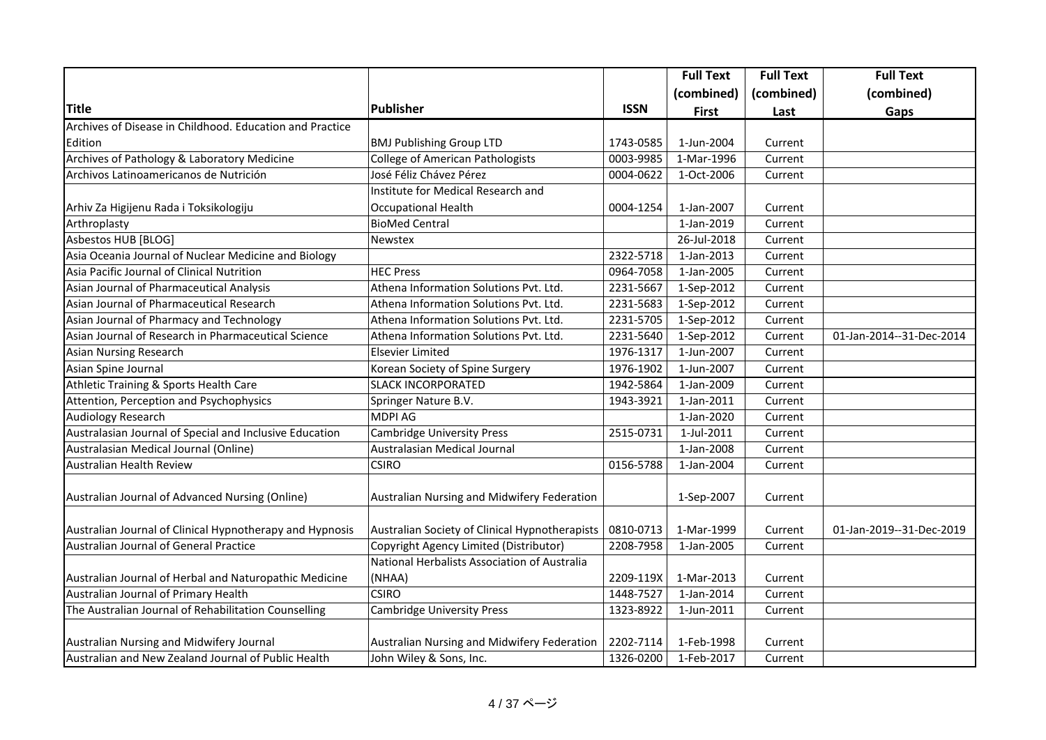|                                                          |                                                |             | <b>Full Text</b> | <b>Full Text</b> | <b>Full Text</b>         |
|----------------------------------------------------------|------------------------------------------------|-------------|------------------|------------------|--------------------------|
|                                                          |                                                |             | (combined)       | (combined)       | (combined)               |
| <b>Title</b>                                             | <b>Publisher</b>                               | <b>ISSN</b> | <b>First</b>     | Last             | Gaps                     |
| Archives of Disease in Childhood. Education and Practice |                                                |             |                  |                  |                          |
| Edition                                                  | <b>BMJ Publishing Group LTD</b>                | 1743-0585   | 1-Jun-2004       | Current          |                          |
| Archives of Pathology & Laboratory Medicine              | <b>College of American Pathologists</b>        | 0003-9985   | 1-Mar-1996       | Current          |                          |
| Archivos Latinoamericanos de Nutrición                   | José Féliz Chávez Pérez                        | 0004-0622   | 1-Oct-2006       | Current          |                          |
|                                                          | Institute for Medical Research and             |             |                  |                  |                          |
| Arhiv Za Higijenu Rada i Toksikologiju                   | <b>Occupational Health</b>                     | 0004-1254   | 1-Jan-2007       | Current          |                          |
| Arthroplasty                                             | <b>BioMed Central</b>                          |             | 1-Jan-2019       | Current          |                          |
| Asbestos HUB [BLOG]                                      | Newstex                                        |             | 26-Jul-2018      | Current          |                          |
| Asia Oceania Journal of Nuclear Medicine and Biology     |                                                | 2322-5718   | 1-Jan-2013       | Current          |                          |
| Asia Pacific Journal of Clinical Nutrition               | <b>HEC Press</b>                               | 0964-7058   | 1-Jan-2005       | Current          |                          |
| Asian Journal of Pharmaceutical Analysis                 | Athena Information Solutions Pvt. Ltd.         | 2231-5667   | 1-Sep-2012       | Current          |                          |
| Asian Journal of Pharmaceutical Research                 | Athena Information Solutions Pvt. Ltd.         | 2231-5683   | 1-Sep-2012       | Current          |                          |
| Asian Journal of Pharmacy and Technology                 | Athena Information Solutions Pvt. Ltd.         | 2231-5705   | 1-Sep-2012       | Current          |                          |
| Asian Journal of Research in Pharmaceutical Science      | Athena Information Solutions Pvt. Ltd.         | 2231-5640   | 1-Sep-2012       | Current          | 01-Jan-2014--31-Dec-2014 |
| Asian Nursing Research                                   | <b>Elsevier Limited</b>                        | 1976-1317   | 1-Jun-2007       | Current          |                          |
| Asian Spine Journal                                      | Korean Society of Spine Surgery                | 1976-1902   | 1-Jun-2007       | Current          |                          |
| Athletic Training & Sports Health Care                   | <b>SLACK INCORPORATED</b>                      | 1942-5864   | 1-Jan-2009       | Current          |                          |
| Attention, Perception and Psychophysics                  | Springer Nature B.V.                           | 1943-3921   | 1-Jan-2011       | Current          |                          |
| Audiology Research                                       | <b>MDPI AG</b>                                 |             | 1-Jan-2020       | Current          |                          |
| Australasian Journal of Special and Inclusive Education  | <b>Cambridge University Press</b>              | 2515-0731   | 1-Jul-2011       | Current          |                          |
| Australasian Medical Journal (Online)                    | Australasian Medical Journal                   |             | 1-Jan-2008       | Current          |                          |
| Australian Health Review                                 | <b>CSIRO</b>                                   | 0156-5788   | 1-Jan-2004       | Current          |                          |
|                                                          |                                                |             |                  |                  |                          |
| Australian Journal of Advanced Nursing (Online)          | Australian Nursing and Midwifery Federation    |             | 1-Sep-2007       | Current          |                          |
|                                                          |                                                |             |                  |                  |                          |
| Australian Journal of Clinical Hypnotherapy and Hypnosis | Australian Society of Clinical Hypnotherapists | 0810-0713   | 1-Mar-1999       | Current          | 01-Jan-2019--31-Dec-2019 |
| Australian Journal of General Practice                   | Copyright Agency Limited (Distributor)         | 2208-7958   | 1-Jan-2005       | Current          |                          |
|                                                          | National Herbalists Association of Australia   |             |                  |                  |                          |
| Australian Journal of Herbal and Naturopathic Medicine   | (NHAA)                                         | 2209-119X   | 1-Mar-2013       | Current          |                          |
| Australian Journal of Primary Health                     | <b>CSIRO</b>                                   | 1448-7527   | 1-Jan-2014       | Current          |                          |
| The Australian Journal of Rehabilitation Counselling     | <b>Cambridge University Press</b>              | 1323-8922   | 1-Jun-2011       | Current          |                          |
|                                                          |                                                |             |                  |                  |                          |
| Australian Nursing and Midwifery Journal                 | Australian Nursing and Midwifery Federation    | 2202-7114   | 1-Feb-1998       | Current          |                          |
| Australian and New Zealand Journal of Public Health      | John Wiley & Sons, Inc.                        | 1326-0200   | 1-Feb-2017       | Current          |                          |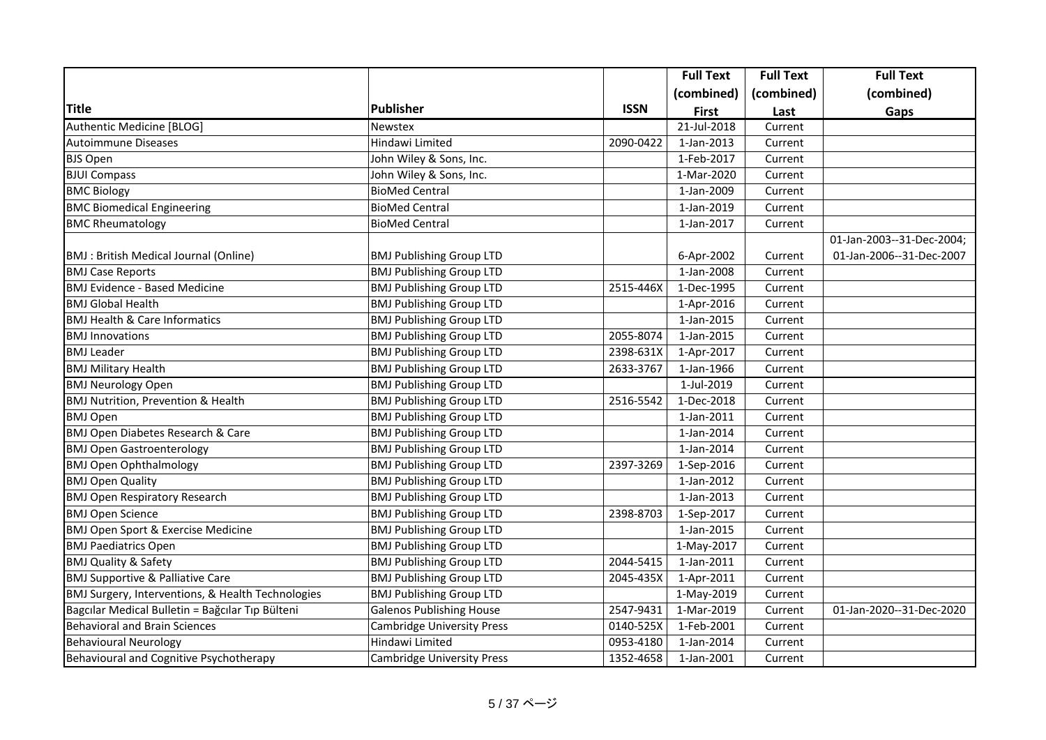|                                                   |                                   |             | <b>Full Text</b> | <b>Full Text</b> | <b>Full Text</b>          |
|---------------------------------------------------|-----------------------------------|-------------|------------------|------------------|---------------------------|
|                                                   |                                   |             | (combined)       | (combined)       | (combined)                |
| <b>Title</b>                                      | <b>Publisher</b>                  | <b>ISSN</b> | <b>First</b>     | Last             | Gaps                      |
| Authentic Medicine [BLOG]                         | <b>Newstex</b>                    |             | 21-Jul-2018      | Current          |                           |
| <b>Autoimmune Diseases</b>                        | Hindawi Limited                   | 2090-0422   | 1-Jan-2013       | Current          |                           |
| <b>BJS Open</b>                                   | John Wiley & Sons, Inc.           |             | 1-Feb-2017       | Current          |                           |
| <b>BJUI Compass</b>                               | John Wiley & Sons, Inc.           |             | 1-Mar-2020       | Current          |                           |
| <b>BMC Biology</b>                                | <b>BioMed Central</b>             |             | 1-Jan-2009       | Current          |                           |
| <b>BMC Biomedical Engineering</b>                 | <b>BioMed Central</b>             |             | 1-Jan-2019       | Current          |                           |
| <b>BMC Rheumatology</b>                           | <b>BioMed Central</b>             |             | 1-Jan-2017       | Current          |                           |
|                                                   |                                   |             |                  |                  | 01-Jan-2003--31-Dec-2004; |
| BMJ: British Medical Journal (Online)             | <b>BMJ Publishing Group LTD</b>   |             | 6-Apr-2002       | Current          | 01-Jan-2006--31-Dec-2007  |
| <b>BMJ Case Reports</b>                           | <b>BMJ Publishing Group LTD</b>   |             | 1-Jan-2008       | Current          |                           |
| <b>BMJ Evidence - Based Medicine</b>              | <b>BMJ Publishing Group LTD</b>   | 2515-446X   | 1-Dec-1995       | Current          |                           |
| <b>BMJ Global Health</b>                          | <b>BMJ Publishing Group LTD</b>   |             | 1-Apr-2016       | Current          |                           |
| <b>BMJ Health &amp; Care Informatics</b>          | <b>BMJ Publishing Group LTD</b>   |             | 1-Jan-2015       | Current          |                           |
| <b>BMJ Innovations</b>                            | <b>BMJ Publishing Group LTD</b>   | 2055-8074   | 1-Jan-2015       | Current          |                           |
| <b>BMJ Leader</b>                                 | <b>BMJ Publishing Group LTD</b>   | 2398-631X   | 1-Apr-2017       | Current          |                           |
| <b>BMJ Military Health</b>                        | <b>BMJ Publishing Group LTD</b>   | 2633-3767   | 1-Jan-1966       | Current          |                           |
| <b>BMJ Neurology Open</b>                         | <b>BMJ Publishing Group LTD</b>   |             | 1-Jul-2019       | Current          |                           |
| BMJ Nutrition, Prevention & Health                | <b>BMJ Publishing Group LTD</b>   | 2516-5542   | 1-Dec-2018       | Current          |                           |
| <b>BMJ Open</b>                                   | <b>BMJ Publishing Group LTD</b>   |             | 1-Jan-2011       | Current          |                           |
| BMJ Open Diabetes Research & Care                 | <b>BMJ Publishing Group LTD</b>   |             | 1-Jan-2014       | Current          |                           |
| <b>BMJ Open Gastroenterology</b>                  | <b>BMJ Publishing Group LTD</b>   |             | 1-Jan-2014       | Current          |                           |
| <b>BMJ Open Ophthalmology</b>                     | <b>BMJ Publishing Group LTD</b>   | 2397-3269   | 1-Sep-2016       | Current          |                           |
| <b>BMJ Open Quality</b>                           | <b>BMJ Publishing Group LTD</b>   |             | 1-Jan-2012       | Current          |                           |
| <b>BMJ Open Respiratory Research</b>              | <b>BMJ Publishing Group LTD</b>   |             | 1-Jan-2013       | Current          |                           |
| <b>BMJ Open Science</b>                           | <b>BMJ Publishing Group LTD</b>   | 2398-8703   | 1-Sep-2017       | Current          |                           |
| BMJ Open Sport & Exercise Medicine                | <b>BMJ Publishing Group LTD</b>   |             | 1-Jan-2015       | Current          |                           |
| <b>BMJ Paediatrics Open</b>                       | <b>BMJ Publishing Group LTD</b>   |             | 1-May-2017       | Current          |                           |
| <b>BMJ Quality &amp; Safety</b>                   | <b>BMJ Publishing Group LTD</b>   | 2044-5415   | 1-Jan-2011       | Current          |                           |
| <b>BMJ Supportive &amp; Palliative Care</b>       | <b>BMJ Publishing Group LTD</b>   | 2045-435X   | 1-Apr-2011       | Current          |                           |
| BMJ Surgery, Interventions, & Health Technologies | <b>BMJ Publishing Group LTD</b>   |             | 1-May-2019       | Current          |                           |
| Bagcılar Medical Bulletin = Bağcılar Tıp Bülteni  | <b>Galenos Publishing House</b>   | 2547-9431   | 1-Mar-2019       | Current          | 01-Jan-2020--31-Dec-2020  |
| <b>Behavioral and Brain Sciences</b>              | <b>Cambridge University Press</b> | 0140-525X   | 1-Feb-2001       | Current          |                           |
| <b>Behavioural Neurology</b>                      | Hindawi Limited                   | 0953-4180   | 1-Jan-2014       | Current          |                           |
| Behavioural and Cognitive Psychotherapy           | <b>Cambridge University Press</b> | 1352-4658   | 1-Jan-2001       | Current          |                           |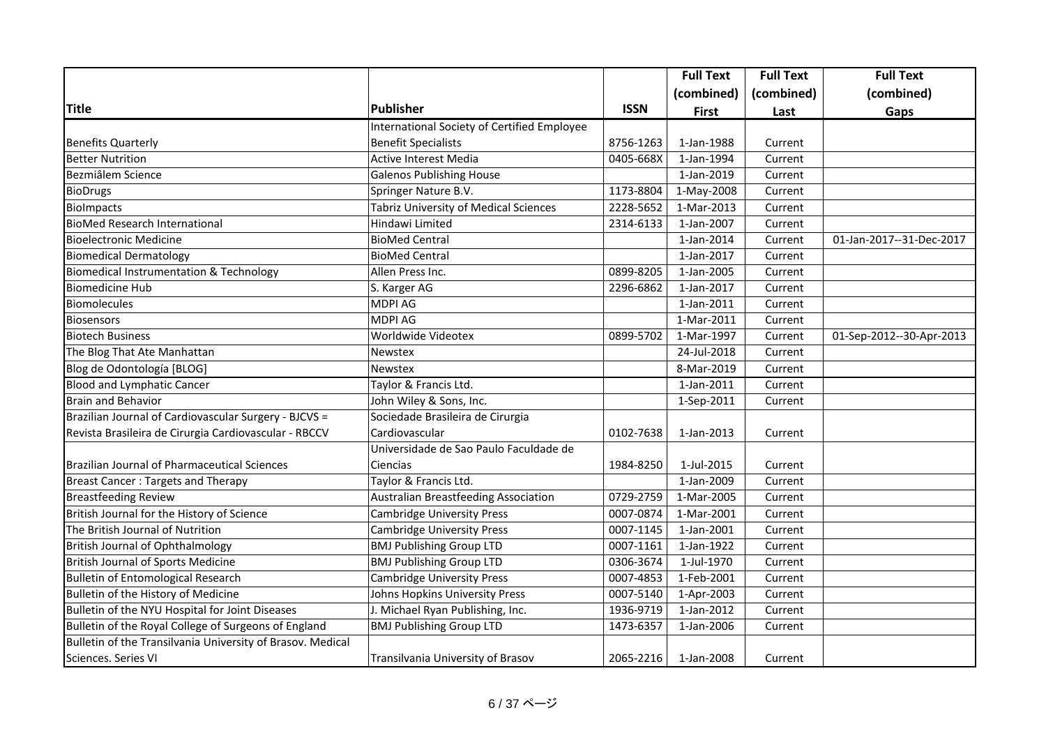|                                                            |                                              |             | <b>Full Text</b> | <b>Full Text</b> | <b>Full Text</b>         |
|------------------------------------------------------------|----------------------------------------------|-------------|------------------|------------------|--------------------------|
|                                                            |                                              |             | (combined)       | (combined)       | (combined)               |
| <b>Title</b>                                               | <b>Publisher</b>                             | <b>ISSN</b> | <b>First</b>     | Last             | Gaps                     |
|                                                            | International Society of Certified Employee  |             |                  |                  |                          |
| <b>Benefits Quarterly</b>                                  | <b>Benefit Specialists</b>                   | 8756-1263   | 1-Jan-1988       | Current          |                          |
| <b>Better Nutrition</b>                                    | Active Interest Media                        | 0405-668X   | 1-Jan-1994       | Current          |                          |
| Bezmiâlem Science                                          | <b>Galenos Publishing House</b>              |             | 1-Jan-2019       | Current          |                          |
| <b>BioDrugs</b>                                            | Springer Nature B.V.                         | 1173-8804   | 1-May-2008       | Current          |                          |
| <b>BioImpacts</b>                                          | <b>Tabriz University of Medical Sciences</b> | 2228-5652   | 1-Mar-2013       | Current          |                          |
| <b>BioMed Research International</b>                       | Hindawi Limited                              | 2314-6133   | 1-Jan-2007       | Current          |                          |
| <b>Bioelectronic Medicine</b>                              | <b>BioMed Central</b>                        |             | 1-Jan-2014       | Current          | 01-Jan-2017--31-Dec-2017 |
| <b>Biomedical Dermatology</b>                              | <b>BioMed Central</b>                        |             | 1-Jan-2017       | Current          |                          |
| <b>Biomedical Instrumentation &amp; Technology</b>         | Allen Press Inc.                             | 0899-8205   | 1-Jan-2005       | Current          |                          |
| <b>Biomedicine Hub</b>                                     | S. Karger AG                                 | 2296-6862   | 1-Jan-2017       | Current          |                          |
| Biomolecules                                               | <b>MDPI AG</b>                               |             | 1-Jan-2011       | Current          |                          |
| <b>Biosensors</b>                                          | <b>MDPI AG</b>                               |             | 1-Mar-2011       | Current          |                          |
| <b>Biotech Business</b>                                    | Worldwide Videotex                           | 0899-5702   | 1-Mar-1997       | Current          | 01-Sep-2012--30-Apr-2013 |
| The Blog That Ate Manhattan                                | Newstex                                      |             | 24-Jul-2018      | Current          |                          |
| Blog de Odontología [BLOG]                                 | Newstex                                      |             | 8-Mar-2019       | Current          |                          |
| <b>Blood and Lymphatic Cancer</b>                          | Taylor & Francis Ltd.                        |             | 1-Jan-2011       | Current          |                          |
| <b>Brain and Behavior</b>                                  | John Wiley & Sons, Inc.                      |             | 1-Sep-2011       | Current          |                          |
| Brazilian Journal of Cardiovascular Surgery - BJCVS =      | Sociedade Brasileira de Cirurgia             |             |                  |                  |                          |
| Revista Brasileira de Cirurgia Cardiovascular - RBCCV      | Cardiovascular                               | 0102-7638   | 1-Jan-2013       | Current          |                          |
|                                                            | Universidade de Sao Paulo Faculdade de       |             |                  |                  |                          |
| Brazilian Journal of Pharmaceutical Sciences               | Ciencias                                     | 1984-8250   | 1-Jul-2015       | Current          |                          |
| <b>Breast Cancer: Targets and Therapy</b>                  | Taylor & Francis Ltd.                        |             | 1-Jan-2009       | Current          |                          |
| <b>Breastfeeding Review</b>                                | Australian Breastfeeding Association         | 0729-2759   | 1-Mar-2005       | Current          |                          |
| British Journal for the History of Science                 | <b>Cambridge University Press</b>            | 0007-0874   | 1-Mar-2001       | Current          |                          |
| The British Journal of Nutrition                           | <b>Cambridge University Press</b>            | 0007-1145   | 1-Jan-2001       | Current          |                          |
| British Journal of Ophthalmology                           | <b>BMJ Publishing Group LTD</b>              | 0007-1161   | 1-Jan-1922       | Current          |                          |
| <b>British Journal of Sports Medicine</b>                  | <b>BMJ Publishing Group LTD</b>              | 0306-3674   | 1-Jul-1970       | Current          |                          |
| <b>Bulletin of Entomological Research</b>                  | <b>Cambridge University Press</b>            | 0007-4853   | 1-Feb-2001       | Current          |                          |
| Bulletin of the History of Medicine                        | Johns Hopkins University Press               | 0007-5140   | 1-Apr-2003       | Current          |                          |
| Bulletin of the NYU Hospital for Joint Diseases            | J. Michael Ryan Publishing, Inc.             | 1936-9719   | 1-Jan-2012       | Current          |                          |
| Bulletin of the Royal College of Surgeons of England       | <b>BMJ Publishing Group LTD</b>              | 1473-6357   | 1-Jan-2006       | Current          |                          |
| Bulletin of the Transilvania University of Brasov. Medical |                                              |             |                  |                  |                          |
| Sciences. Series VI                                        | Transilvania University of Brasov            | 2065-2216   | 1-Jan-2008       | Current          |                          |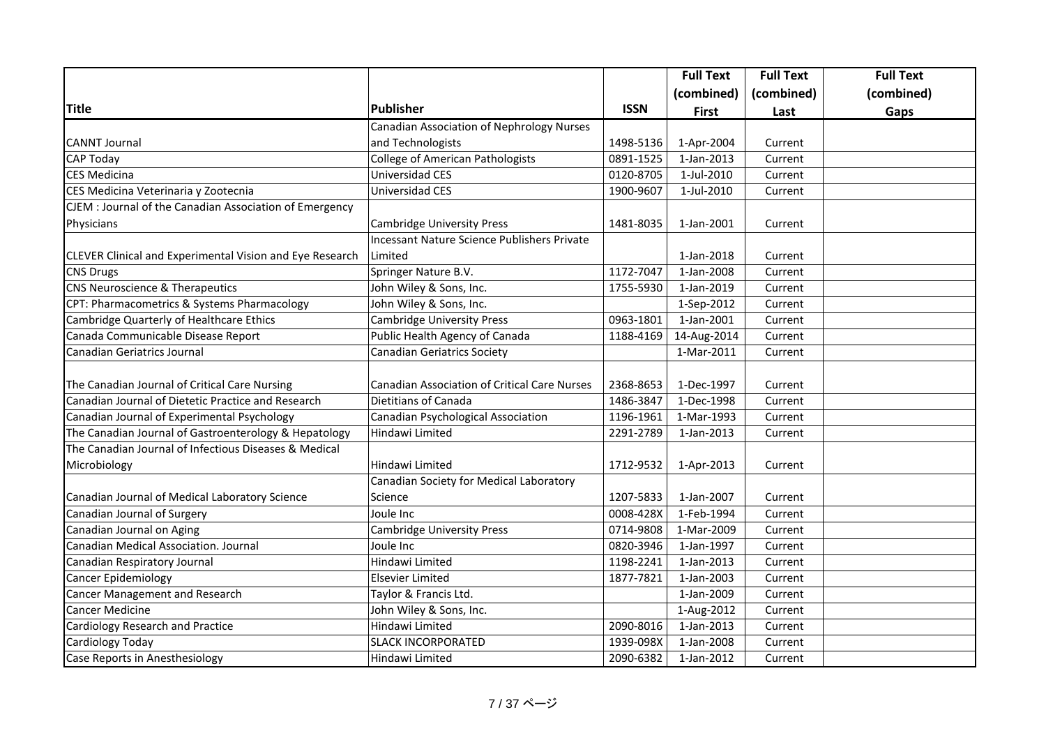|                                                          |                                                     |             | <b>Full Text</b>         | <b>Full Text</b> | <b>Full Text</b> |
|----------------------------------------------------------|-----------------------------------------------------|-------------|--------------------------|------------------|------------------|
|                                                          |                                                     |             | (combined)               | (combined)       | (combined)       |
| <b>Title</b>                                             | <b>Publisher</b>                                    | <b>ISSN</b> | <b>First</b>             | Last             | Gaps             |
|                                                          | <b>Canadian Association of Nephrology Nurses</b>    |             |                          |                  |                  |
| <b>CANNT Journal</b>                                     | and Technologists                                   | 1498-5136   | 1-Apr-2004               | Current          |                  |
| <b>CAP Today</b>                                         | <b>College of American Pathologists</b>             | 0891-1525   | 1-Jan-2013               | Current          |                  |
| <b>CES Medicina</b>                                      | Universidad CES                                     | 0120-8705   | 1-Jul-2010               | Current          |                  |
| CES Medicina Veterinaria y Zootecnia                     | Universidad CES                                     | 1900-9607   | 1-Jul-2010               | Current          |                  |
| CJEM : Journal of the Canadian Association of Emergency  |                                                     |             |                          |                  |                  |
| Physicians                                               | <b>Cambridge University Press</b>                   | 1481-8035   | 1-Jan-2001               | Current          |                  |
|                                                          | Incessant Nature Science Publishers Private         |             |                          |                  |                  |
| CLEVER Clinical and Experimental Vision and Eye Research | Limited                                             |             | 1-Jan-2018               | Current          |                  |
| <b>CNS Drugs</b>                                         | Springer Nature B.V.                                | 1172-7047   | 1-Jan-2008               | Current          |                  |
| CNS Neuroscience & Therapeutics                          | John Wiley & Sons, Inc.                             | 1755-5930   | 1-Jan-2019               | Current          |                  |
| CPT: Pharmacometrics & Systems Pharmacology              | John Wiley & Sons, Inc.                             |             | 1-Sep-2012               | Current          |                  |
| Cambridge Quarterly of Healthcare Ethics                 | <b>Cambridge University Press</b>                   | 0963-1801   | 1-Jan-2001               | Current          |                  |
| Canada Communicable Disease Report                       | Public Health Agency of Canada                      | 1188-4169   | 14-Aug-2014              | Current          |                  |
| Canadian Geriatrics Journal                              | <b>Canadian Geriatrics Society</b>                  |             | 1-Mar-2011               | Current          |                  |
|                                                          |                                                     |             |                          |                  |                  |
| The Canadian Journal of Critical Care Nursing            | <b>Canadian Association of Critical Care Nurses</b> | 2368-8653   | 1-Dec-1997               | Current          |                  |
| Canadian Journal of Dietetic Practice and Research       | Dietitians of Canada                                | 1486-3847   | 1-Dec-1998               | Current          |                  |
| Canadian Journal of Experimental Psychology              | Canadian Psychological Association                  | 1196-1961   | 1-Mar-1993               | Current          |                  |
| The Canadian Journal of Gastroenterology & Hepatology    | Hindawi Limited                                     | 2291-2789   | 1-Jan-2013               | Current          |                  |
| The Canadian Journal of Infectious Diseases & Medical    |                                                     |             |                          |                  |                  |
| Microbiology                                             | Hindawi Limited                                     | 1712-9532   | 1-Apr-2013               | Current          |                  |
|                                                          | Canadian Society for Medical Laboratory             |             |                          |                  |                  |
| Canadian Journal of Medical Laboratory Science           | Science                                             | 1207-5833   | 1-Jan-2007               | Current          |                  |
| Canadian Journal of Surgery                              | Joule Inc                                           | 0008-428X   | $\overline{1}$ -Feb-1994 | Current          |                  |
| Canadian Journal on Aging                                | <b>Cambridge University Press</b>                   | 0714-9808   | 1-Mar-2009               | Current          |                  |
| Canadian Medical Association. Journal                    | Joule Inc                                           | 0820-3946   | $\overline{1}$ -Jan-1997 | Current          |                  |
| Canadian Respiratory Journal                             | Hindawi Limited                                     | 1198-2241   | 1-Jan-2013               | Current          |                  |
| Cancer Epidemiology                                      | Elsevier Limited                                    | 1877-7821   | 1-Jan-2003               | Current          |                  |
| Cancer Management and Research                           | Taylor & Francis Ltd.                               |             | 1-Jan-2009               | Current          |                  |
| <b>Cancer Medicine</b>                                   | John Wiley & Sons, Inc.                             |             | 1-Aug-2012               | Current          |                  |
| Cardiology Research and Practice                         | Hindawi Limited                                     | 2090-8016   | 1-Jan-2013               | Current          |                  |
| Cardiology Today                                         | <b>SLACK INCORPORATED</b>                           | 1939-098X   | 1-Jan-2008               | Current          |                  |
| Case Reports in Anesthesiology                           | Hindawi Limited                                     | 2090-6382   | 1-Jan-2012               | Current          |                  |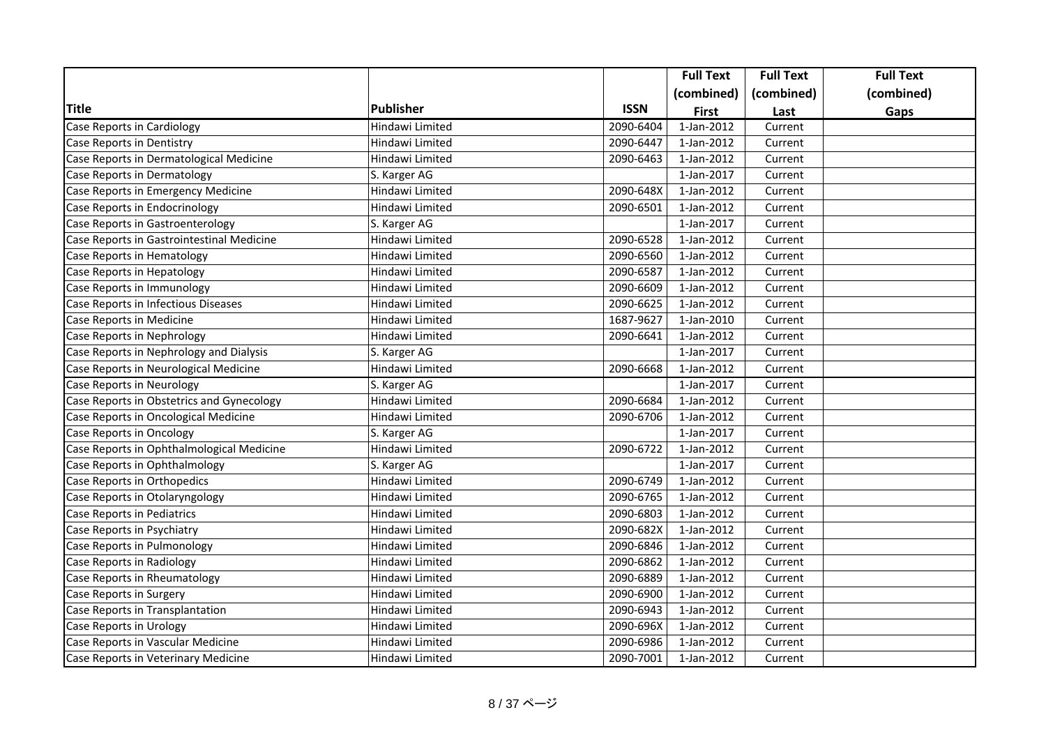|                                           |                  |             | <b>Full Text</b> | <b>Full Text</b> | <b>Full Text</b> |
|-------------------------------------------|------------------|-------------|------------------|------------------|------------------|
|                                           |                  |             | (combined)       | (combined)       | (combined)       |
| Title                                     | <b>Publisher</b> | <b>ISSN</b> | <b>First</b>     | Last             | Gaps             |
| Case Reports in Cardiology                | Hindawi Limited  | 2090-6404   | $1$ -Jan-2012    | Current          |                  |
| Case Reports in Dentistry                 | Hindawi Limited  | 2090-6447   | 1-Jan-2012       | Current          |                  |
| Case Reports in Dermatological Medicine   | Hindawi Limited  | 2090-6463   | 1-Jan-2012       | Current          |                  |
| Case Reports in Dermatology               | S. Karger AG     |             | 1-Jan-2017       | Current          |                  |
| Case Reports in Emergency Medicine        | Hindawi Limited  | 2090-648X   | 1-Jan-2012       | Current          |                  |
| Case Reports in Endocrinology             | Hindawi Limited  | 2090-6501   | 1-Jan-2012       | Current          |                  |
| Case Reports in Gastroenterology          | S. Karger AG     |             | 1-Jan-2017       | Current          |                  |
| Case Reports in Gastrointestinal Medicine | Hindawi Limited  | 2090-6528   | 1-Jan-2012       | Current          |                  |
| Case Reports in Hematology                | Hindawi Limited  | 2090-6560   | 1-Jan-2012       | Current          |                  |
| Case Reports in Hepatology                | Hindawi Limited  | 2090-6587   | 1-Jan-2012       | Current          |                  |
| Case Reports in Immunology                | Hindawi Limited  | 2090-6609   | 1-Jan-2012       | Current          |                  |
| Case Reports in Infectious Diseases       | Hindawi Limited  | 2090-6625   | 1-Jan-2012       | Current          |                  |
| Case Reports in Medicine                  | Hindawi Limited  | 1687-9627   | 1-Jan-2010       | Current          |                  |
| Case Reports in Nephrology                | Hindawi Limited  | 2090-6641   | 1-Jan-2012       | Current          |                  |
| Case Reports in Nephrology and Dialysis   | S. Karger AG     |             | 1-Jan-2017       | Current          |                  |
| Case Reports in Neurological Medicine     | Hindawi Limited  | 2090-6668   | 1-Jan-2012       | Current          |                  |
| Case Reports in Neurology                 | S. Karger AG     |             | 1-Jan-2017       | Current          |                  |
| Case Reports in Obstetrics and Gynecology | Hindawi Limited  | 2090-6684   | 1-Jan-2012       | Current          |                  |
| Case Reports in Oncological Medicine      | Hindawi Limited  | 2090-6706   | 1-Jan-2012       | Current          |                  |
| Case Reports in Oncology                  | S. Karger AG     |             | 1-Jan-2017       | Current          |                  |
| Case Reports in Ophthalmological Medicine | Hindawi Limited  | 2090-6722   | 1-Jan-2012       | Current          |                  |
| Case Reports in Ophthalmology             | S. Karger AG     |             | 1-Jan-2017       | Current          |                  |
| Case Reports in Orthopedics               | Hindawi Limited  | 2090-6749   | 1-Jan-2012       | Current          |                  |
| Case Reports in Otolaryngology            | Hindawi Limited  | 2090-6765   | 1-Jan-2012       | Current          |                  |
| Case Reports in Pediatrics                | Hindawi Limited  | 2090-6803   | 1-Jan-2012       | Current          |                  |
| Case Reports in Psychiatry                | Hindawi Limited  | 2090-682X   | 1-Jan-2012       | Current          |                  |
| Case Reports in Pulmonology               | Hindawi Limited  | 2090-6846   | 1-Jan-2012       | Current          |                  |
| Case Reports in Radiology                 | Hindawi Limited  | 2090-6862   | 1-Jan-2012       | Current          |                  |
| Case Reports in Rheumatology              | Hindawi Limited  | 2090-6889   | 1-Jan-2012       | Current          |                  |
| Case Reports in Surgery                   | Hindawi Limited  | 2090-6900   | 1-Jan-2012       | Current          |                  |
| Case Reports in Transplantation           | Hindawi Limited  | 2090-6943   | 1-Jan-2012       | Current          |                  |
| Case Reports in Urology                   | Hindawi Limited  | 2090-696X   | 1-Jan-2012       | Current          |                  |
| Case Reports in Vascular Medicine         | Hindawi Limited  | 2090-6986   | 1-Jan-2012       | Current          |                  |
| Case Reports in Veterinary Medicine       | Hindawi Limited  | 2090-7001   | 1-Jan-2012       | Current          |                  |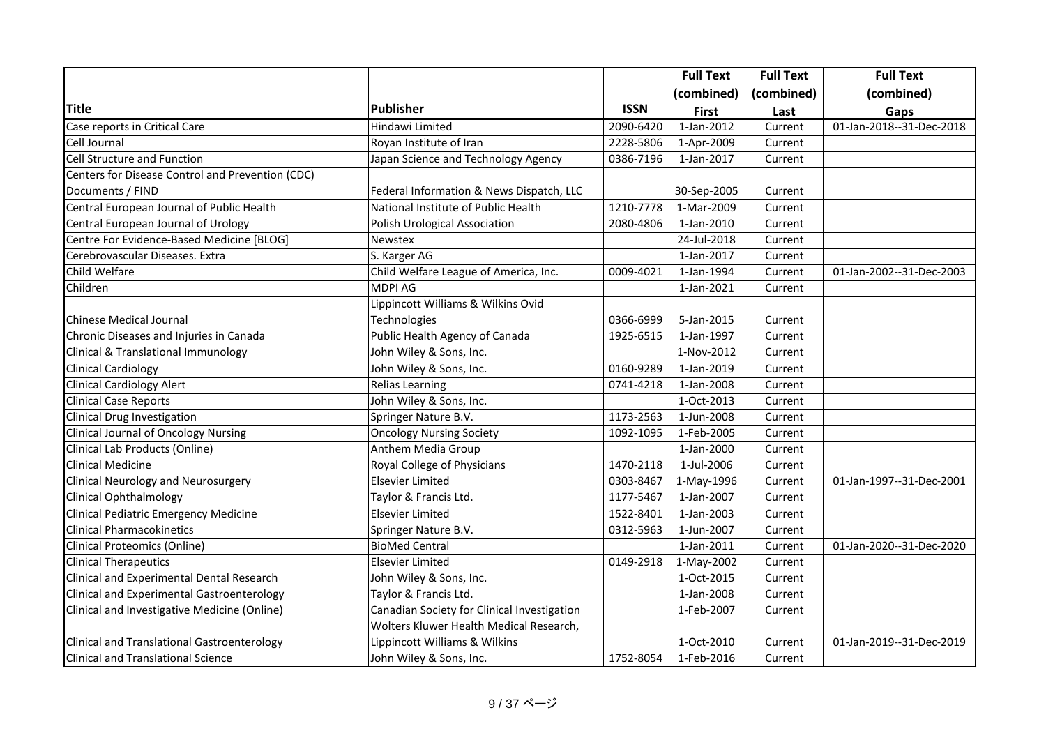|                                                    |                                             |             | <b>Full Text</b> | <b>Full Text</b> | <b>Full Text</b>         |
|----------------------------------------------------|---------------------------------------------|-------------|------------------|------------------|--------------------------|
|                                                    |                                             |             | (combined)       | (combined)       | (combined)               |
| <b>Title</b>                                       | <b>Publisher</b>                            | <b>ISSN</b> | <b>First</b>     | Last             | Gaps                     |
| Case reports in Critical Care                      | Hindawi Limited                             | 2090-6420   | $1$ -Jan-2012    | Current          | 01-Jan-2018--31-Dec-2018 |
| Cell Journal                                       | Royan Institute of Iran                     | 2228-5806   | 1-Apr-2009       | Current          |                          |
| <b>Cell Structure and Function</b>                 | Japan Science and Technology Agency         | 0386-7196   | 1-Jan-2017       | Current          |                          |
| Centers for Disease Control and Prevention (CDC)   |                                             |             |                  |                  |                          |
| Documents / FIND                                   | Federal Information & News Dispatch, LLC    |             | 30-Sep-2005      | Current          |                          |
| Central European Journal of Public Health          | National Institute of Public Health         | 1210-7778   | 1-Mar-2009       | Current          |                          |
| Central European Journal of Urology                | Polish Urological Association               | 2080-4806   | 1-Jan-2010       | Current          |                          |
| Centre For Evidence-Based Medicine [BLOG]          | Newstex                                     |             | 24-Jul-2018      | Current          |                          |
| Cerebrovascular Diseases. Extra                    | S. Karger AG                                |             | 1-Jan-2017       | Current          |                          |
| Child Welfare                                      | Child Welfare League of America, Inc.       | 0009-4021   | 1-Jan-1994       | Current          | 01-Jan-2002--31-Dec-2003 |
| Children                                           | <b>MDPI AG</b>                              |             | 1-Jan-2021       | Current          |                          |
|                                                    | Lippincott Williams & Wilkins Ovid          |             |                  |                  |                          |
| <b>Chinese Medical Journal</b>                     | Technologies                                | 0366-6999   | 5-Jan-2015       | Current          |                          |
| Chronic Diseases and Injuries in Canada            | Public Health Agency of Canada              | 1925-6515   | 1-Jan-1997       | Current          |                          |
| Clinical & Translational Immunology                | John Wiley & Sons, Inc.                     |             | 1-Nov-2012       | Current          |                          |
| <b>Clinical Cardiology</b>                         | John Wiley & Sons, Inc.                     | 0160-9289   | 1-Jan-2019       | Current          |                          |
| Clinical Cardiology Alert                          | <b>Relias Learning</b>                      | 0741-4218   | 1-Jan-2008       | Current          |                          |
| <b>Clinical Case Reports</b>                       | John Wiley & Sons, Inc.                     |             | 1-Oct-2013       | Current          |                          |
| <b>Clinical Drug Investigation</b>                 | Springer Nature B.V.                        | 1173-2563   | 1-Jun-2008       | Current          |                          |
| <b>Clinical Journal of Oncology Nursing</b>        | <b>Oncology Nursing Society</b>             | 1092-1095   | 1-Feb-2005       | Current          |                          |
| Clinical Lab Products (Online)                     | Anthem Media Group                          |             | 1-Jan-2000       | Current          |                          |
| <b>Clinical Medicine</b>                           | Royal College of Physicians                 | 1470-2118   | 1-Jul-2006       | Current          |                          |
| <b>Clinical Neurology and Neurosurgery</b>         | <b>Elsevier Limited</b>                     | 0303-8467   | 1-May-1996       | Current          | 01-Jan-1997--31-Dec-2001 |
| Clinical Ophthalmology                             | Taylor & Francis Ltd.                       | 1177-5467   | 1-Jan-2007       | Current          |                          |
| Clinical Pediatric Emergency Medicine              | <b>Elsevier Limited</b>                     | 1522-8401   | 1-Jan-2003       | Current          |                          |
| <b>Clinical Pharmacokinetics</b>                   | Springer Nature B.V.                        | 0312-5963   | 1-Jun-2007       | Current          |                          |
| <b>Clinical Proteomics (Online)</b>                | <b>BioMed Central</b>                       |             | 1-Jan-2011       | Current          | 01-Jan-2020--31-Dec-2020 |
| <b>Clinical Therapeutics</b>                       | <b>Elsevier Limited</b>                     | 0149-2918   | 1-May-2002       | Current          |                          |
| Clinical and Experimental Dental Research          | John Wiley & Sons, Inc.                     |             | 1-Oct-2015       | Current          |                          |
| Clinical and Experimental Gastroenterology         | Taylor & Francis Ltd.                       |             | 1-Jan-2008       | Current          |                          |
| Clinical and Investigative Medicine (Online)       | Canadian Society for Clinical Investigation |             | 1-Feb-2007       | Current          |                          |
|                                                    | Wolters Kluwer Health Medical Research,     |             |                  |                  |                          |
| <b>Clinical and Translational Gastroenterology</b> | Lippincott Williams & Wilkins               |             | 1-Oct-2010       | Current          | 01-Jan-2019--31-Dec-2019 |
| <b>Clinical and Translational Science</b>          | John Wiley & Sons, Inc.                     | 1752-8054   | 1-Feb-2016       | Current          |                          |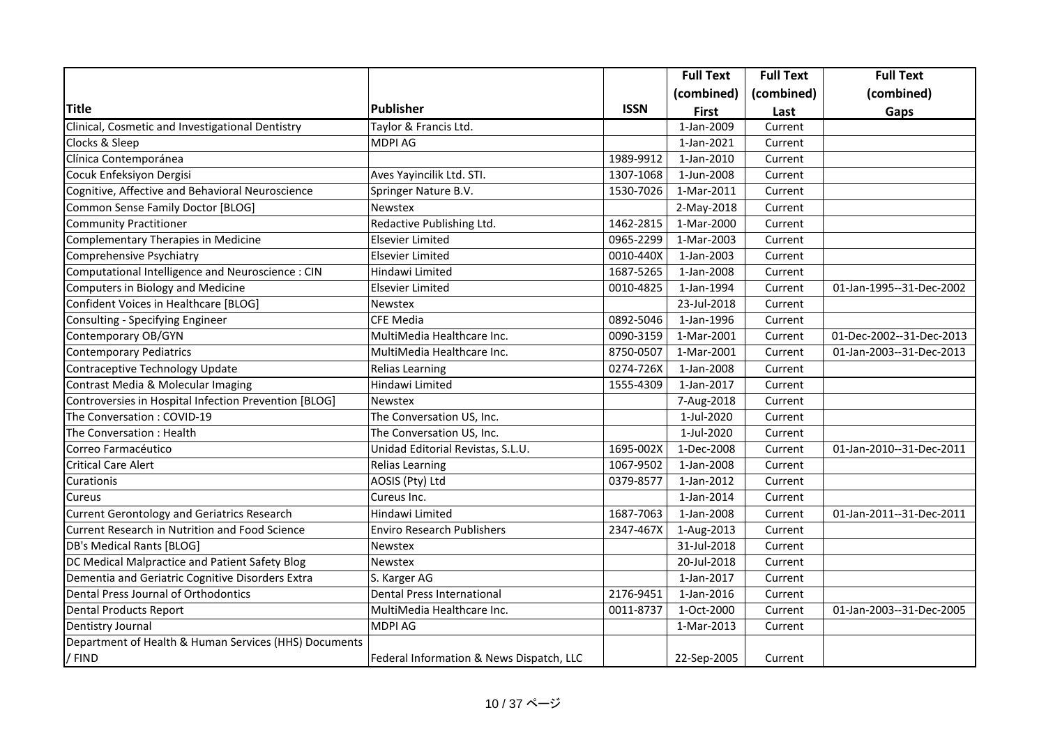|                                                       |                                          |             | <b>Full Text</b> | <b>Full Text</b> | <b>Full Text</b>         |
|-------------------------------------------------------|------------------------------------------|-------------|------------------|------------------|--------------------------|
|                                                       |                                          |             | (combined)       | (combined)       | (combined)               |
| <b>Title</b>                                          | <b>Publisher</b>                         | <b>ISSN</b> | <b>First</b>     | Last             | Gaps                     |
| Clinical, Cosmetic and Investigational Dentistry      | Taylor & Francis Ltd.                    |             | 1-Jan-2009       | Current          |                          |
| Clocks & Sleep                                        | <b>MDPI AG</b>                           |             | 1-Jan-2021       | Current          |                          |
| Clínica Contemporánea                                 |                                          | 1989-9912   | 1-Jan-2010       | Current          |                          |
| Cocuk Enfeksiyon Dergisi                              | Aves Yayincilik Ltd. STI.                | 1307-1068   | 1-Jun-2008       | Current          |                          |
| Cognitive, Affective and Behavioral Neuroscience      | Springer Nature B.V.                     | 1530-7026   | 1-Mar-2011       | Current          |                          |
| Common Sense Family Doctor [BLOG]                     | Newstex                                  |             | 2-May-2018       | Current          |                          |
| <b>Community Practitioner</b>                         | Redactive Publishing Ltd.                | 1462-2815   | 1-Mar-2000       | Current          |                          |
| Complementary Therapies in Medicine                   | Elsevier Limited                         | 0965-2299   | 1-Mar-2003       | Current          |                          |
| Comprehensive Psychiatry                              | Elsevier Limited                         | 0010-440X   | 1-Jan-2003       | Current          |                          |
| Computational Intelligence and Neuroscience : CIN     | Hindawi Limited                          | 1687-5265   | 1-Jan-2008       | Current          |                          |
| Computers in Biology and Medicine                     | Elsevier Limited                         | 0010-4825   | 1-Jan-1994       | Current          | 01-Jan-1995--31-Dec-2002 |
| Confident Voices in Healthcare [BLOG]                 | <b>Newstex</b>                           |             | 23-Jul-2018      | Current          |                          |
| Consulting - Specifying Engineer                      | <b>CFE Media</b>                         | 0892-5046   | 1-Jan-1996       | Current          |                          |
| Contemporary OB/GYN                                   | MultiMedia Healthcare Inc.               | 0090-3159   | 1-Mar-2001       | Current          | 01-Dec-2002--31-Dec-2013 |
| <b>Contemporary Pediatrics</b>                        | MultiMedia Healthcare Inc.               | 8750-0507   | 1-Mar-2001       | Current          | 01-Jan-2003--31-Dec-2013 |
| Contraceptive Technology Update                       | <b>Relias Learning</b>                   | 0274-726X   | 1-Jan-2008       | Current          |                          |
| Contrast Media & Molecular Imaging                    | Hindawi Limited                          | 1555-4309   | 1-Jan-2017       | Current          |                          |
| Controversies in Hospital Infection Prevention [BLOG] | <b>Newstex</b>                           |             | 7-Aug-2018       | Current          |                          |
| The Conversation: COVID-19                            | The Conversation US, Inc.                |             | 1-Jul-2020       | Current          |                          |
| The Conversation: Health                              | The Conversation US, Inc.                |             | 1-Jul-2020       | Current          |                          |
| Correo Farmacéutico                                   | Unidad Editorial Revistas, S.L.U.        | 1695-002X   | 1-Dec-2008       | Current          | 01-Jan-2010--31-Dec-2011 |
| <b>Critical Care Alert</b>                            | <b>Relias Learning</b>                   | 1067-9502   | 1-Jan-2008       | Current          |                          |
| Curationis                                            | AOSIS (Pty) Ltd                          | 0379-8577   | 1-Jan-2012       | Current          |                          |
| Cureus                                                | Cureus Inc.                              |             | 1-Jan-2014       | Current          |                          |
| <b>Current Gerontology and Geriatrics Research</b>    | Hindawi Limited                          | 1687-7063   | 1-Jan-2008       | Current          | 01-Jan-2011--31-Dec-2011 |
| Current Research in Nutrition and Food Science        | <b>Enviro Research Publishers</b>        | 2347-467X   | 1-Aug-2013       | Current          |                          |
| DB's Medical Rants [BLOG]                             | <b>Newstex</b>                           |             | 31-Jul-2018      | Current          |                          |
| DC Medical Malpractice and Patient Safety Blog        | Newstex                                  |             | 20-Jul-2018      | Current          |                          |
| Dementia and Geriatric Cognitive Disorders Extra      | S. Karger AG                             |             | 1-Jan-2017       | Current          |                          |
| Dental Press Journal of Orthodontics                  | <b>Dental Press International</b>        | 2176-9451   | 1-Jan-2016       | Current          |                          |
| <b>Dental Products Report</b>                         | MultiMedia Healthcare Inc.               | 0011-8737   | 1-Oct-2000       | Current          | 01-Jan-2003--31-Dec-2005 |
| Dentistry Journal                                     | MDPI AG                                  |             | 1-Mar-2013       | Current          |                          |
| Department of Health & Human Services (HHS) Documents |                                          |             |                  |                  |                          |
| / FIND                                                | Federal Information & News Dispatch, LLC |             | 22-Sep-2005      | Current          |                          |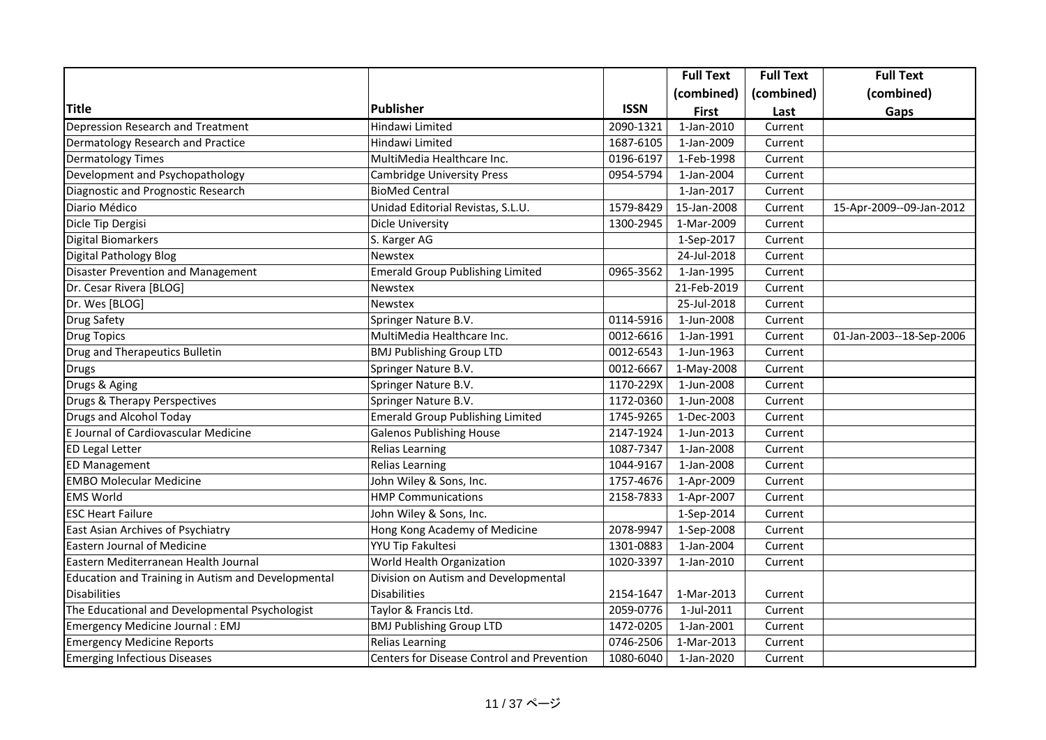|                                                    |                                            |             | <b>Full Text</b>         | <b>Full Text</b> | <b>Full Text</b>         |
|----------------------------------------------------|--------------------------------------------|-------------|--------------------------|------------------|--------------------------|
|                                                    |                                            |             | (combined)               | (combined)       | (combined)               |
| <b>Title</b>                                       | Publisher                                  | <b>ISSN</b> | <b>First</b>             | Last             | Gaps                     |
| Depression Research and Treatment                  | Hindawi Limited                            | 2090-1321   | 1-Jan-2010               | Current          |                          |
| Dermatology Research and Practice                  | Hindawi Limited                            | 1687-6105   | 1-Jan-2009               | Current          |                          |
| <b>Dermatology Times</b>                           | MultiMedia Healthcare Inc.                 | 0196-6197   | $\overline{1}$ -Feb-1998 | Current          |                          |
| Development and Psychopathology                    | Cambridge University Press                 | 0954-5794   | 1-Jan-2004               | Current          |                          |
| Diagnostic and Prognostic Research                 | <b>BioMed Central</b>                      |             | 1-Jan-2017               | Current          |                          |
| Diario Médico                                      | Unidad Editorial Revistas, S.L.U.          | 1579-8429   | 15-Jan-2008              | Current          | 15-Apr-2009--09-Jan-2012 |
| Dicle Tip Dergisi                                  | Dicle University                           | 1300-2945   | 1-Mar-2009               | Current          |                          |
| <b>Digital Biomarkers</b>                          | S. Karger AG                               |             | 1-Sep-2017               | Current          |                          |
| <b>Digital Pathology Blog</b>                      | Newstex                                    |             | 24-Jul-2018              | Current          |                          |
| Disaster Prevention and Management                 | <b>Emerald Group Publishing Limited</b>    | 0965-3562   | $\overline{1}$ -Jan-1995 | Current          |                          |
| Dr. Cesar Rivera [BLOG]                            | Newstex                                    |             | 21-Feb-2019              | Current          |                          |
| Dr. Wes [BLOG]                                     | Newstex                                    |             | 25-Jul-2018              | Current          |                          |
| <b>Drug Safety</b>                                 | Springer Nature B.V.                       | 0114-5916   | 1-Jun-2008               | Current          |                          |
| <b>Drug Topics</b>                                 | MultiMedia Healthcare Inc.                 | 0012-6616   | 1-Jan-1991               | Current          | 01-Jan-2003--18-Sep-2006 |
| <b>Drug and Therapeutics Bulletin</b>              | <b>BMJ Publishing Group LTD</b>            | 0012-6543   | 1-Jun-1963               | Current          |                          |
| <b>Drugs</b>                                       | Springer Nature B.V.                       | 0012-6667   | 1-May-2008               | Current          |                          |
| Drugs & Aging                                      | Springer Nature B.V.                       | 1170-229X   | 1-Jun-2008               | Current          |                          |
| Drugs & Therapy Perspectives                       | Springer Nature B.V.                       | 1172-0360   | 1-Jun-2008               | Current          |                          |
| <b>Drugs and Alcohol Today</b>                     | <b>Emerald Group Publishing Limited</b>    | 1745-9265   | 1-Dec-2003               | Current          |                          |
| E Journal of Cardiovascular Medicine               | <b>Galenos Publishing House</b>            | 2147-1924   | 1-Jun-2013               | Current          |                          |
| <b>ED Legal Letter</b>                             | Relias Learning                            | 1087-7347   | 1-Jan-2008               | Current          |                          |
| <b>ED Management</b>                               | Relias Learning                            | 1044-9167   | 1-Jan-2008               | Current          |                          |
| <b>EMBO Molecular Medicine</b>                     | John Wiley & Sons, Inc.                    | 1757-4676   | 1-Apr-2009               | Current          |                          |
| <b>EMS World</b>                                   | <b>HMP Communications</b>                  | 2158-7833   | 1-Apr-2007               | Current          |                          |
| <b>ESC Heart Failure</b>                           | John Wiley & Sons, Inc.                    |             | 1-Sep-2014               | Current          |                          |
| East Asian Archives of Psychiatry                  | Hong Kong Academy of Medicine              | 2078-9947   | 1-Sep-2008               | Current          |                          |
| <b>Eastern Journal of Medicine</b>                 | YYU Tip Fakultesi                          | 1301-0883   | 1-Jan-2004               | Current          |                          |
| Eastern Mediterranean Health Journal               | World Health Organization                  | 1020-3397   | 1-Jan-2010               | Current          |                          |
| Education and Training in Autism and Developmental | Division on Autism and Developmental       |             |                          |                  |                          |
| <b>Disabilities</b>                                | Disabilities                               | 2154-1647   | 1-Mar-2013               | Current          |                          |
| The Educational and Developmental Psychologist     | Taylor & Francis Ltd.                      | 2059-0776   | 1-Jul-2011               | Current          |                          |
| Emergency Medicine Journal : EMJ                   | <b>BMJ Publishing Group LTD</b>            | 1472-0205   | 1-Jan-2001               | Current          |                          |
| <b>Emergency Medicine Reports</b>                  | Relias Learning                            | 0746-2506   | 1-Mar-2013               | Current          |                          |
| <b>Emerging Infectious Diseases</b>                | Centers for Disease Control and Prevention | 1080-6040   | 1-Jan-2020               | Current          |                          |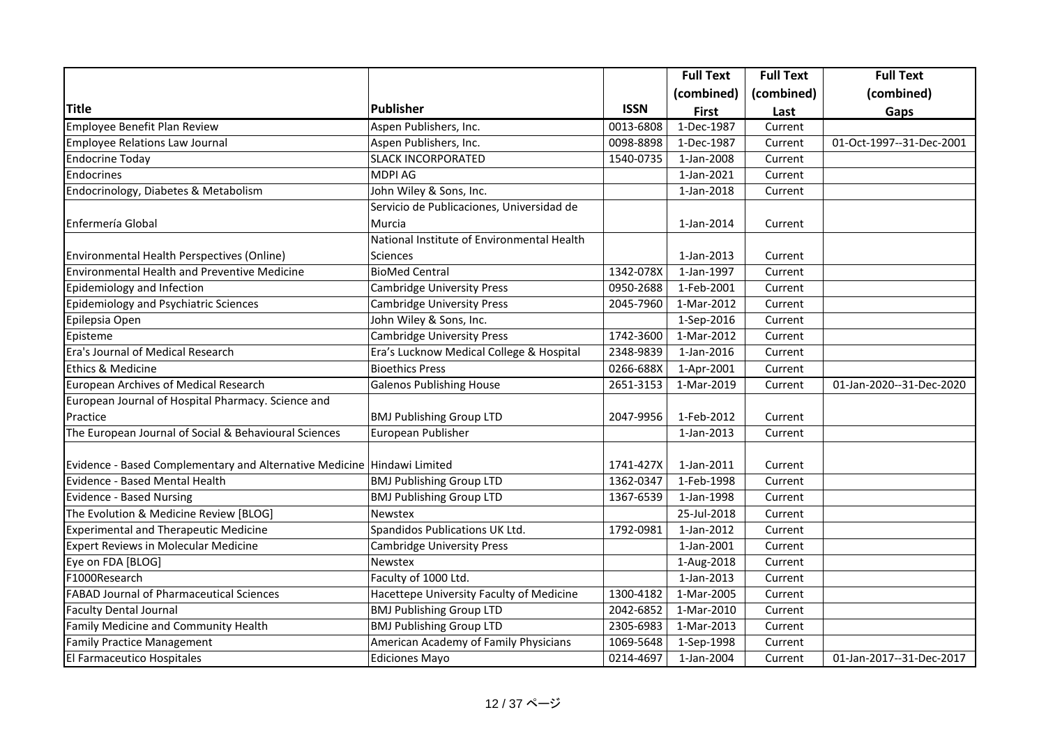|                                                                         |                                            |             | <b>Full Text</b> | <b>Full Text</b> | <b>Full Text</b>         |
|-------------------------------------------------------------------------|--------------------------------------------|-------------|------------------|------------------|--------------------------|
|                                                                         |                                            |             | (combined)       | (combined)       | (combined)               |
| <b>Title</b>                                                            | Publisher                                  | <b>ISSN</b> | <b>First</b>     | Last             | Gaps                     |
| <b>Employee Benefit Plan Review</b>                                     | Aspen Publishers, Inc.                     | 0013-6808   | 1-Dec-1987       | Current          |                          |
| <b>Employee Relations Law Journal</b>                                   | Aspen Publishers, Inc.                     | 0098-8898   | 1-Dec-1987       | Current          | 01-Oct-1997--31-Dec-2001 |
| <b>Endocrine Today</b>                                                  | <b>SLACK INCORPORATED</b>                  | 1540-0735   | 1-Jan-2008       | Current          |                          |
| Endocrines                                                              | MDPI AG                                    |             | 1-Jan-2021       | Current          |                          |
| Endocrinology, Diabetes & Metabolism                                    | John Wiley & Sons, Inc.                    |             | 1-Jan-2018       | Current          |                          |
|                                                                         | Servicio de Publicaciones, Universidad de  |             |                  |                  |                          |
| Enfermería Global                                                       | Murcia                                     |             | 1-Jan-2014       | Current          |                          |
|                                                                         | National Institute of Environmental Health |             |                  |                  |                          |
| Environmental Health Perspectives (Online)                              | Sciences                                   |             | 1-Jan-2013       | Current          |                          |
| <b>Environmental Health and Preventive Medicine</b>                     | <b>BioMed Central</b>                      | 1342-078X   | 1-Jan-1997       | Current          |                          |
| Epidemiology and Infection                                              | <b>Cambridge University Press</b>          | 0950-2688   | 1-Feb-2001       | Current          |                          |
| <b>Epidemiology and Psychiatric Sciences</b>                            | <b>Cambridge University Press</b>          | 2045-7960   | 1-Mar-2012       | Current          |                          |
| Epilepsia Open                                                          | John Wiley & Sons, Inc.                    |             | 1-Sep-2016       | Current          |                          |
| Episteme                                                                | <b>Cambridge University Press</b>          | 1742-3600   | 1-Mar-2012       | Current          |                          |
| Era's Journal of Medical Research                                       | Era's Lucknow Medical College & Hospital   | 2348-9839   | 1-Jan-2016       | Current          |                          |
| Ethics & Medicine                                                       | <b>Bioethics Press</b>                     | 0266-688X   | 1-Apr-2001       | Current          |                          |
| <b>European Archives of Medical Research</b>                            | <b>Galenos Publishing House</b>            | 2651-3153   | 1-Mar-2019       | Current          | 01-Jan-2020--31-Dec-2020 |
| European Journal of Hospital Pharmacy. Science and                      |                                            |             |                  |                  |                          |
| Practice                                                                | <b>BMJ Publishing Group LTD</b>            | 2047-9956   | 1-Feb-2012       | Current          |                          |
| The European Journal of Social & Behavioural Sciences                   | European Publisher                         |             | 1-Jan-2013       | Current          |                          |
|                                                                         |                                            |             |                  |                  |                          |
| Evidence - Based Complementary and Alternative Medicine Hindawi Limited |                                            | 1741-427X   | 1-Jan-2011       | Current          |                          |
| Evidence - Based Mental Health                                          | <b>BMJ Publishing Group LTD</b>            | 1362-0347   | 1-Feb-1998       | Current          |                          |
| <b>Evidence - Based Nursing</b>                                         | <b>BMJ Publishing Group LTD</b>            | 1367-6539   | 1-Jan-1998       | Current          |                          |
| The Evolution & Medicine Review [BLOG]                                  | Newstex                                    |             | 25-Jul-2018      | Current          |                          |
| <b>Experimental and Therapeutic Medicine</b>                            | Spandidos Publications UK Ltd.             | 1792-0981   | 1-Jan-2012       | Current          |                          |
| Expert Reviews in Molecular Medicine                                    | <b>Cambridge University Press</b>          |             | 1-Jan-2001       | Current          |                          |
| Eye on FDA [BLOG]                                                       | Newstex                                    |             | 1-Aug-2018       | Current          |                          |
| F1000Research                                                           | Faculty of 1000 Ltd.                       |             | 1-Jan-2013       | Current          |                          |
| <b>FABAD Journal of Pharmaceutical Sciences</b>                         | Hacettepe University Faculty of Medicine   | 1300-4182   | 1-Mar-2005       | Current          |                          |
| <b>Faculty Dental Journal</b>                                           | <b>BMJ Publishing Group LTD</b>            | 2042-6852   | 1-Mar-2010       | Current          |                          |
| Family Medicine and Community Health                                    | <b>BMJ Publishing Group LTD</b>            | 2305-6983   | 1-Mar-2013       | Current          |                          |
| <b>Family Practice Management</b>                                       | American Academy of Family Physicians      | 1069-5648   | 1-Sep-1998       | Current          |                          |
| El Farmaceutico Hospitales                                              | Ediciones Mayo                             | 0214-4697   | 1-Jan-2004       | Current          | 01-Jan-2017--31-Dec-2017 |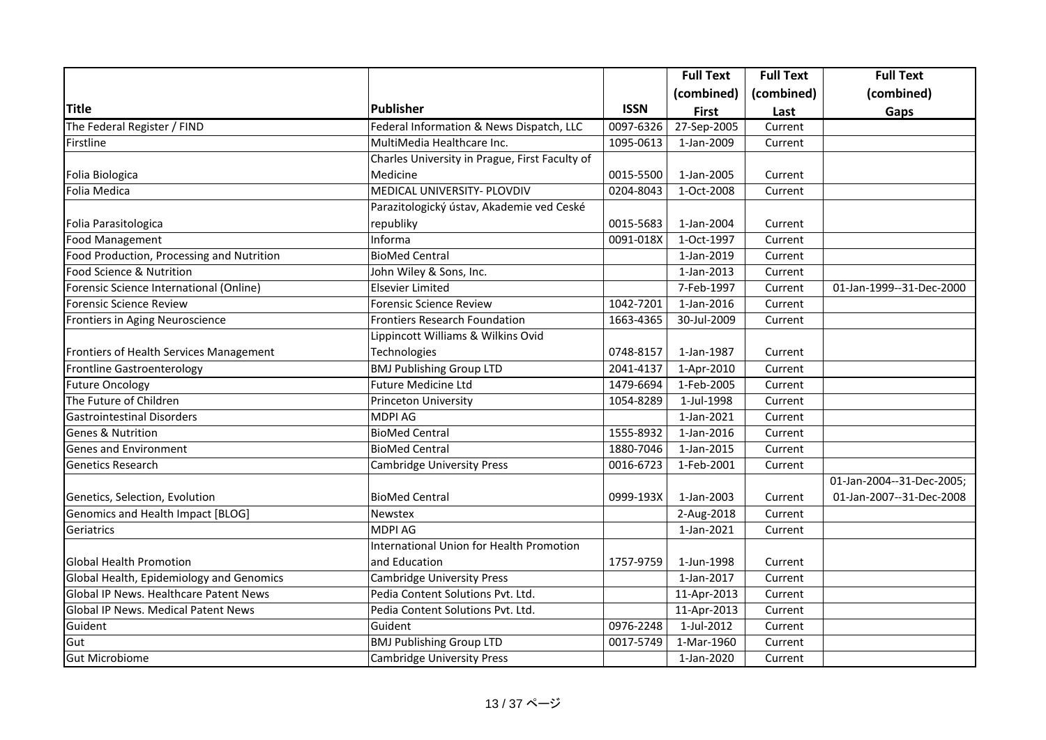|                                           |                                                 |             | <b>Full Text</b> | <b>Full Text</b> | <b>Full Text</b>          |
|-------------------------------------------|-------------------------------------------------|-------------|------------------|------------------|---------------------------|
|                                           |                                                 |             | (combined)       | (combined)       | (combined)                |
| <b>Title</b>                              | <b>Publisher</b>                                | <b>ISSN</b> | <b>First</b>     | Last             | Gaps                      |
| The Federal Register / FIND               | Federal Information & News Dispatch, LLC        | 0097-6326   | 27-Sep-2005      | Current          |                           |
| Firstline                                 | MultiMedia Healthcare Inc.                      | 1095-0613   | 1-Jan-2009       | Current          |                           |
|                                           | Charles University in Prague, First Faculty of  |             |                  |                  |                           |
| Folia Biologica                           | Medicine                                        | 0015-5500   | 1-Jan-2005       | Current          |                           |
| Folia Medica                              | MEDICAL UNIVERSITY- PLOVDIV                     | 0204-8043   | 1-Oct-2008       | Current          |                           |
|                                           | Parazitologický ústav, Akademie ved Ceské       |             |                  |                  |                           |
| Folia Parasitologica                      | republiky                                       | 0015-5683   | 1-Jan-2004       | Current          |                           |
| <b>Food Management</b>                    | Informa                                         | 0091-018X   | 1-Oct-1997       | Current          |                           |
| Food Production, Processing and Nutrition | <b>BioMed Central</b>                           |             | 1-Jan-2019       | Current          |                           |
| Food Science & Nutrition                  | John Wiley & Sons, Inc.                         |             | 1-Jan-2013       | Current          |                           |
| Forensic Science International (Online)   | <b>Elsevier Limited</b>                         |             | 7-Feb-1997       | Current          | 01-Jan-1999--31-Dec-2000  |
| <b>Forensic Science Review</b>            | <b>Forensic Science Review</b>                  | 1042-7201   | 1-Jan-2016       | Current          |                           |
| Frontiers in Aging Neuroscience           | <b>Frontiers Research Foundation</b>            | 1663-4365   | 30-Jul-2009      | Current          |                           |
|                                           | Lippincott Williams & Wilkins Ovid              |             |                  |                  |                           |
| Frontiers of Health Services Management   | Technologies                                    | 0748-8157   | 1-Jan-1987       | Current          |                           |
| <b>Frontline Gastroenterology</b>         | <b>BMJ Publishing Group LTD</b>                 | 2041-4137   | 1-Apr-2010       | Current          |                           |
| <b>Future Oncology</b>                    | <b>Future Medicine Ltd</b>                      | 1479-6694   | 1-Feb-2005       | Current          |                           |
| The Future of Children                    | Princeton University                            | 1054-8289   | 1-Jul-1998       | Current          |                           |
| <b>Gastrointestinal Disorders</b>         | <b>MDPI AG</b>                                  |             | 1-Jan-2021       | Current          |                           |
| <b>Genes &amp; Nutrition</b>              | <b>BioMed Central</b>                           | 1555-8932   | 1-Jan-2016       | Current          |                           |
| <b>Genes and Environment</b>              | <b>BioMed Central</b>                           | 1880-7046   | 1-Jan-2015       | Current          |                           |
| <b>Genetics Research</b>                  | <b>Cambridge University Press</b>               | 0016-6723   | 1-Feb-2001       | Current          |                           |
|                                           |                                                 |             |                  |                  | 01-Jan-2004--31-Dec-2005; |
| Genetics, Selection, Evolution            | <b>BioMed Central</b>                           | 0999-193X   | 1-Jan-2003       | Current          | 01-Jan-2007--31-Dec-2008  |
| Genomics and Health Impact [BLOG]         | Newstex                                         |             | 2-Aug-2018       | Current          |                           |
| Geriatrics                                | <b>MDPI AG</b>                                  |             | 1-Jan-2021       | Current          |                           |
|                                           | <b>International Union for Health Promotion</b> |             |                  |                  |                           |
| <b>Global Health Promotion</b>            | and Education                                   | 1757-9759   | 1-Jun-1998       | Current          |                           |
| Global Health, Epidemiology and Genomics  | <b>Cambridge University Press</b>               |             | 1-Jan-2017       | Current          |                           |
| Global IP News. Healthcare Patent News    | Pedia Content Solutions Pvt. Ltd.               |             | 11-Apr-2013      | Current          |                           |
| Global IP News. Medical Patent News       | Pedia Content Solutions Pvt. Ltd.               |             | 11-Apr-2013      | Current          |                           |
| Guident                                   | Guident                                         | 0976-2248   | 1-Jul-2012       | Current          |                           |
| Gut                                       | <b>BMJ Publishing Group LTD</b>                 | 0017-5749   | 1-Mar-1960       | Current          |                           |
| <b>Gut Microbiome</b>                     | <b>Cambridge University Press</b>               |             | 1-Jan-2020       | Current          |                           |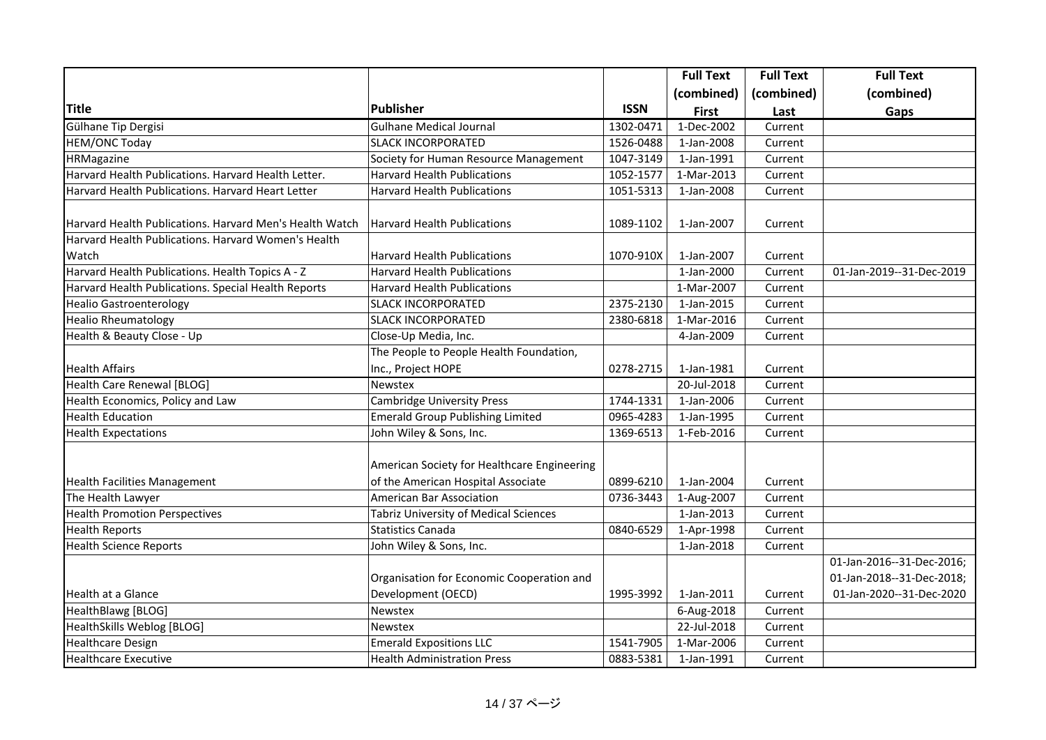|                                                         |                                              |             | <b>Full Text</b> | <b>Full Text</b> | <b>Full Text</b>          |
|---------------------------------------------------------|----------------------------------------------|-------------|------------------|------------------|---------------------------|
|                                                         |                                              |             | (combined)       | (combined)       | (combined)                |
| <b>Title</b>                                            | Publisher                                    | <b>ISSN</b> | <b>First</b>     | Last             | Gaps                      |
| Gülhane Tip Dergisi                                     | <b>Gulhane Medical Journal</b>               | 1302-0471   | 1-Dec-2002       | Current          |                           |
| <b>HEM/ONC Today</b>                                    | <b>SLACK INCORPORATED</b>                    | 1526-0488   | 1-Jan-2008       | Current          |                           |
| HRMagazine                                              | Society for Human Resource Management        | 1047-3149   | 1-Jan-1991       | Current          |                           |
| Harvard Health Publications. Harvard Health Letter.     | <b>Harvard Health Publications</b>           | 1052-1577   | 1-Mar-2013       | Current          |                           |
| Harvard Health Publications. Harvard Heart Letter       | <b>Harvard Health Publications</b>           | 1051-5313   | 1-Jan-2008       | Current          |                           |
|                                                         |                                              |             |                  |                  |                           |
| Harvard Health Publications. Harvard Men's Health Watch | <b>Harvard Health Publications</b>           | 1089-1102   | 1-Jan-2007       | Current          |                           |
| Harvard Health Publications. Harvard Women's Health     |                                              |             |                  |                  |                           |
| Watch                                                   | <b>Harvard Health Publications</b>           | 1070-910X   | 1-Jan-2007       | Current          |                           |
| Harvard Health Publications. Health Topics A - Z        | <b>Harvard Health Publications</b>           |             | 1-Jan-2000       | Current          | 01-Jan-2019--31-Dec-2019  |
| Harvard Health Publications. Special Health Reports     | <b>Harvard Health Publications</b>           |             | 1-Mar-2007       | Current          |                           |
| <b>Healio Gastroenterology</b>                          | <b>SLACK INCORPORATED</b>                    | 2375-2130   | 1-Jan-2015       | Current          |                           |
| <b>Healio Rheumatology</b>                              | <b>SLACK INCORPORATED</b>                    | 2380-6818   | 1-Mar-2016       | Current          |                           |
| Health & Beauty Close - Up                              | Close-Up Media, Inc.                         |             | 4-Jan-2009       | Current          |                           |
|                                                         | The People to People Health Foundation,      |             |                  |                  |                           |
| <b>Health Affairs</b>                                   | Inc., Project HOPE                           | 0278-2715   | 1-Jan-1981       | Current          |                           |
| Health Care Renewal [BLOG]                              | <b>Newstex</b>                               |             | 20-Jul-2018      | Current          |                           |
| Health Economics, Policy and Law                        | <b>Cambridge University Press</b>            | 1744-1331   | 1-Jan-2006       | Current          |                           |
| <b>Health Education</b>                                 | <b>Emerald Group Publishing Limited</b>      | 0965-4283   | 1-Jan-1995       | Current          |                           |
| <b>Health Expectations</b>                              | John Wiley & Sons, Inc.                      | 1369-6513   | 1-Feb-2016       | Current          |                           |
|                                                         | American Society for Healthcare Engineering  |             |                  |                  |                           |
| <b>Health Facilities Management</b>                     | of the American Hospital Associate           | 0899-6210   | 1-Jan-2004       | Current          |                           |
| The Health Lawyer                                       | American Bar Association                     | 0736-3443   | 1-Aug-2007       | Current          |                           |
| <b>Health Promotion Perspectives</b>                    | <b>Tabriz University of Medical Sciences</b> |             | 1-Jan-2013       | Current          |                           |
| <b>Health Reports</b>                                   | <b>Statistics Canada</b>                     | 0840-6529   | 1-Apr-1998       | Current          |                           |
| <b>Health Science Reports</b>                           | John Wiley & Sons, Inc.                      |             | 1-Jan-2018       | Current          |                           |
|                                                         |                                              |             |                  |                  | 01-Jan-2016--31-Dec-2016; |
|                                                         | Organisation for Economic Cooperation and    |             |                  |                  | 01-Jan-2018--31-Dec-2018; |
| Health at a Glance                                      | Development (OECD)                           | 1995-3992   | 1-Jan-2011       | Current          | 01-Jan-2020--31-Dec-2020  |
| HealthBlawg [BLOG]                                      | <b>Newstex</b>                               |             | 6-Aug-2018       | Current          |                           |
| HealthSkills Weblog [BLOG]                              | <b>Newstex</b>                               |             | 22-Jul-2018      | Current          |                           |
| <b>Healthcare Design</b>                                | <b>Emerald Expositions LLC</b>               | 1541-7905   | 1-Mar-2006       | Current          |                           |
| <b>Healthcare Executive</b>                             | <b>Health Administration Press</b>           | 0883-5381   | 1-Jan-1991       | Current          |                           |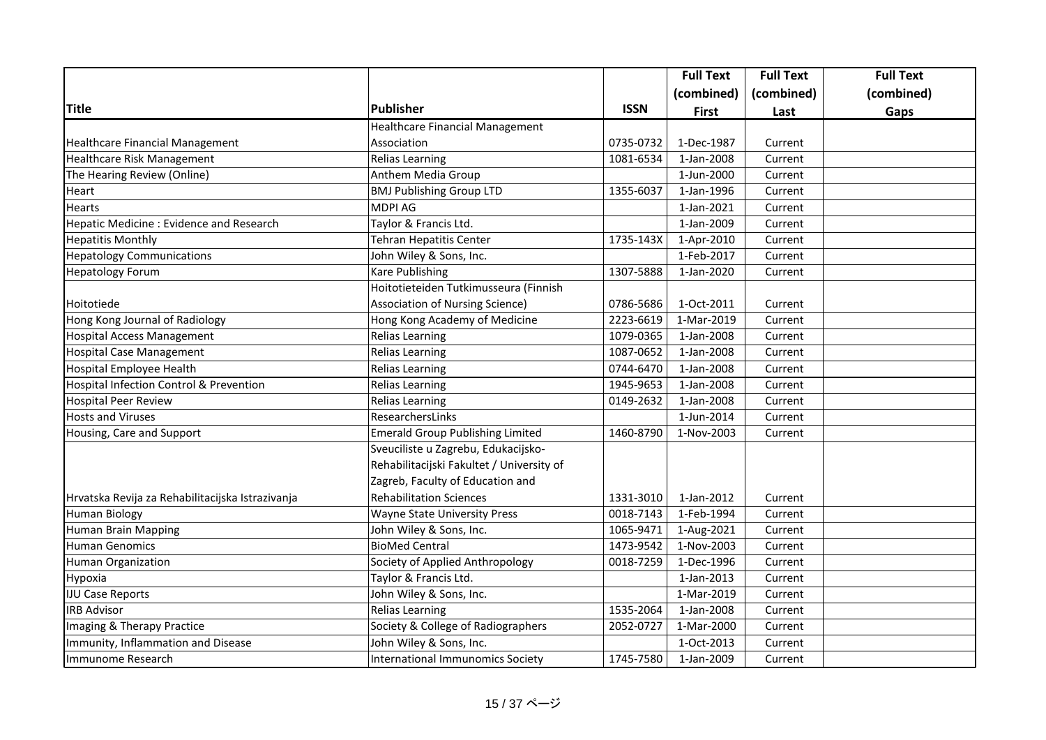|                                                  |                                           |             | <b>Full Text</b> | <b>Full Text</b> | <b>Full Text</b> |
|--------------------------------------------------|-------------------------------------------|-------------|------------------|------------------|------------------|
|                                                  |                                           |             | (combined)       | (combined)       | (combined)       |
| <b>Title</b>                                     | Publisher                                 | <b>ISSN</b> | <b>First</b>     | Last             | Gaps             |
|                                                  | <b>Healthcare Financial Management</b>    |             |                  |                  |                  |
| <b>Healthcare Financial Management</b>           | Association                               | 0735-0732   | 1-Dec-1987       | Current          |                  |
| Healthcare Risk Management                       | <b>Relias Learning</b>                    | 1081-6534   | 1-Jan-2008       | Current          |                  |
| The Hearing Review (Online)                      | Anthem Media Group                        |             | 1-Jun-2000       | Current          |                  |
| Heart                                            | <b>BMJ Publishing Group LTD</b>           | 1355-6037   | 1-Jan-1996       | Current          |                  |
| Hearts                                           | <b>MDPI AG</b>                            |             | 1-Jan-2021       | Current          |                  |
| Hepatic Medicine : Evidence and Research         | Taylor & Francis Ltd.                     |             | 1-Jan-2009       | Current          |                  |
| <b>Hepatitis Monthly</b>                         | <b>Tehran Hepatitis Center</b>            | 1735-143X   | 1-Apr-2010       | Current          |                  |
| <b>Hepatology Communications</b>                 | John Wiley & Sons, Inc.                   |             | 1-Feb-2017       | Current          |                  |
| <b>Hepatology Forum</b>                          | Kare Publishing                           | 1307-5888   | 1-Jan-2020       | Current          |                  |
|                                                  | Hoitotieteiden Tutkimusseura (Finnish     |             |                  |                  |                  |
| Hoitotiede                                       | <b>Association of Nursing Science)</b>    | 0786-5686   | 1-Oct-2011       | Current          |                  |
| Hong Kong Journal of Radiology                   | Hong Kong Academy of Medicine             | 2223-6619   | 1-Mar-2019       | Current          |                  |
| <b>Hospital Access Management</b>                | <b>Relias Learning</b>                    | 1079-0365   | 1-Jan-2008       | Current          |                  |
| <b>Hospital Case Management</b>                  | <b>Relias Learning</b>                    | 1087-0652   | 1-Jan-2008       | Current          |                  |
| Hospital Employee Health                         | <b>Relias Learning</b>                    | 0744-6470   | 1-Jan-2008       | Current          |                  |
| Hospital Infection Control & Prevention          | <b>Relias Learning</b>                    | 1945-9653   | 1-Jan-2008       | Current          |                  |
| <b>Hospital Peer Review</b>                      | <b>Relias Learning</b>                    | 0149-2632   | 1-Jan-2008       | Current          |                  |
| <b>Hosts and Viruses</b>                         | ResearchersLinks                          |             | 1-Jun-2014       | Current          |                  |
| Housing, Care and Support                        | <b>Emerald Group Publishing Limited</b>   | 1460-8790   | 1-Nov-2003       | Current          |                  |
|                                                  | Sveuciliste u Zagrebu, Edukacijsko-       |             |                  |                  |                  |
|                                                  | Rehabilitacijski Fakultet / University of |             |                  |                  |                  |
|                                                  | Zagreb, Faculty of Education and          |             |                  |                  |                  |
| Hrvatska Revija za Rehabilitacijska Istrazivanja | <b>Rehabilitation Sciences</b>            | 1331-3010   | 1-Jan-2012       | Current          |                  |
| Human Biology                                    | <b>Wayne State University Press</b>       | 0018-7143   | 1-Feb-1994       | Current          |                  |
| <b>Human Brain Mapping</b>                       | John Wiley & Sons, Inc.                   | 1065-9471   | 1-Aug-2021       | Current          |                  |
| <b>Human Genomics</b>                            | <b>BioMed Central</b>                     | 1473-9542   | 1-Nov-2003       | Current          |                  |
| Human Organization                               | Society of Applied Anthropology           | 0018-7259   | 1-Dec-1996       | Current          |                  |
| Hypoxia                                          | Taylor & Francis Ltd.                     |             | 1-Jan-2013       | Current          |                  |
| <b>IJU Case Reports</b>                          | John Wiley & Sons, Inc.                   |             | 1-Mar-2019       | Current          |                  |
| <b>IRB Advisor</b>                               | <b>Relias Learning</b>                    | 1535-2064   | 1-Jan-2008       | Current          |                  |
| Imaging & Therapy Practice                       | Society & College of Radiographers        | 2052-0727   | 1-Mar-2000       | Current          |                  |
| Immunity, Inflammation and Disease               | John Wiley & Sons, Inc.                   |             | 1-Oct-2013       | Current          |                  |
| Immunome Research                                | International Immunomics Society          | 1745-7580   | 1-Jan-2009       | Current          |                  |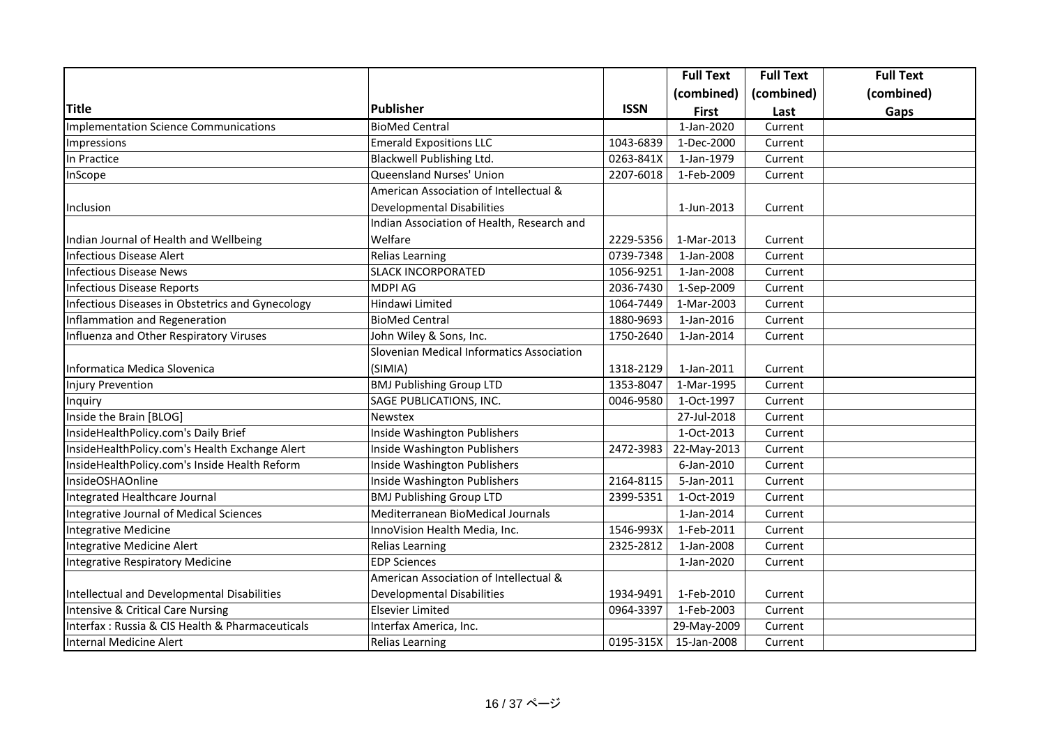|                                                  |                                            |             | <b>Full Text</b> | <b>Full Text</b> | <b>Full Text</b> |
|--------------------------------------------------|--------------------------------------------|-------------|------------------|------------------|------------------|
|                                                  |                                            |             | (combined)       | (combined)       | (combined)       |
| <b>Title</b>                                     | <b>Publisher</b>                           | <b>ISSN</b> | <b>First</b>     | Last             | Gaps             |
| <b>Implementation Science Communications</b>     | <b>BioMed Central</b>                      |             | $1-Jan-2020$     | Current          |                  |
| Impressions                                      | <b>Emerald Expositions LLC</b>             | 1043-6839   | 1-Dec-2000       | Current          |                  |
| In Practice                                      | Blackwell Publishing Ltd.                  | 0263-841X   | 1-Jan-1979       | Current          |                  |
| InScope                                          | Queensland Nurses' Union                   | 2207-6018   | 1-Feb-2009       | Current          |                  |
|                                                  | American Association of Intellectual &     |             |                  |                  |                  |
| Inclusion                                        | <b>Developmental Disabilities</b>          |             | 1-Jun-2013       | Current          |                  |
|                                                  | Indian Association of Health, Research and |             |                  |                  |                  |
| Indian Journal of Health and Wellbeing           | Welfare                                    | 2229-5356   | 1-Mar-2013       | Current          |                  |
| <b>Infectious Disease Alert</b>                  | <b>Relias Learning</b>                     | 0739-7348   | 1-Jan-2008       | Current          |                  |
| <b>Infectious Disease News</b>                   | <b>SLACK INCORPORATED</b>                  | 1056-9251   | 1-Jan-2008       | Current          |                  |
| <b>Infectious Disease Reports</b>                | <b>MDPI AG</b>                             | 2036-7430   | 1-Sep-2009       | Current          |                  |
| Infectious Diseases in Obstetrics and Gynecology | Hindawi Limited                            | 1064-7449   | 1-Mar-2003       | Current          |                  |
| Inflammation and Regeneration                    | <b>BioMed Central</b>                      | 1880-9693   | 1-Jan-2016       | Current          |                  |
| Influenza and Other Respiratory Viruses          | John Wiley & Sons, Inc.                    | 1750-2640   | 1-Jan-2014       | Current          |                  |
|                                                  | Slovenian Medical Informatics Association  |             |                  |                  |                  |
| Informatica Medica Slovenica                     | (SIMIA)                                    | 1318-2129   | 1-Jan-2011       | Current          |                  |
| <b>Injury Prevention</b>                         | <b>BMJ Publishing Group LTD</b>            | 1353-8047   | 1-Mar-1995       | Current          |                  |
| Inquiry                                          | SAGE PUBLICATIONS, INC.                    | 0046-9580   | 1-Oct-1997       | Current          |                  |
| Inside the Brain [BLOG]                          | Newstex                                    |             | 27-Jul-2018      | Current          |                  |
| InsideHealthPolicy.com's Daily Brief             | Inside Washington Publishers               |             | 1-Oct-2013       | Current          |                  |
| InsideHealthPolicy.com's Health Exchange Alert   | Inside Washington Publishers               | 2472-3983   | 22-May-2013      | Current          |                  |
| InsideHealthPolicy.com's Inside Health Reform    | Inside Washington Publishers               |             | 6-Jan-2010       | Current          |                  |
| InsideOSHAOnline                                 | Inside Washington Publishers               | 2164-8115   | 5-Jan-2011       | Current          |                  |
| Integrated Healthcare Journal                    | <b>BMJ Publishing Group LTD</b>            | 2399-5351   | 1-Oct-2019       | Current          |                  |
| Integrative Journal of Medical Sciences          | Mediterranean BioMedical Journals          |             | 1-Jan-2014       | Current          |                  |
| Integrative Medicine                             | InnoVision Health Media, Inc.              | 1546-993X   | 1-Feb-2011       | Current          |                  |
| Integrative Medicine Alert                       | <b>Relias Learning</b>                     | 2325-2812   | 1-Jan-2008       | Current          |                  |
| Integrative Respiratory Medicine                 | <b>EDP Sciences</b>                        |             | 1-Jan-2020       | Current          |                  |
|                                                  | American Association of Intellectual &     |             |                  |                  |                  |
| Intellectual and Developmental Disabilities      | Developmental Disabilities                 | 1934-9491   | 1-Feb-2010       | Current          |                  |
| Intensive & Critical Care Nursing                | <b>Elsevier Limited</b>                    | 0964-3397   | 1-Feb-2003       | Current          |                  |
| Interfax : Russia & CIS Health & Pharmaceuticals | Interfax America, Inc.                     |             | 29-May-2009      | Current          |                  |
| <b>Internal Medicine Alert</b>                   | <b>Relias Learning</b>                     | 0195-315X   | 15-Jan-2008      | Current          |                  |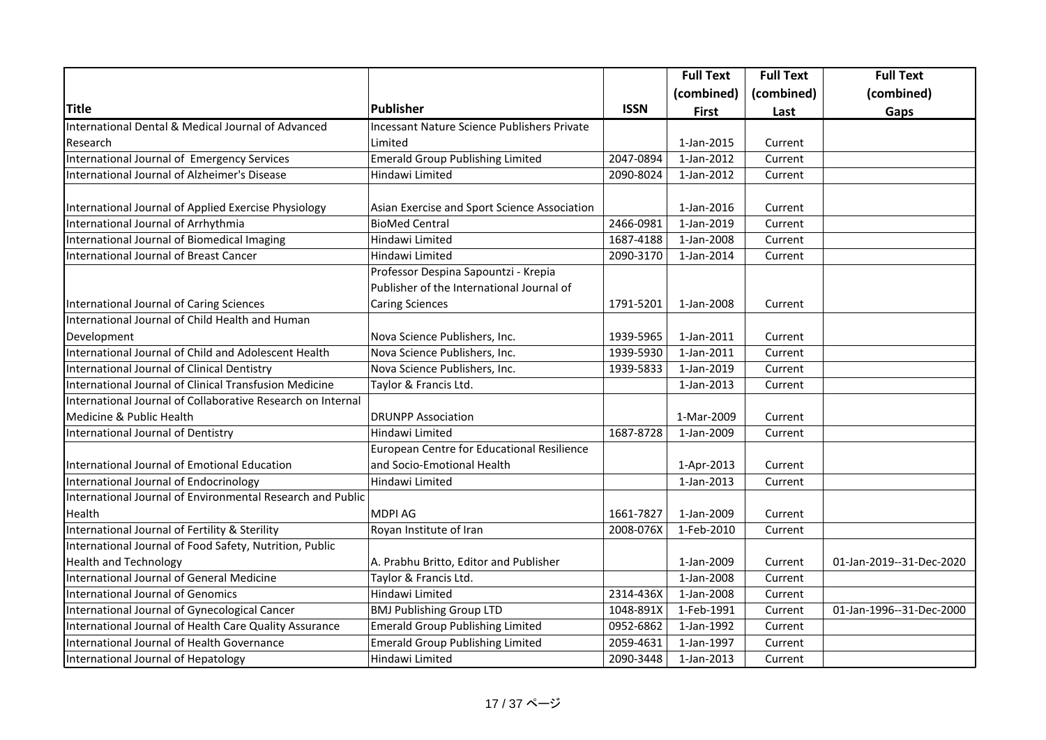|                                                             |                                              |             | <b>Full Text</b> | <b>Full Text</b> | <b>Full Text</b>         |
|-------------------------------------------------------------|----------------------------------------------|-------------|------------------|------------------|--------------------------|
|                                                             |                                              |             | (combined)       | (combined)       | (combined)               |
| <b>Title</b>                                                | <b>Publisher</b>                             | <b>ISSN</b> | <b>First</b>     | Last             | Gaps                     |
| International Dental & Medical Journal of Advanced          | Incessant Nature Science Publishers Private  |             |                  |                  |                          |
| Research                                                    | Limited                                      |             | 1-Jan-2015       | Current          |                          |
| International Journal of Emergency Services                 | Emerald Group Publishing Limited             | 2047-0894   | 1-Jan-2012       | Current          |                          |
| International Journal of Alzheimer's Disease                | Hindawi Limited                              | 2090-8024   | 1-Jan-2012       | Current          |                          |
| International Journal of Applied Exercise Physiology        | Asian Exercise and Sport Science Association |             | 1-Jan-2016       | Current          |                          |
| International Journal of Arrhythmia                         | <b>BioMed Central</b>                        | 2466-0981   | 1-Jan-2019       | Current          |                          |
| International Journal of Biomedical Imaging                 | Hindawi Limited                              | 1687-4188   | 1-Jan-2008       | Current          |                          |
| International Journal of Breast Cancer                      | Hindawi Limited                              | 2090-3170   | 1-Jan-2014       | Current          |                          |
|                                                             | Professor Despina Sapountzi - Krepia         |             |                  |                  |                          |
|                                                             | Publisher of the International Journal of    |             |                  |                  |                          |
| International Journal of Caring Sciences                    | <b>Caring Sciences</b>                       | 1791-5201   | 1-Jan-2008       | Current          |                          |
| International Journal of Child Health and Human             |                                              |             |                  |                  |                          |
| Development                                                 | Nova Science Publishers, Inc.                | 1939-5965   | 1-Jan-2011       | Current          |                          |
| International Journal of Child and Adolescent Health        | Nova Science Publishers, Inc.                | 1939-5930   | 1-Jan-2011       | Current          |                          |
| International Journal of Clinical Dentistry                 | Nova Science Publishers, Inc.                | 1939-5833   | 1-Jan-2019       | Current          |                          |
| International Journal of Clinical Transfusion Medicine      | Taylor & Francis Ltd.                        |             | 1-Jan-2013       | Current          |                          |
| International Journal of Collaborative Research on Internal |                                              |             |                  |                  |                          |
| Medicine & Public Health                                    | <b>DRUNPP Association</b>                    |             | 1-Mar-2009       | Current          |                          |
| International Journal of Dentistry                          | Hindawi Limited                              | 1687-8728   | 1-Jan-2009       | Current          |                          |
|                                                             | European Centre for Educational Resilience   |             |                  |                  |                          |
| International Journal of Emotional Education                | and Socio-Emotional Health                   |             | 1-Apr-2013       | Current          |                          |
| International Journal of Endocrinology                      | Hindawi Limited                              |             | 1-Jan-2013       | Current          |                          |
| International Journal of Environmental Research and Public  |                                              |             |                  |                  |                          |
| Health                                                      | <b>MDPI AG</b>                               | 1661-7827   | 1-Jan-2009       | Current          |                          |
| International Journal of Fertility & Sterility              | Royan Institute of Iran                      | 2008-076X   | 1-Feb-2010       | Current          |                          |
| International Journal of Food Safety, Nutrition, Public     |                                              |             |                  |                  |                          |
| <b>Health and Technology</b>                                | A. Prabhu Britto, Editor and Publisher       |             | 1-Jan-2009       | Current          | 01-Jan-2019--31-Dec-2020 |
| International Journal of General Medicine                   | Taylor & Francis Ltd.                        |             | 1-Jan-2008       | Current          |                          |
| International Journal of Genomics                           | Hindawi Limited                              | 2314-436X   | 1-Jan-2008       | Current          |                          |
| International Journal of Gynecological Cancer               | <b>BMJ Publishing Group LTD</b>              | 1048-891X   | 1-Feb-1991       | Current          | 01-Jan-1996--31-Dec-2000 |
| International Journal of Health Care Quality Assurance      | <b>Emerald Group Publishing Limited</b>      | 0952-6862   | 1-Jan-1992       | Current          |                          |
| International Journal of Health Governance                  | <b>Emerald Group Publishing Limited</b>      | 2059-4631   | 1-Jan-1997       | Current          |                          |
| International Journal of Hepatology                         | Hindawi Limited                              | 2090-3448   | 1-Jan-2013       | Current          |                          |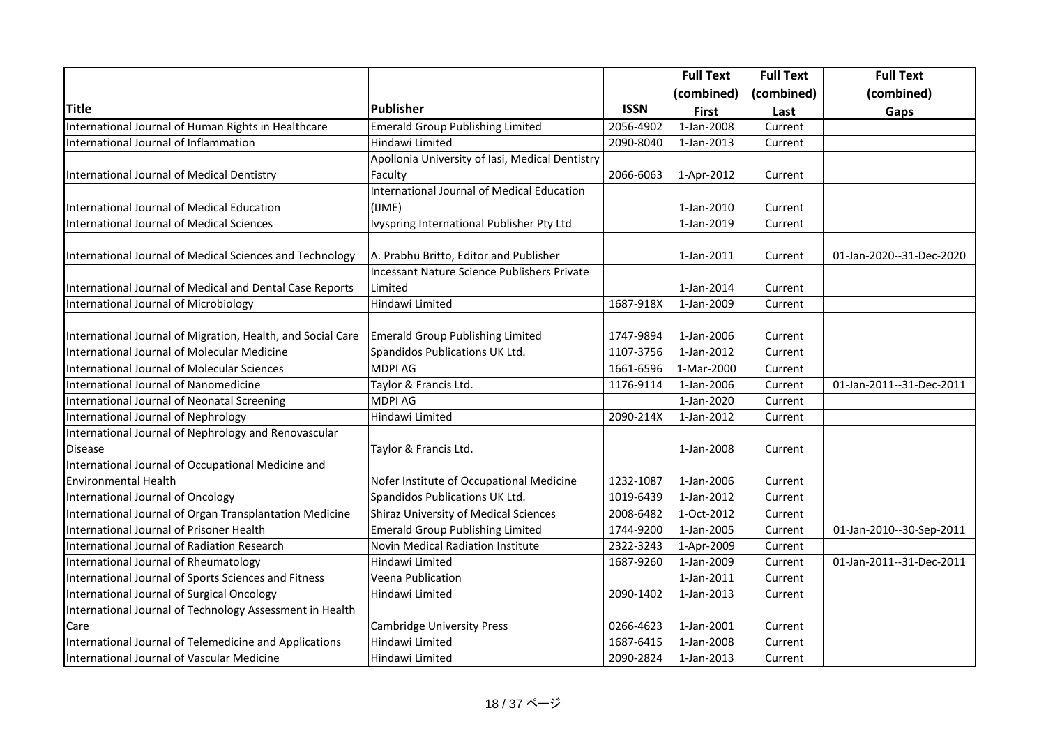|                                                             |                                                    |             | <b>Full Text</b>         | <b>Full Text</b> | <b>Full Text</b>         |
|-------------------------------------------------------------|----------------------------------------------------|-------------|--------------------------|------------------|--------------------------|
|                                                             |                                                    |             | (combined)               | (combined)       | (combined)               |
| <b>Title</b>                                                | Publisher                                          | <b>ISSN</b> | <b>First</b>             | Last             | Gaps                     |
| International Journal of Human Rights in Healthcare         | <b>Emerald Group Publishing Limited</b>            | 2056-4902   | 1-Jan-2008               | Current          |                          |
| International Journal of Inflammation                       | Hindawi Limited                                    | 2090-8040   | 1-Jan-2013               | Current          |                          |
|                                                             | Apollonia University of Iasi, Medical Dentistry    |             |                          |                  |                          |
| International Journal of Medical Dentistry                  | Faculty                                            | 2066-6063   | 1-Apr-2012               | Current          |                          |
|                                                             | International Journal of Medical Education         |             |                          |                  |                          |
| International Journal of Medical Education                  | (IJME)                                             |             | 1-Jan-2010               | Current          |                          |
| International Journal of Medical Sciences                   | Ivyspring International Publisher Pty Ltd          |             | 1-Jan-2019               | Current          |                          |
| International Journal of Medical Sciences and Technology    | A. Prabhu Britto, Editor and Publisher             |             | 1-Jan-2011               | Current          | 01-Jan-2020--31-Dec-2020 |
|                                                             | <b>Incessant Nature Science Publishers Private</b> |             |                          |                  |                          |
| International Journal of Medical and Dental Case Reports    | Limited                                            |             | 1-Jan-2014               | Current          |                          |
| International Journal of Microbiology                       | Hindawi Limited                                    | 1687-918X   | 1-Jan-2009               | Current          |                          |
| International Journal of Migration, Health, and Social Care | <b>Emerald Group Publishing Limited</b>            | 1747-9894   | 1-Jan-2006               | Current          |                          |
| International Journal of Molecular Medicine                 | Spandidos Publications UK Ltd.                     | 1107-3756   | 1-Jan-2012               | Current          |                          |
| International Journal of Molecular Sciences                 | <b>MDPI AG</b>                                     | 1661-6596   | 1-Mar-2000               | Current          |                          |
| International Journal of Nanomedicine                       | Taylor & Francis Ltd.                              | 1176-9114   | 1-Jan-2006               | Current          | 01-Jan-2011--31-Dec-2011 |
| International Journal of Neonatal Screening                 | <b>MDPI AG</b>                                     |             | 1-Jan-2020               | Current          |                          |
| International Journal of Nephrology                         | Hindawi Limited                                    | 2090-214X   | 1-Jan-2012               | Current          |                          |
| International Journal of Nephrology and Renovascular        |                                                    |             |                          |                  |                          |
| <b>Disease</b>                                              | Taylor & Francis Ltd.                              |             | 1-Jan-2008               | Current          |                          |
| International Journal of Occupational Medicine and          |                                                    |             |                          |                  |                          |
| <b>Environmental Health</b>                                 | Nofer Institute of Occupational Medicine           | 1232-1087   | 1-Jan-2006               | Current          |                          |
| International Journal of Oncology                           | Spandidos Publications UK Ltd.                     | 1019-6439   | 1-Jan-2012               | Current          |                          |
| International Journal of Organ Transplantation Medicine     | <b>Shiraz University of Medical Sciences</b>       | 2008-6482   | $\overline{1}$ -Oct-2012 | Current          |                          |
| International Journal of Prisoner Health                    | <b>Emerald Group Publishing Limited</b>            | 1744-9200   | 1-Jan-2005               | Current          | 01-Jan-2010--30-Sep-2011 |
| International Journal of Radiation Research                 | Novin Medical Radiation Institute                  | 2322-3243   | 1-Apr-2009               | Current          |                          |
| International Journal of Rheumatology                       | Hindawi Limited                                    | 1687-9260   | 1-Jan-2009               | Current          | 01-Jan-2011--31-Dec-2011 |
| International Journal of Sports Sciences and Fitness        | Veena Publication                                  |             | 1-Jan-2011               | Current          |                          |
| International Journal of Surgical Oncology                  | Hindawi Limited                                    | 2090-1402   | 1-Jan-2013               | Current          |                          |
| International Journal of Technology Assessment in Health    |                                                    |             |                          |                  |                          |
| Care                                                        | <b>Cambridge University Press</b>                  | 0266-4623   | 1-Jan-2001               | Current          |                          |
| International Journal of Telemedicine and Applications      | Hindawi Limited                                    | 1687-6415   | 1-Jan-2008               | Current          |                          |
| International Journal of Vascular Medicine                  | Hindawi Limited                                    | 2090-2824   | 1-Jan-2013               | Current          |                          |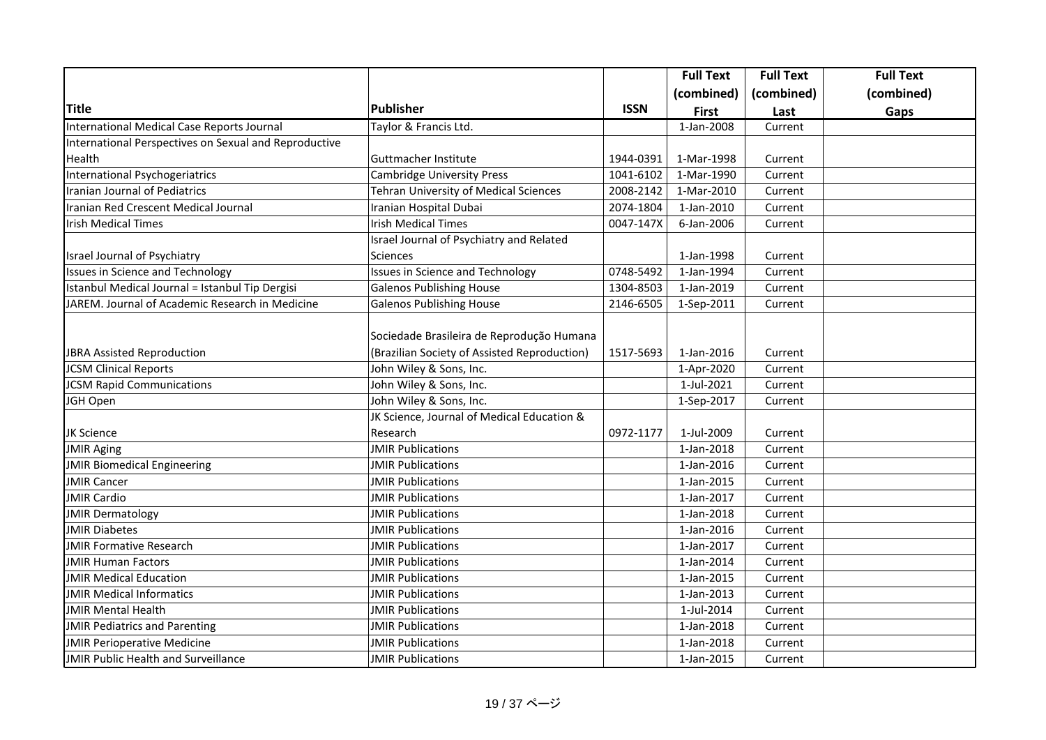|                                                       |                                              |             | <b>Full Text</b> | <b>Full Text</b> | <b>Full Text</b> |
|-------------------------------------------------------|----------------------------------------------|-------------|------------------|------------------|------------------|
|                                                       |                                              |             | (combined)       | (combined)       | (combined)       |
| <b>Title</b>                                          | Publisher                                    | <b>ISSN</b> | <b>First</b>     | Last             | Gaps             |
| International Medical Case Reports Journal            | Taylor & Francis Ltd.                        |             | 1-Jan-2008       | Current          |                  |
| International Perspectives on Sexual and Reproductive |                                              |             |                  |                  |                  |
| Health                                                | Guttmacher Institute                         | 1944-0391   | 1-Mar-1998       | Current          |                  |
| International Psychogeriatrics                        | <b>Cambridge University Press</b>            | 1041-6102   | 1-Mar-1990       | Current          |                  |
| Iranian Journal of Pediatrics                         | Tehran University of Medical Sciences        | 2008-2142   | 1-Mar-2010       | Current          |                  |
| Iranian Red Crescent Medical Journal                  | Iranian Hospital Dubai                       | 2074-1804   | 1-Jan-2010       | Current          |                  |
| <b>Irish Medical Times</b>                            | <b>Irish Medical Times</b>                   | 0047-147X   | 6-Jan-2006       | Current          |                  |
|                                                       | Israel Journal of Psychiatry and Related     |             |                  |                  |                  |
| Israel Journal of Psychiatry                          | <b>Sciences</b>                              |             | 1-Jan-1998       | Current          |                  |
| <b>Issues in Science and Technology</b>               | Issues in Science and Technology             | 0748-5492   | 1-Jan-1994       | Current          |                  |
| Istanbul Medical Journal = Istanbul Tip Dergisi       | <b>Galenos Publishing House</b>              | 1304-8503   | 1-Jan-2019       | Current          |                  |
| JAREM. Journal of Academic Research in Medicine       | <b>Galenos Publishing House</b>              | 2146-6505   | 1-Sep-2011       | Current          |                  |
|                                                       |                                              |             |                  |                  |                  |
|                                                       | Sociedade Brasileira de Reprodução Humana    |             |                  |                  |                  |
| <b>JBRA Assisted Reproduction</b>                     | (Brazilian Society of Assisted Reproduction) | 1517-5693   | 1-Jan-2016       | Current          |                  |
| <b>JCSM Clinical Reports</b>                          | John Wiley & Sons, Inc.                      |             | 1-Apr-2020       | Current          |                  |
| <b>JCSM Rapid Communications</b>                      | John Wiley & Sons, Inc.                      |             | 1-Jul-2021       | Current          |                  |
| JGH Open                                              | John Wiley & Sons, Inc.                      |             | 1-Sep-2017       | Current          |                  |
|                                                       | JK Science, Journal of Medical Education &   |             |                  |                  |                  |
| JK Science                                            | Research                                     | 0972-1177   | 1-Jul-2009       | Current          |                  |
| <b>JMIR Aging</b>                                     | <b>JMIR Publications</b>                     |             | 1-Jan-2018       | Current          |                  |
| <b>JMIR Biomedical Engineering</b>                    | <b>JMIR Publications</b>                     |             | 1-Jan-2016       | Current          |                  |
| <b>JMIR Cancer</b>                                    | <b>JMIR Publications</b>                     |             | 1-Jan-2015       | Current          |                  |
| <b>JMIR Cardio</b>                                    | <b>JMIR Publications</b>                     |             | 1-Jan-2017       | Current          |                  |
| <b>JMIR Dermatology</b>                               | <b>JMIR Publications</b>                     |             | 1-Jan-2018       | Current          |                  |
| <b>JMIR Diabetes</b>                                  | <b>JMIR Publications</b>                     |             | 1-Jan-2016       | Current          |                  |
| <b>JMIR Formative Research</b>                        | <b>JMIR Publications</b>                     |             | 1-Jan-2017       | Current          |                  |
| <b>JMIR Human Factors</b>                             | <b>JMIR Publications</b>                     |             | 1-Jan-2014       | Current          |                  |
| <b>JMIR Medical Education</b>                         | <b>JMIR Publications</b>                     |             | 1-Jan-2015       | Current          |                  |
| <b>JMIR Medical Informatics</b>                       | <b>JMIR Publications</b>                     |             | 1-Jan-2013       | Current          |                  |
| <b>JMIR Mental Health</b>                             | <b>JMIR Publications</b>                     |             | 1-Jul-2014       | Current          |                  |
| <b>JMIR Pediatrics and Parenting</b>                  | <b>JMIR Publications</b>                     |             | 1-Jan-2018       | Current          |                  |
| <b>JMIR Perioperative Medicine</b>                    | <b>JMIR Publications</b>                     |             | 1-Jan-2018       | Current          |                  |
| JMIR Public Health and Surveillance                   | JMIR Publications                            |             | 1-Jan-2015       | Current          |                  |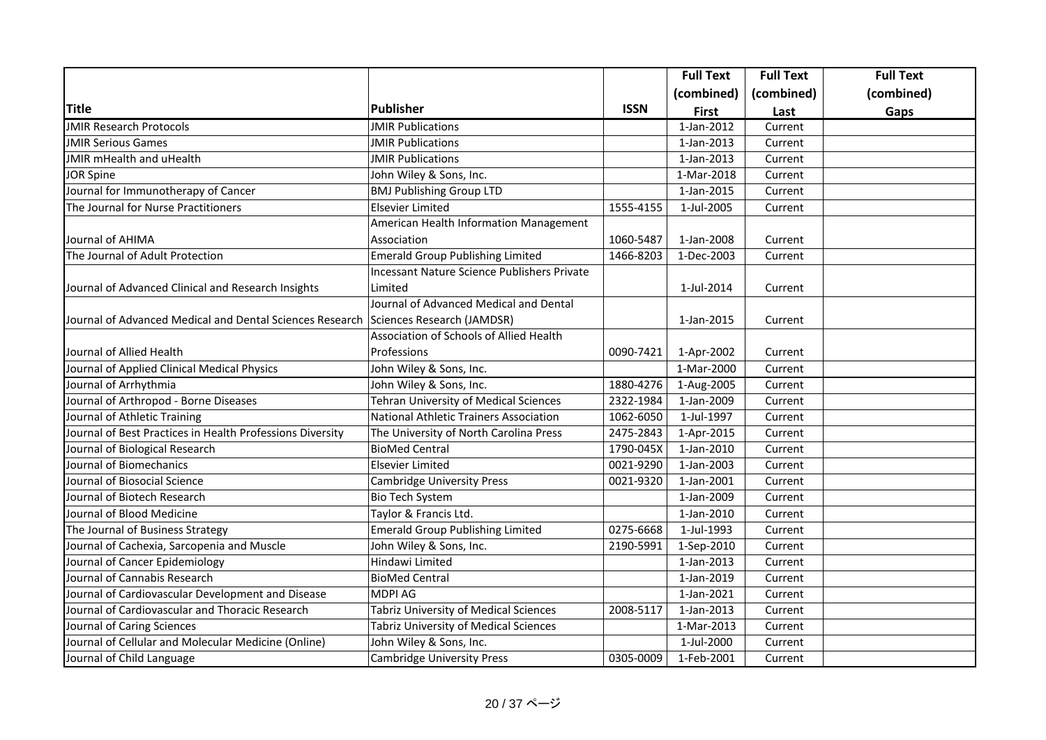|                                                           |                                               |             | <b>Full Text</b> | <b>Full Text</b> | <b>Full Text</b> |
|-----------------------------------------------------------|-----------------------------------------------|-------------|------------------|------------------|------------------|
|                                                           |                                               |             | (combined)       | (combined)       | (combined)       |
| <b>Title</b>                                              | Publisher                                     | <b>ISSN</b> | <b>First</b>     | Last             | Gaps             |
| <b>JMIR Research Protocols</b>                            | <b>JMIR Publications</b>                      |             | 1-Jan-2012       | Current          |                  |
| <b>JMIR Serious Games</b>                                 | <b>JMIR Publications</b>                      |             | 1-Jan-2013       | Current          |                  |
| JMIR mHealth and uHealth                                  | <b>JMIR Publications</b>                      |             | 1-Jan-2013       | Current          |                  |
| <b>JOR Spine</b>                                          | John Wiley & Sons, Inc.                       |             | 1-Mar-2018       | Current          |                  |
| Journal for Immunotherapy of Cancer                       | <b>BMJ Publishing Group LTD</b>               |             | 1-Jan-2015       | Current          |                  |
| The Journal for Nurse Practitioners                       | Elsevier Limited                              | 1555-4155   | 1-Jul-2005       | Current          |                  |
|                                                           | American Health Information Management        |             |                  |                  |                  |
| Journal of AHIMA                                          | Association                                   | 1060-5487   | 1-Jan-2008       | Current          |                  |
| The Journal of Adult Protection                           | <b>Emerald Group Publishing Limited</b>       | 1466-8203   | 1-Dec-2003       | Current          |                  |
|                                                           | Incessant Nature Science Publishers Private   |             |                  |                  |                  |
| Journal of Advanced Clinical and Research Insights        | Limited                                       |             | 1-Jul-2014       | Current          |                  |
|                                                           | Journal of Advanced Medical and Dental        |             |                  |                  |                  |
| Journal of Advanced Medical and Dental Sciences Research  | Sciences Research (JAMDSR)                    |             | 1-Jan-2015       | Current          |                  |
|                                                           | Association of Schools of Allied Health       |             |                  |                  |                  |
| Journal of Allied Health                                  | Professions                                   | 0090-7421   | 1-Apr-2002       | Current          |                  |
| Journal of Applied Clinical Medical Physics               | John Wiley & Sons, Inc.                       |             | 1-Mar-2000       | Current          |                  |
| Journal of Arrhythmia                                     | John Wiley & Sons, Inc.                       | 1880-4276   | 1-Aug-2005       | Current          |                  |
| Journal of Arthropod - Borne Diseases                     | Tehran University of Medical Sciences         | 2322-1984   | 1-Jan-2009       | Current          |                  |
| Journal of Athletic Training                              | <b>National Athletic Trainers Association</b> | 1062-6050   | 1-Jul-1997       | Current          |                  |
| Journal of Best Practices in Health Professions Diversity | The University of North Carolina Press        | 2475-2843   | 1-Apr-2015       | Current          |                  |
| Journal of Biological Research                            | <b>BioMed Central</b>                         | 1790-045X   | 1-Jan-2010       | Current          |                  |
| Journal of Biomechanics                                   | Elsevier Limited                              | 0021-9290   | 1-Jan-2003       | Current          |                  |
| Journal of Biosocial Science                              | <b>Cambridge University Press</b>             | 0021-9320   | 1-Jan-2001       | Current          |                  |
| Journal of Biotech Research                               | <b>Bio Tech System</b>                        |             | 1-Jan-2009       | Current          |                  |
| Journal of Blood Medicine                                 | Taylor & Francis Ltd.                         |             | 1-Jan-2010       | Current          |                  |
| The Journal of Business Strategy                          | <b>Emerald Group Publishing Limited</b>       | 0275-6668   | 1-Jul-1993       | Current          |                  |
| Journal of Cachexia, Sarcopenia and Muscle                | John Wiley & Sons, Inc.                       | 2190-5991   | 1-Sep-2010       | Current          |                  |
| Journal of Cancer Epidemiology                            | Hindawi Limited                               |             | 1-Jan-2013       | Current          |                  |
| Journal of Cannabis Research                              | BioMed Central                                |             | 1-Jan-2019       | Current          |                  |
| Journal of Cardiovascular Development and Disease         | <b>MDPI AG</b>                                |             | 1-Jan-2021       | Current          |                  |
| Journal of Cardiovascular and Thoracic Research           | Tabriz University of Medical Sciences         | 2008-5117   | 1-Jan-2013       | Current          |                  |
| Journal of Caring Sciences                                | Tabriz University of Medical Sciences         |             | 1-Mar-2013       | Current          |                  |
| Journal of Cellular and Molecular Medicine (Online)       | John Wiley & Sons, Inc.                       |             | 1-Jul-2000       | Current          |                  |
| Journal of Child Language                                 | <b>Cambridge University Press</b>             | 0305-0009   | 1-Feb-2001       | Current          |                  |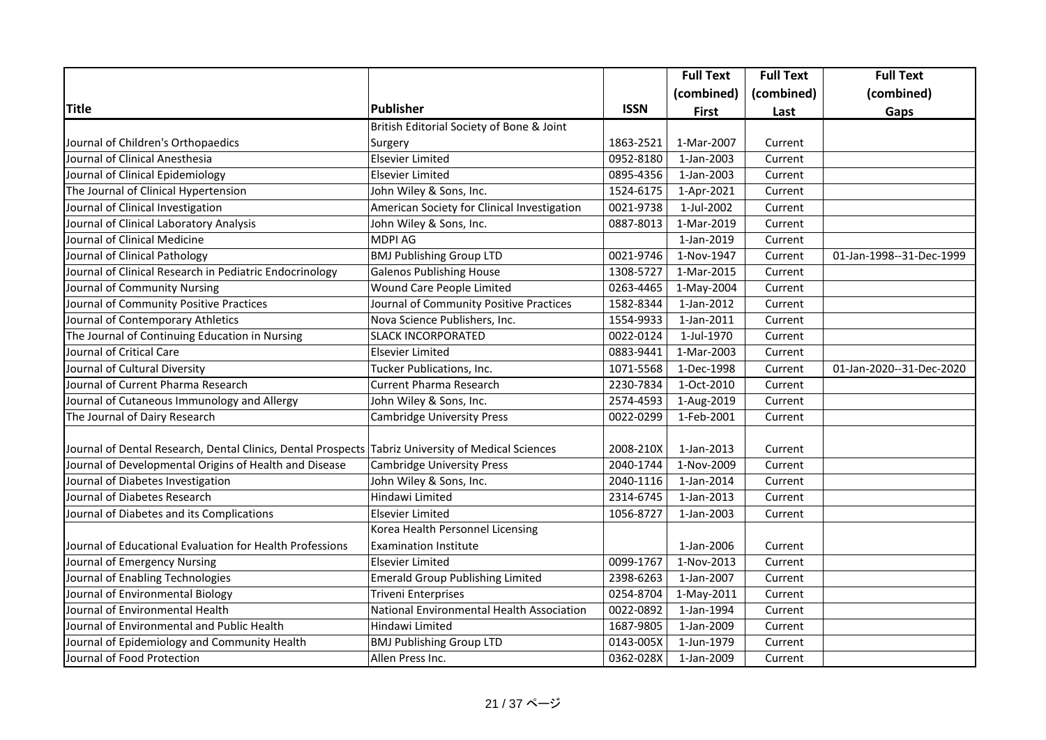|                                                                                                    |                                             |             | <b>Full Text</b> | <b>Full Text</b> | <b>Full Text</b>         |
|----------------------------------------------------------------------------------------------------|---------------------------------------------|-------------|------------------|------------------|--------------------------|
|                                                                                                    |                                             |             | (combined)       | (combined)       | (combined)               |
| <b>Title</b>                                                                                       | Publisher                                   | <b>ISSN</b> | <b>First</b>     | Last             | Gaps                     |
|                                                                                                    | British Editorial Society of Bone & Joint   |             |                  |                  |                          |
| Journal of Children's Orthopaedics                                                                 | Surgery                                     | 1863-2521   | 1-Mar-2007       | Current          |                          |
| Journal of Clinical Anesthesia                                                                     | <b>Elsevier Limited</b>                     | 0952-8180   | 1-Jan-2003       | Current          |                          |
| Journal of Clinical Epidemiology                                                                   | Elsevier Limited                            | 0895-4356   | 1-Jan-2003       | Current          |                          |
| The Journal of Clinical Hypertension                                                               | John Wiley & Sons, Inc.                     | 1524-6175   | 1-Apr-2021       | Current          |                          |
| Journal of Clinical Investigation                                                                  | American Society for Clinical Investigation | 0021-9738   | 1-Jul-2002       | Current          |                          |
| Journal of Clinical Laboratory Analysis                                                            | John Wiley & Sons, Inc.                     | 0887-8013   | 1-Mar-2019       | Current          |                          |
| Journal of Clinical Medicine                                                                       | <b>MDPI AG</b>                              |             | 1-Jan-2019       | Current          |                          |
| Journal of Clinical Pathology                                                                      | <b>BMJ Publishing Group LTD</b>             | 0021-9746   | 1-Nov-1947       | Current          | 01-Jan-1998--31-Dec-1999 |
| Journal of Clinical Research in Pediatric Endocrinology                                            | <b>Galenos Publishing House</b>             | 1308-5727   | 1-Mar-2015       | Current          |                          |
| Journal of Community Nursing                                                                       | Wound Care People Limited                   | 0263-4465   | 1-May-2004       | Current          |                          |
| Journal of Community Positive Practices                                                            | Journal of Community Positive Practices     | 1582-8344   | 1-Jan-2012       | Current          |                          |
| Journal of Contemporary Athletics                                                                  | Nova Science Publishers, Inc.               | 1554-9933   | 1-Jan-2011       | Current          |                          |
| The Journal of Continuing Education in Nursing                                                     | <b>SLACK INCORPORATED</b>                   | 0022-0124   | 1-Jul-1970       | Current          |                          |
| Journal of Critical Care                                                                           | <b>Elsevier Limited</b>                     | 0883-9441   | 1-Mar-2003       | Current          |                          |
| Journal of Cultural Diversity                                                                      | Tucker Publications, Inc.                   | 1071-5568   | 1-Dec-1998       | Current          | 01-Jan-2020--31-Dec-2020 |
| Journal of Current Pharma Research                                                                 | <b>Current Pharma Research</b>              | 2230-7834   | 1-Oct-2010       | Current          |                          |
| Journal of Cutaneous Immunology and Allergy                                                        | John Wiley & Sons, Inc.                     | 2574-4593   | 1-Aug-2019       | Current          |                          |
| The Journal of Dairy Research                                                                      | <b>Cambridge University Press</b>           | 0022-0299   | 1-Feb-2001       | Current          |                          |
|                                                                                                    |                                             |             |                  |                  |                          |
| Journal of Dental Research, Dental Clinics, Dental Prospects Tabriz University of Medical Sciences |                                             | 2008-210X   | 1-Jan-2013       | Current          |                          |
| Journal of Developmental Origins of Health and Disease                                             | <b>Cambridge University Press</b>           | 2040-1744   | 1-Nov-2009       | Current          |                          |
| Journal of Diabetes Investigation                                                                  | John Wiley & Sons, Inc.                     | 2040-1116   | 1-Jan-2014       | Current          |                          |
| Journal of Diabetes Research                                                                       | Hindawi Limited                             | 2314-6745   | 1-Jan-2013       | Current          |                          |
| Journal of Diabetes and its Complications                                                          | Elsevier Limited                            | 1056-8727   | 1-Jan-2003       | Current          |                          |
|                                                                                                    | Korea Health Personnel Licensing            |             |                  |                  |                          |
| Journal of Educational Evaluation for Health Professions                                           | <b>Examination Institute</b>                |             | 1-Jan-2006       | Current          |                          |
| Journal of Emergency Nursing                                                                       | <b>Elsevier Limited</b>                     | 0099-1767   | 1-Nov-2013       | Current          |                          |
| Journal of Enabling Technologies                                                                   | <b>Emerald Group Publishing Limited</b>     | 2398-6263   | 1-Jan-2007       | Current          |                          |
| Journal of Environmental Biology                                                                   | <b>Triveni Enterprises</b>                  | 0254-8704   | 1-May-2011       | Current          |                          |
| Journal of Environmental Health                                                                    | National Environmental Health Association   | 0022-0892   | 1-Jan-1994       | Current          |                          |
| Journal of Environmental and Public Health                                                         | Hindawi Limited                             | 1687-9805   | 1-Jan-2009       | Current          |                          |
| Journal of Epidemiology and Community Health                                                       | <b>BMJ Publishing Group LTD</b>             | 0143-005X   | 1-Jun-1979       | Current          |                          |
| Journal of Food Protection                                                                         | Allen Press Inc.                            | 0362-028X   | 1-Jan-2009       | Current          |                          |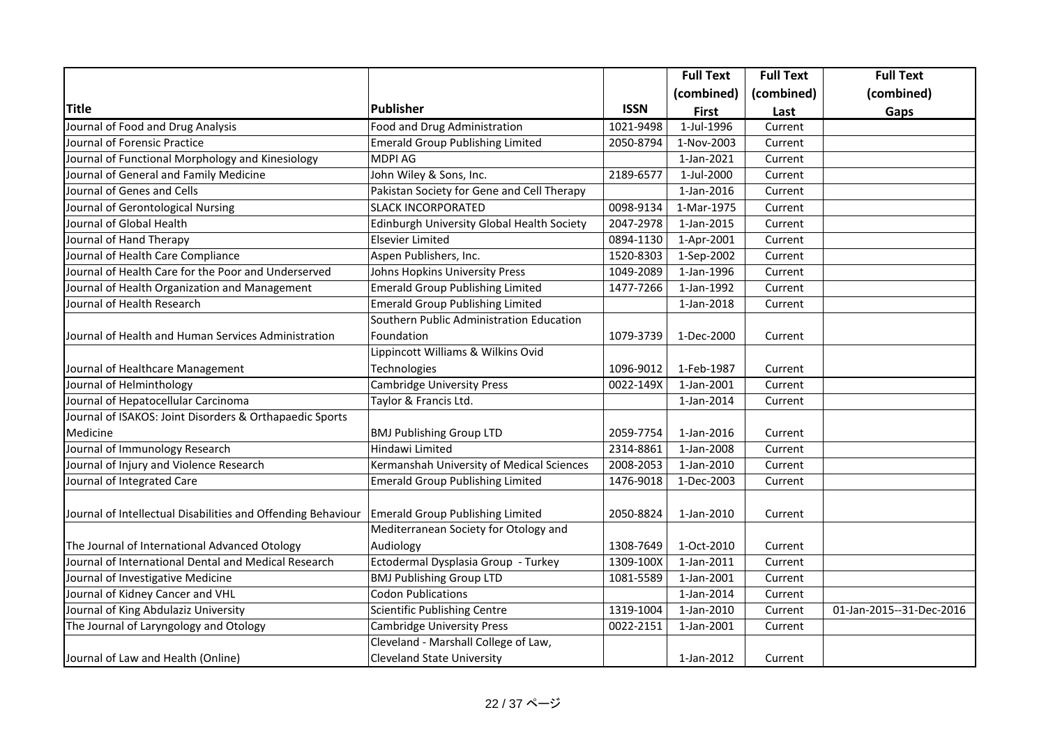|                                                              |                                            |             | <b>Full Text</b>         | <b>Full Text</b> | <b>Full Text</b>         |
|--------------------------------------------------------------|--------------------------------------------|-------------|--------------------------|------------------|--------------------------|
|                                                              |                                            |             | (combined)               | (combined)       | (combined)               |
| <b>Title</b>                                                 | <b>Publisher</b>                           | <b>ISSN</b> | <b>First</b>             | Last             | Gaps                     |
| Journal of Food and Drug Analysis                            | Food and Drug Administration               | 1021-9498   | 1-Jul-1996               | Current          |                          |
| Journal of Forensic Practice                                 | Emerald Group Publishing Limited           | 2050-8794   | 1-Nov-2003               | Current          |                          |
| Journal of Functional Morphology and Kinesiology             | <b>MDPI AG</b>                             |             | 1-Jan-2021               | Current          |                          |
| Journal of General and Family Medicine                       | John Wiley & Sons, Inc.                    | 2189-6577   | 1-Jul-2000               | Current          |                          |
| Journal of Genes and Cells                                   | Pakistan Society for Gene and Cell Therapy |             | $\overline{1}$ -Jan-2016 | Current          |                          |
| Journal of Gerontological Nursing                            | <b>SLACK INCORPORATED</b>                  | 0098-9134   | 1-Mar-1975               | Current          |                          |
| Journal of Global Health                                     | Edinburgh University Global Health Society | 2047-2978   | 1-Jan-2015               | Current          |                          |
| Journal of Hand Therapy                                      | <b>Elsevier Limited</b>                    | 0894-1130   | 1-Apr-2001               | Current          |                          |
| Journal of Health Care Compliance                            | Aspen Publishers, Inc.                     | 1520-8303   | 1-Sep-2002               | Current          |                          |
| Journal of Health Care for the Poor and Underserved          | Johns Hopkins University Press             | 1049-2089   | 1-Jan-1996               | Current          |                          |
| Journal of Health Organization and Management                | Emerald Group Publishing Limited           | 1477-7266   | 1-Jan-1992               | Current          |                          |
| Journal of Health Research                                   | Emerald Group Publishing Limited           |             | 1-Jan-2018               | Current          |                          |
|                                                              | Southern Public Administration Education   |             |                          |                  |                          |
| Journal of Health and Human Services Administration          | Foundation                                 | 1079-3739   | 1-Dec-2000               | Current          |                          |
|                                                              | Lippincott Williams & Wilkins Ovid         |             |                          |                  |                          |
| Journal of Healthcare Management                             | Technologies                               | 1096-9012   | 1-Feb-1987               | Current          |                          |
| Journal of Helminthology                                     | <b>Cambridge University Press</b>          | 0022-149X   | 1-Jan-2001               | Current          |                          |
| Journal of Hepatocellular Carcinoma                          | Taylor & Francis Ltd.                      |             | 1-Jan-2014               | Current          |                          |
| Journal of ISAKOS: Joint Disorders & Orthapaedic Sports      |                                            |             |                          |                  |                          |
| Medicine                                                     | <b>BMJ Publishing Group LTD</b>            | 2059-7754   | 1-Jan-2016               | Current          |                          |
| Journal of Immunology Research                               | Hindawi Limited                            | 2314-8861   | 1-Jan-2008               | Current          |                          |
| Journal of Injury and Violence Research                      | Kermanshah University of Medical Sciences  | 2008-2053   | 1-Jan-2010               | Current          |                          |
| Journal of Integrated Care                                   | <b>Emerald Group Publishing Limited</b>    | 1476-9018   | 1-Dec-2003               | Current          |                          |
| Journal of Intellectual Disabilities and Offending Behaviour | <b>Emerald Group Publishing Limited</b>    | 2050-8824   | 1-Jan-2010               | Current          |                          |
|                                                              | Mediterranean Society for Otology and      |             |                          |                  |                          |
| The Journal of International Advanced Otology                | Audiology                                  | 1308-7649   | 1-Oct-2010               | Current          |                          |
| Journal of International Dental and Medical Research         | Ectodermal Dysplasia Group - Turkey        | 1309-100X   | 1-Jan-2011               | Current          |                          |
| Journal of Investigative Medicine                            | <b>BMJ Publishing Group LTD</b>            | 1081-5589   | 1-Jan-2001               | Current          |                          |
| Journal of Kidney Cancer and VHL                             | <b>Codon Publications</b>                  |             | 1-Jan-2014               | Current          |                          |
| Journal of King Abdulaziz University                         | Scientific Publishing Centre               | 1319-1004   | 1-Jan-2010               | Current          | 01-Jan-2015--31-Dec-2016 |
| The Journal of Laryngology and Otology                       | <b>Cambridge University Press</b>          | 0022-2151   | 1-Jan-2001               | Current          |                          |
|                                                              | Cleveland - Marshall College of Law,       |             |                          |                  |                          |
| Journal of Law and Health (Online)                           | <b>Cleveland State University</b>          |             | 1-Jan-2012               | Current          |                          |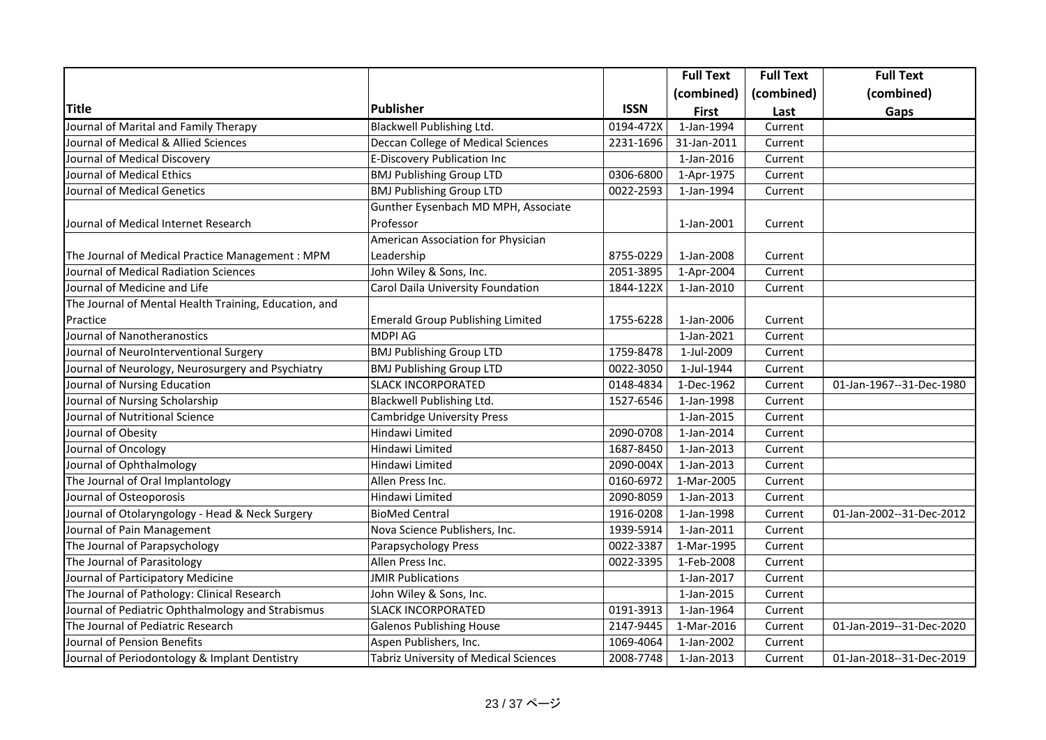|                                                       |                                         |             | <b>Full Text</b> | <b>Full Text</b> | <b>Full Text</b>         |
|-------------------------------------------------------|-----------------------------------------|-------------|------------------|------------------|--------------------------|
|                                                       |                                         |             | (combined)       | (combined)       | (combined)               |
| <b>Title</b>                                          | Publisher                               | <b>ISSN</b> | <b>First</b>     | Last             | Gaps                     |
| Journal of Marital and Family Therapy                 | <b>Blackwell Publishing Ltd.</b>        | 0194-472X   | 1-Jan-1994       | Current          |                          |
| Journal of Medical & Allied Sciences                  | Deccan College of Medical Sciences      | 2231-1696   | 31-Jan-2011      | Current          |                          |
| Journal of Medical Discovery                          | E-Discovery Publication Inc             |             | 1-Jan-2016       | Current          |                          |
| Journal of Medical Ethics                             | <b>BMJ Publishing Group LTD</b>         | 0306-6800   | 1-Apr-1975       | Current          |                          |
| Journal of Medical Genetics                           | <b>BMJ Publishing Group LTD</b>         | 0022-2593   | 1-Jan-1994       | Current          |                          |
|                                                       | Gunther Eysenbach MD MPH, Associate     |             |                  |                  |                          |
| Journal of Medical Internet Research                  | Professor                               |             | 1-Jan-2001       | Current          |                          |
|                                                       | American Association for Physician      |             |                  |                  |                          |
| The Journal of Medical Practice Management : MPM      | Leadership                              | 8755-0229   | 1-Jan-2008       | Current          |                          |
| Journal of Medical Radiation Sciences                 | John Wiley & Sons, Inc.                 | 2051-3895   | 1-Apr-2004       | Current          |                          |
| Journal of Medicine and Life                          | Carol Daila University Foundation       | 1844-122X   | 1-Jan-2010       | Current          |                          |
| The Journal of Mental Health Training, Education, and |                                         |             |                  |                  |                          |
| Practice                                              | <b>Emerald Group Publishing Limited</b> | 1755-6228   | 1-Jan-2006       | Current          |                          |
| Journal of Nanotheranostics                           | MDPI AG                                 |             | 1-Jan-2021       | Current          |                          |
| Journal of NeuroInterventional Surgery                | <b>BMJ Publishing Group LTD</b>         | 1759-8478   | 1-Jul-2009       | Current          |                          |
| Journal of Neurology, Neurosurgery and Psychiatry     | <b>BMJ Publishing Group LTD</b>         | 0022-3050   | 1-Jul-1944       | Current          |                          |
| Journal of Nursing Education                          | <b>SLACK INCORPORATED</b>               | 0148-4834   | 1-Dec-1962       | Current          | 01-Jan-1967--31-Dec-1980 |
| Journal of Nursing Scholarship                        | Blackwell Publishing Ltd.               | 1527-6546   | 1-Jan-1998       | Current          |                          |
| Journal of Nutritional Science                        | <b>Cambridge University Press</b>       |             | 1-Jan-2015       | Current          |                          |
| Journal of Obesity                                    | Hindawi Limited                         | 2090-0708   | 1-Jan-2014       | Current          |                          |
| Journal of Oncology                                   | Hindawi Limited                         | 1687-8450   | 1-Jan-2013       | Current          |                          |
| Journal of Ophthalmology                              | Hindawi Limited                         | 2090-004X   | 1-Jan-2013       | Current          |                          |
| The Journal of Oral Implantology                      | Allen Press Inc.                        | 0160-6972   | 1-Mar-2005       | Current          |                          |
| Journal of Osteoporosis                               | Hindawi Limited                         | 2090-8059   | 1-Jan-2013       | Current          |                          |
| Journal of Otolaryngology - Head & Neck Surgery       | <b>BioMed Central</b>                   | 1916-0208   | 1-Jan-1998       | Current          | 01-Jan-2002--31-Dec-2012 |
| Journal of Pain Management                            | Nova Science Publishers, Inc.           | 1939-5914   | 1-Jan-2011       | Current          |                          |
| The Journal of Parapsychology                         | Parapsychology Press                    | 0022-3387   | 1-Mar-1995       | Current          |                          |
| The Journal of Parasitology                           | Allen Press Inc.                        | 0022-3395   | 1-Feb-2008       | Current          |                          |
| Journal of Participatory Medicine                     | <b>JMIR Publications</b>                |             | 1-Jan-2017       | Current          |                          |
| The Journal of Pathology: Clinical Research           | John Wiley & Sons, Inc.                 |             | 1-Jan-2015       | Current          |                          |
| Journal of Pediatric Ophthalmology and Strabismus     | <b>SLACK INCORPORATED</b>               | 0191-3913   | 1-Jan-1964       | Current          |                          |
| The Journal of Pediatric Research                     | <b>Galenos Publishing House</b>         | 2147-9445   | 1-Mar-2016       | Current          | 01-Jan-2019--31-Dec-2020 |
| Journal of Pension Benefits                           | Aspen Publishers, Inc.                  | 1069-4064   | 1-Jan-2002       | Current          |                          |
| Journal of Periodontology & Implant Dentistry         | Tabriz University of Medical Sciences   | 2008-7748   | 1-Jan-2013       | Current          | 01-Jan-2018--31-Dec-2019 |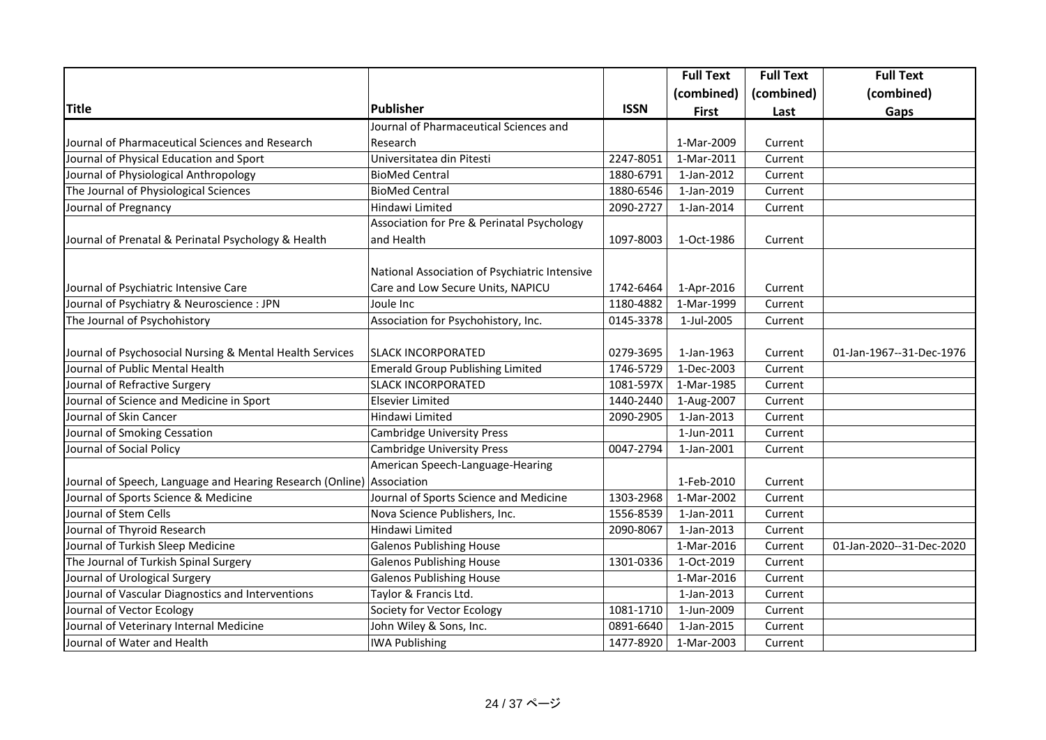|                                                           |                                               |             | <b>Full Text</b> | <b>Full Text</b> | <b>Full Text</b>         |
|-----------------------------------------------------------|-----------------------------------------------|-------------|------------------|------------------|--------------------------|
|                                                           |                                               |             | (combined)       | (combined)       | (combined)               |
| <b>Title</b>                                              | Publisher                                     | <b>ISSN</b> | <b>First</b>     | Last             | Gaps                     |
|                                                           | Journal of Pharmaceutical Sciences and        |             |                  |                  |                          |
| Journal of Pharmaceutical Sciences and Research           | Research                                      |             | 1-Mar-2009       | Current          |                          |
| Journal of Physical Education and Sport                   | Universitatea din Pitesti                     | 2247-8051   | 1-Mar-2011       | Current          |                          |
| Journal of Physiological Anthropology                     | <b>BioMed Central</b>                         | 1880-6791   | 1-Jan-2012       | Current          |                          |
| The Journal of Physiological Sciences                     | <b>BioMed Central</b>                         | 1880-6546   | 1-Jan-2019       | Current          |                          |
| Journal of Pregnancy                                      | Hindawi Limited                               | 2090-2727   | 1-Jan-2014       | Current          |                          |
|                                                           | Association for Pre & Perinatal Psychology    |             |                  |                  |                          |
| Journal of Prenatal & Perinatal Psychology & Health       | and Health                                    | 1097-8003   | 1-Oct-1986       | Current          |                          |
|                                                           |                                               |             |                  |                  |                          |
|                                                           | National Association of Psychiatric Intensive |             |                  |                  |                          |
| Journal of Psychiatric Intensive Care                     | Care and Low Secure Units, NAPICU             | 1742-6464   | 1-Apr-2016       | Current          |                          |
| Journal of Psychiatry & Neuroscience : JPN                | Joule Inc                                     | 1180-4882   | 1-Mar-1999       | Current          |                          |
| The Journal of Psychohistory                              | Association for Psychohistory, Inc.           | 0145-3378   | 1-Jul-2005       | Current          |                          |
|                                                           |                                               |             |                  |                  |                          |
| Journal of Psychosocial Nursing & Mental Health Services  | <b>SLACK INCORPORATED</b>                     | 0279-3695   | 1-Jan-1963       | Current          | 01-Jan-1967--31-Dec-1976 |
| Journal of Public Mental Health                           | <b>Emerald Group Publishing Limited</b>       | 1746-5729   | 1-Dec-2003       | Current          |                          |
| Journal of Refractive Surgery                             | <b>SLACK INCORPORATED</b>                     | 1081-597X   | 1-Mar-1985       | Current          |                          |
| Journal of Science and Medicine in Sport                  | <b>Elsevier Limited</b>                       | 1440-2440   | 1-Aug-2007       | Current          |                          |
| Journal of Skin Cancer                                    | Hindawi Limited                               | 2090-2905   | 1-Jan-2013       | Current          |                          |
| Journal of Smoking Cessation                              | <b>Cambridge University Press</b>             |             | 1-Jun-2011       | Current          |                          |
| Journal of Social Policy                                  | Cambridge University Press                    | 0047-2794   | 1-Jan-2001       | Current          |                          |
|                                                           | American Speech-Language-Hearing              |             |                  |                  |                          |
| Journal of Speech, Language and Hearing Research (Online) | Association                                   |             | 1-Feb-2010       | Current          |                          |
| Journal of Sports Science & Medicine                      | Journal of Sports Science and Medicine        | 1303-2968   | 1-Mar-2002       | Current          |                          |
| Journal of Stem Cells                                     | Nova Science Publishers, Inc.                 | 1556-8539   | 1-Jan-2011       | Current          |                          |
| Journal of Thyroid Research                               | Hindawi Limited                               | 2090-8067   | 1-Jan-2013       | Current          |                          |
| Journal of Turkish Sleep Medicine                         | <b>Galenos Publishing House</b>               |             | 1-Mar-2016       | Current          | 01-Jan-2020--31-Dec-2020 |
| The Journal of Turkish Spinal Surgery                     | <b>Galenos Publishing House</b>               | 1301-0336   | 1-Oct-2019       | Current          |                          |
| Journal of Urological Surgery                             | <b>Galenos Publishing House</b>               |             | 1-Mar-2016       | Current          |                          |
| Journal of Vascular Diagnostics and Interventions         | Taylor & Francis Ltd.                         |             | 1-Jan-2013       | Current          |                          |
| Journal of Vector Ecology                                 | Society for Vector Ecology                    | 1081-1710   | 1-Jun-2009       | Current          |                          |
| Journal of Veterinary Internal Medicine                   | John Wiley & Sons, Inc.                       | 0891-6640   | 1-Jan-2015       | Current          |                          |
| Journal of Water and Health                               | <b>IWA Publishing</b>                         | 1477-8920   | 1-Mar-2003       | Current          |                          |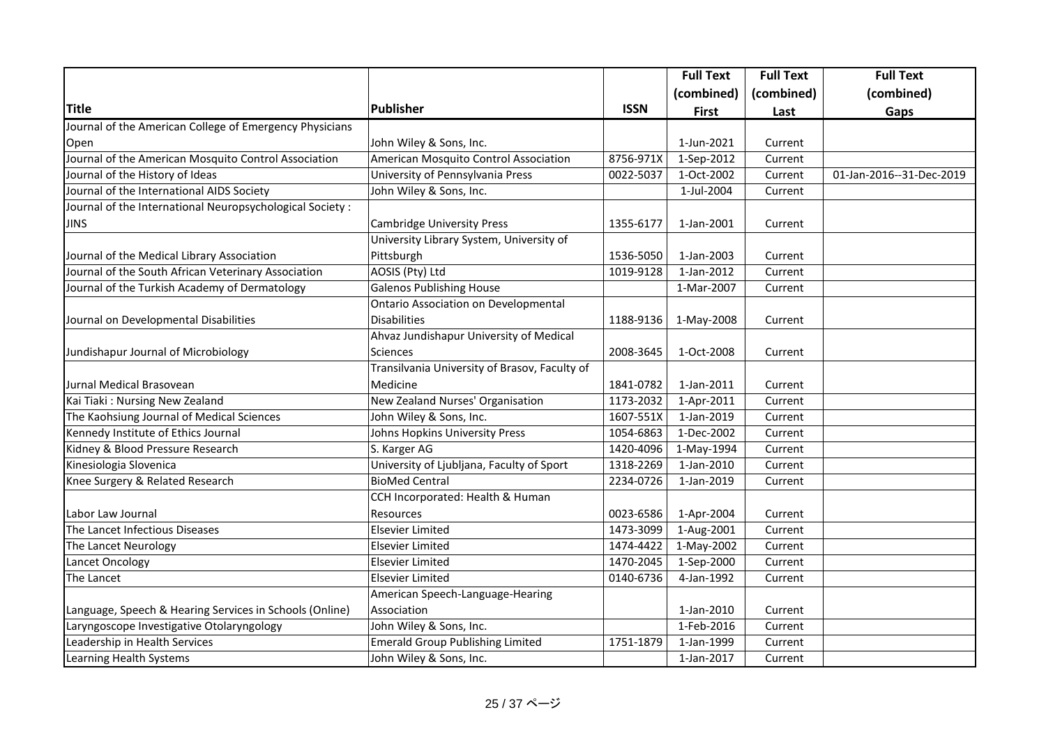|                                                           |                                               |             | <b>Full Text</b> | <b>Full Text</b> | <b>Full Text</b>         |
|-----------------------------------------------------------|-----------------------------------------------|-------------|------------------|------------------|--------------------------|
|                                                           |                                               |             | (combined)       | (combined)       | (combined)               |
| <b>Title</b>                                              | Publisher                                     | <b>ISSN</b> | <b>First</b>     | Last             | Gaps                     |
| Journal of the American College of Emergency Physicians   |                                               |             |                  |                  |                          |
| Open                                                      | John Wiley & Sons, Inc.                       |             | 1-Jun-2021       | Current          |                          |
| Journal of the American Mosquito Control Association      | American Mosquito Control Association         | 8756-971X   | 1-Sep-2012       | Current          |                          |
| Journal of the History of Ideas                           | University of Pennsylvania Press              | 0022-5037   | 1-Oct-2002       | Current          | 01-Jan-2016--31-Dec-2019 |
| Journal of the International AIDS Society                 | John Wiley & Sons, Inc.                       |             | 1-Jul-2004       | Current          |                          |
| Journal of the International Neuropsychological Society : |                                               |             |                  |                  |                          |
| <b>JINS</b>                                               | Cambridge University Press                    | 1355-6177   | 1-Jan-2001       | Current          |                          |
|                                                           | University Library System, University of      |             |                  |                  |                          |
| Journal of the Medical Library Association                | Pittsburgh                                    | 1536-5050   | 1-Jan-2003       | Current          |                          |
| Journal of the South African Veterinary Association       | AOSIS (Pty) Ltd                               | 1019-9128   | 1-Jan-2012       | Current          |                          |
| Journal of the Turkish Academy of Dermatology             | <b>Galenos Publishing House</b>               |             | 1-Mar-2007       | Current          |                          |
|                                                           | <b>Ontario Association on Developmental</b>   |             |                  |                  |                          |
| Journal on Developmental Disabilities                     | <b>Disabilities</b>                           | 1188-9136   | 1-May-2008       | Current          |                          |
|                                                           | Ahvaz Jundishapur University of Medical       |             |                  |                  |                          |
| Jundishapur Journal of Microbiology                       | Sciences                                      | 2008-3645   | 1-Oct-2008       | Current          |                          |
|                                                           | Transilvania University of Brasov, Faculty of |             |                  |                  |                          |
| Jurnal Medical Brasovean                                  | Medicine                                      | 1841-0782   | 1-Jan-2011       | Current          |                          |
| Kai Tiaki: Nursing New Zealand                            | New Zealand Nurses' Organisation              | 1173-2032   | 1-Apr-2011       | Current          |                          |
| The Kaohsiung Journal of Medical Sciences                 | John Wiley & Sons, Inc.                       | 1607-551X   | 1-Jan-2019       | Current          |                          |
| Kennedy Institute of Ethics Journal                       | Johns Hopkins University Press                | 1054-6863   | 1-Dec-2002       | Current          |                          |
| Kidney & Blood Pressure Research                          | S. Karger AG                                  | 1420-4096   | 1-May-1994       | Current          |                          |
| Kinesiologia Slovenica                                    | University of Ljubljana, Faculty of Sport     | 1318-2269   | 1-Jan-2010       | Current          |                          |
| Knee Surgery & Related Research                           | <b>BioMed Central</b>                         | 2234-0726   | 1-Jan-2019       | Current          |                          |
|                                                           | CCH Incorporated: Health & Human              |             |                  |                  |                          |
| Labor Law Journal                                         | <b>Resources</b>                              | 0023-6586   | 1-Apr-2004       | Current          |                          |
| The Lancet Infectious Diseases                            | Elsevier Limited                              | 1473-3099   | 1-Aug-2001       | Current          |                          |
| The Lancet Neurology                                      | Elsevier Limited                              | 1474-4422   | 1-May-2002       | Current          |                          |
| Lancet Oncology                                           | Elsevier Limited                              | 1470-2045   | 1-Sep-2000       | Current          |                          |
| The Lancet                                                | Elsevier Limited                              | 0140-6736   | 4-Jan-1992       | Current          |                          |
|                                                           | American Speech-Language-Hearing              |             |                  |                  |                          |
| Language, Speech & Hearing Services in Schools (Online)   | Association                                   |             | 1-Jan-2010       | Current          |                          |
| Laryngoscope Investigative Otolaryngology                 | John Wiley & Sons, Inc.                       |             | 1-Feb-2016       | Current          |                          |
| Leadership in Health Services                             | <b>Emerald Group Publishing Limited</b>       | 1751-1879   | 1-Jan-1999       | Current          |                          |
| Learning Health Systems                                   | John Wiley & Sons, Inc.                       |             | 1-Jan-2017       | Current          |                          |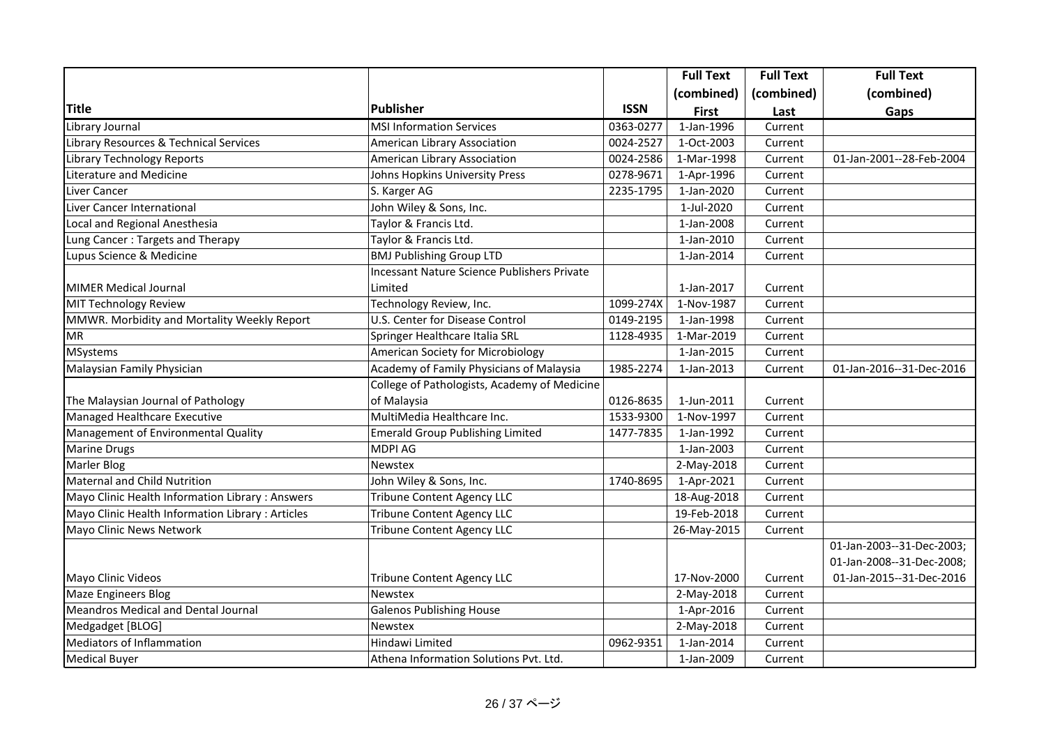|                                                  |                                                    |             | <b>Full Text</b> | <b>Full Text</b> | <b>Full Text</b>          |
|--------------------------------------------------|----------------------------------------------------|-------------|------------------|------------------|---------------------------|
|                                                  |                                                    |             | (combined)       | (combined)       | (combined)                |
| <b>Title</b>                                     | <b>Publisher</b>                                   | <b>ISSN</b> | <b>First</b>     | Last             | Gaps                      |
| Library Journal                                  | MSI Information Services                           | 0363-0277   | 1-Jan-1996       | Current          |                           |
| Library Resources & Technical Services           | American Library Association                       | 0024-2527   | 1-Oct-2003       | Current          |                           |
| <b>Library Technology Reports</b>                | American Library Association                       | 0024-2586   | 1-Mar-1998       | Current          | 01-Jan-2001--28-Feb-2004  |
| Literature and Medicine                          | Johns Hopkins University Press                     | 0278-9671   | 1-Apr-1996       | Current          |                           |
| Liver Cancer                                     | S. Karger AG                                       | 2235-1795   | 1-Jan-2020       | Current          |                           |
| Liver Cancer International                       | John Wiley & Sons, Inc.                            |             | 1-Jul-2020       | Current          |                           |
| Local and Regional Anesthesia                    | Taylor & Francis Ltd.                              |             | 1-Jan-2008       | Current          |                           |
| Lung Cancer: Targets and Therapy                 | Taylor & Francis Ltd.                              |             | 1-Jan-2010       | Current          |                           |
| Lupus Science & Medicine                         | <b>BMJ Publishing Group LTD</b>                    |             | 1-Jan-2014       | Current          |                           |
|                                                  | <b>Incessant Nature Science Publishers Private</b> |             |                  |                  |                           |
| <b>MIMER Medical Journal</b>                     | Limited                                            |             | 1-Jan-2017       | Current          |                           |
| MIT Technology Review                            | Technology Review, Inc.                            | 1099-274X   | 1-Nov-1987       | Current          |                           |
| MMWR. Morbidity and Mortality Weekly Report      | U.S. Center for Disease Control                    | 0149-2195   | 1-Jan-1998       | Current          |                           |
| <b>MR</b>                                        | Springer Healthcare Italia SRL                     | 1128-4935   | 1-Mar-2019       | Current          |                           |
| <b>MSystems</b>                                  | American Society for Microbiology                  |             | 1-Jan-2015       | Current          |                           |
| Malaysian Family Physician                       | Academy of Family Physicians of Malaysia           | 1985-2274   | 1-Jan-2013       | Current          | 01-Jan-2016--31-Dec-2016  |
|                                                  | College of Pathologists, Academy of Medicine       |             |                  |                  |                           |
| The Malaysian Journal of Pathology               | of Malaysia                                        | 0126-8635   | 1-Jun-2011       | Current          |                           |
| Managed Healthcare Executive                     | MultiMedia Healthcare Inc.                         | 1533-9300   | 1-Nov-1997       | Current          |                           |
| Management of Environmental Quality              | <b>Emerald Group Publishing Limited</b>            | 1477-7835   | 1-Jan-1992       | Current          |                           |
| <b>Marine Drugs</b>                              | <b>MDPI AG</b>                                     |             | 1-Jan-2003       | Current          |                           |
| Marler Blog                                      | Newstex                                            |             | 2-May-2018       | Current          |                           |
| Maternal and Child Nutrition                     | John Wiley & Sons, Inc.                            | 1740-8695   | 1-Apr-2021       | Current          |                           |
| Mayo Clinic Health Information Library : Answers | <b>Tribune Content Agency LLC</b>                  |             | 18-Aug-2018      | Current          |                           |
| Mayo Clinic Health Information Library: Articles | <b>Tribune Content Agency LLC</b>                  |             | 19-Feb-2018      | Current          |                           |
| Mayo Clinic News Network                         | <b>Tribune Content Agency LLC</b>                  |             | 26-May-2015      | Current          |                           |
|                                                  |                                                    |             |                  |                  | 01-Jan-2003--31-Dec-2003; |
|                                                  |                                                    |             |                  |                  | 01-Jan-2008--31-Dec-2008; |
| Mayo Clinic Videos                               | <b>Tribune Content Agency LLC</b>                  |             | 17-Nov-2000      | Current          | 01-Jan-2015--31-Dec-2016  |
| <b>Maze Engineers Blog</b>                       | <b>Newstex</b>                                     |             | 2-May-2018       | Current          |                           |
| <b>Meandros Medical and Dental Journal</b>       | <b>Galenos Publishing House</b>                    |             | 1-Apr-2016       | Current          |                           |
| Medgadget [BLOG]                                 | Newstex                                            |             | 2-May-2018       | Current          |                           |
| <b>Mediators of Inflammation</b>                 | Hindawi Limited                                    | 0962-9351   | 1-Jan-2014       | Current          |                           |
| <b>Medical Buyer</b>                             | Athena Information Solutions Pvt. Ltd.             |             | 1-Jan-2009       | Current          |                           |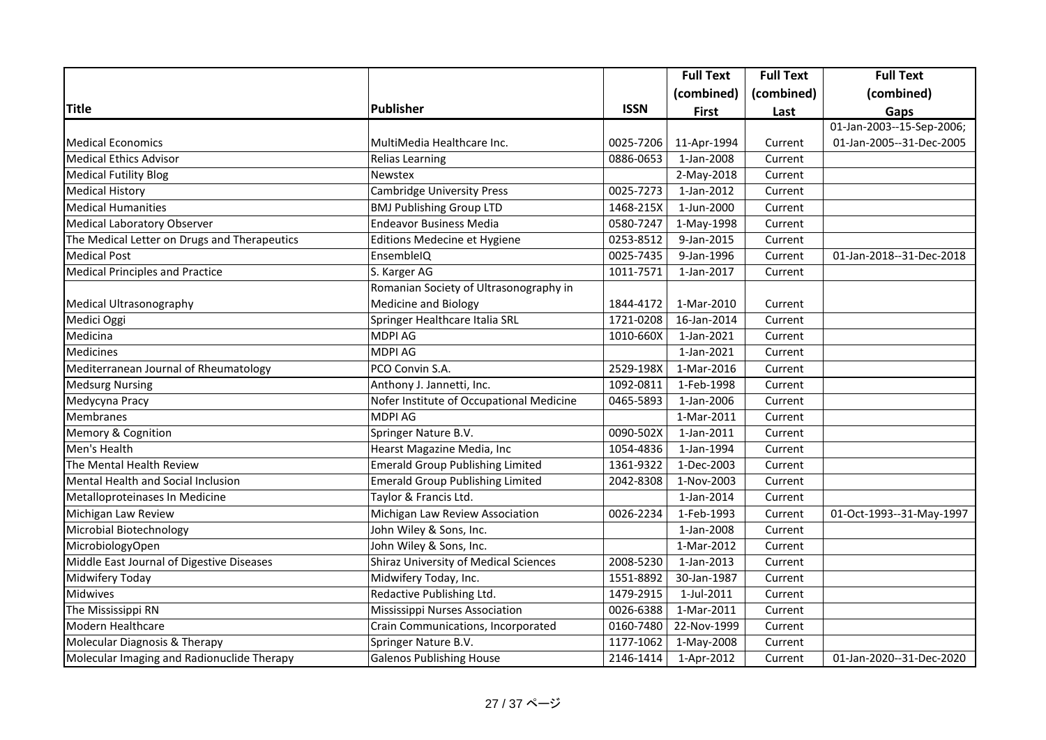|                                              |                                              |             | <b>Full Text</b> | <b>Full Text</b> | <b>Full Text</b>          |
|----------------------------------------------|----------------------------------------------|-------------|------------------|------------------|---------------------------|
|                                              |                                              |             | (combined)       | (combined)       | (combined)                |
| <b>Title</b>                                 | <b>Publisher</b>                             | <b>ISSN</b> | <b>First</b>     | Last             | Gaps                      |
|                                              |                                              |             |                  |                  | 01-Jan-2003--15-Sep-2006; |
| <b>Medical Economics</b>                     | MultiMedia Healthcare Inc.                   | 0025-7206   | 11-Apr-1994      | Current          | 01-Jan-2005--31-Dec-2005  |
| <b>Medical Ethics Advisor</b>                | <b>Relias Learning</b>                       | 0886-0653   | 1-Jan-2008       | Current          |                           |
| <b>Medical Futility Blog</b>                 | Newstex                                      |             | 2-May-2018       | Current          |                           |
| <b>Medical History</b>                       | <b>Cambridge University Press</b>            | 0025-7273   | 1-Jan-2012       | Current          |                           |
| <b>Medical Humanities</b>                    | <b>BMJ Publishing Group LTD</b>              | 1468-215X   | 1-Jun-2000       | Current          |                           |
| <b>Medical Laboratory Observer</b>           | <b>Endeavor Business Media</b>               | 0580-7247   | 1-May-1998       | Current          |                           |
| The Medical Letter on Drugs and Therapeutics | Editions Medecine et Hygiene                 | 0253-8512   | 9-Jan-2015       | Current          |                           |
| <b>Medical Post</b>                          | EnsembleIQ                                   | 0025-7435   | 9-Jan-1996       | Current          | 01-Jan-2018--31-Dec-2018  |
| <b>Medical Principles and Practice</b>       | S. Karger AG                                 | 1011-7571   | 1-Jan-2017       | Current          |                           |
|                                              | Romanian Society of Ultrasonography in       |             |                  |                  |                           |
| Medical Ultrasonography                      | <b>Medicine and Biology</b>                  | 1844-4172   | 1-Mar-2010       | Current          |                           |
| Medici Oggi                                  | Springer Healthcare Italia SRL               | 1721-0208   | 16-Jan-2014      | Current          |                           |
| Medicina                                     | <b>MDPI AG</b>                               | 1010-660X   | 1-Jan-2021       | Current          |                           |
| Medicines                                    | <b>MDPI AG</b>                               |             | 1-Jan-2021       | Current          |                           |
| Mediterranean Journal of Rheumatology        | PCO Convin S.A.                              | 2529-198X   | 1-Mar-2016       | Current          |                           |
| <b>Medsurg Nursing</b>                       | Anthony J. Jannetti, Inc.                    | 1092-0811   | 1-Feb-1998       | Current          |                           |
| Medycyna Pracy                               | Nofer Institute of Occupational Medicine     | 0465-5893   | 1-Jan-2006       | Current          |                           |
| Membranes                                    | <b>MDPI AG</b>                               |             | 1-Mar-2011       | Current          |                           |
| Memory & Cognition                           | Springer Nature B.V.                         | 0090-502X   | 1-Jan-2011       | Current          |                           |
| Men's Health                                 | Hearst Magazine Media, Inc                   | 1054-4836   | 1-Jan-1994       | Current          |                           |
| The Mental Health Review                     | <b>Emerald Group Publishing Limited</b>      | 1361-9322   | 1-Dec-2003       | Current          |                           |
| Mental Health and Social Inclusion           | <b>Emerald Group Publishing Limited</b>      | 2042-8308   | 1-Nov-2003       | Current          |                           |
| Metalloproteinases In Medicine               | Taylor & Francis Ltd.                        |             | 1-Jan-2014       | Current          |                           |
| Michigan Law Review                          | Michigan Law Review Association              | 0026-2234   | 1-Feb-1993       | Current          | 01-Oct-1993--31-May-1997  |
| Microbial Biotechnology                      | John Wiley & Sons, Inc.                      |             | 1-Jan-2008       | Current          |                           |
| MicrobiologyOpen                             | John Wiley & Sons, Inc.                      |             | 1-Mar-2012       | Current          |                           |
| Middle East Journal of Digestive Diseases    | <b>Shiraz University of Medical Sciences</b> | 2008-5230   | 1-Jan-2013       | Current          |                           |
| Midwifery Today                              | Midwifery Today, Inc.                        | 1551-8892   | 30-Jan-1987      | Current          |                           |
| Midwives                                     | Redactive Publishing Ltd.                    | 1479-2915   | 1-Jul-2011       | Current          |                           |
| The Mississippi RN                           | Mississippi Nurses Association               | 0026-6388   | 1-Mar-2011       | Current          |                           |
| Modern Healthcare                            | Crain Communications, Incorporated           | 0160-7480   | 22-Nov-1999      | Current          |                           |
| Molecular Diagnosis & Therapy                | Springer Nature B.V.                         | 1177-1062   | 1-May-2008       | Current          |                           |
| Molecular Imaging and Radionuclide Therapy   | <b>Galenos Publishing House</b>              | 2146-1414   | 1-Apr-2012       | Current          | 01-Jan-2020--31-Dec-2020  |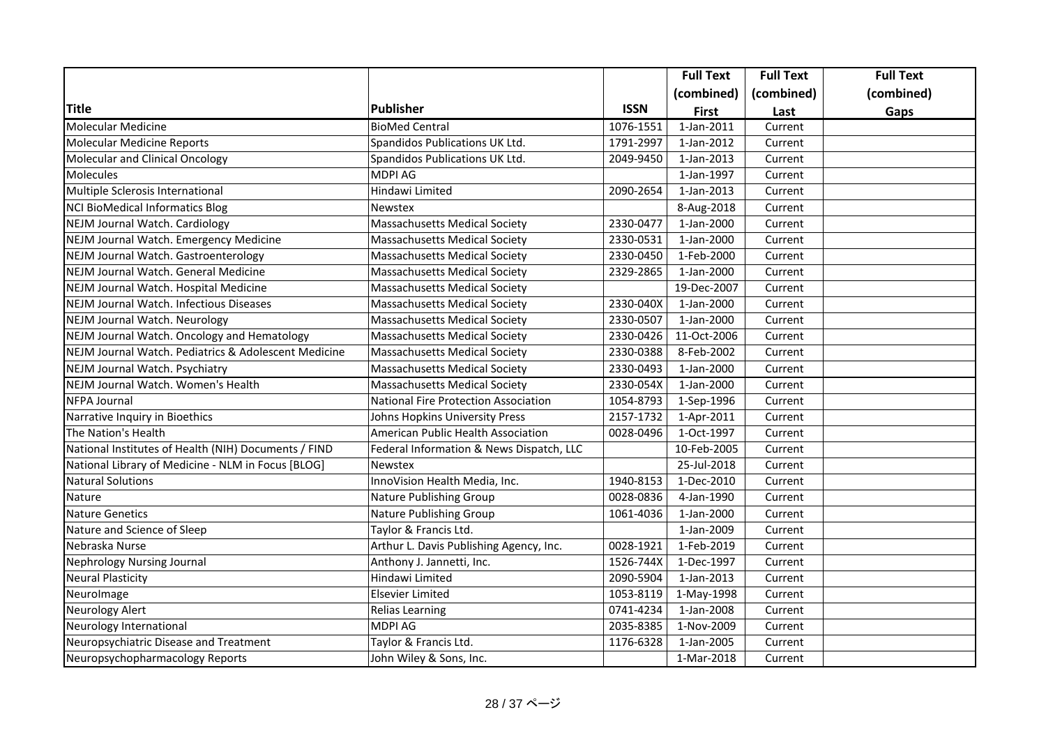|                                                      |                                             |             | <b>Full Text</b> | <b>Full Text</b> | <b>Full Text</b> |
|------------------------------------------------------|---------------------------------------------|-------------|------------------|------------------|------------------|
|                                                      |                                             |             | (combined)       | (combined)       | (combined)       |
| Title                                                | Publisher                                   | <b>ISSN</b> | <b>First</b>     | Last             | Gaps             |
| Molecular Medicine                                   | <b>BioMed Central</b>                       | 1076-1551   | 1-Jan-2011       | Current          |                  |
| <b>Molecular Medicine Reports</b>                    | Spandidos Publications UK Ltd.              | 1791-2997   | 1-Jan-2012       | Current          |                  |
| Molecular and Clinical Oncology                      | Spandidos Publications UK Ltd.              | 2049-9450   | 1-Jan-2013       | Current          |                  |
| <b>Molecules</b>                                     | <b>MDPI AG</b>                              |             | 1-Jan-1997       | Current          |                  |
| Multiple Sclerosis International                     | Hindawi Limited                             | 2090-2654   | 1-Jan-2013       | Current          |                  |
| <b>NCI BioMedical Informatics Blog</b>               | <b>Newstex</b>                              |             | 8-Aug-2018       | Current          |                  |
| <b>NEJM Journal Watch. Cardiology</b>                | <b>Massachusetts Medical Society</b>        | 2330-0477   | 1-Jan-2000       | Current          |                  |
| NEJM Journal Watch. Emergency Medicine               | <b>Massachusetts Medical Society</b>        | 2330-0531   | 1-Jan-2000       | Current          |                  |
| NEJM Journal Watch. Gastroenterology                 | Massachusetts Medical Society               | 2330-0450   | 1-Feb-2000       | Current          |                  |
| NEJM Journal Watch. General Medicine                 | <b>Massachusetts Medical Society</b>        | 2329-2865   | 1-Jan-2000       | Current          |                  |
| NEJM Journal Watch. Hospital Medicine                | Massachusetts Medical Society               |             | 19-Dec-2007      | Current          |                  |
| NEJM Journal Watch. Infectious Diseases              | <b>Massachusetts Medical Society</b>        | 2330-040X   | 1-Jan-2000       | Current          |                  |
| <b>NEJM Journal Watch. Neurology</b>                 | Massachusetts Medical Society               | 2330-0507   | 1-Jan-2000       | Current          |                  |
| NEJM Journal Watch. Oncology and Hematology          | <b>Massachusetts Medical Society</b>        | 2330-0426   | 11-Oct-2006      | Current          |                  |
| NEJM Journal Watch. Pediatrics & Adolescent Medicine | <b>Massachusetts Medical Society</b>        | 2330-0388   | 8-Feb-2002       | Current          |                  |
| NEJM Journal Watch. Psychiatry                       | <b>Massachusetts Medical Society</b>        | 2330-0493   | 1-Jan-2000       | Current          |                  |
| NEJM Journal Watch. Women's Health                   | <b>Massachusetts Medical Society</b>        | 2330-054X   | 1-Jan-2000       | Current          |                  |
| <b>NFPA Journal</b>                                  | <b>National Fire Protection Association</b> | 1054-8793   | 1-Sep-1996       | Current          |                  |
| Narrative Inquiry in Bioethics                       | Johns Hopkins University Press              | 2157-1732   | 1-Apr-2011       | Current          |                  |
| The Nation's Health                                  | American Public Health Association          | 0028-0496   | 1-Oct-1997       | Current          |                  |
| National Institutes of Health (NIH) Documents / FIND | Federal Information & News Dispatch, LLC    |             | 10-Feb-2005      | Current          |                  |
| National Library of Medicine - NLM in Focus [BLOG]   | <b>Newstex</b>                              |             | 25-Jul-2018      | Current          |                  |
| <b>Natural Solutions</b>                             | InnoVision Health Media, Inc.               | 1940-8153   | 1-Dec-2010       | Current          |                  |
| Nature                                               | Nature Publishing Group                     | 0028-0836   | 4-Jan-1990       | Current          |                  |
| <b>Nature Genetics</b>                               | Nature Publishing Group                     | 1061-4036   | 1-Jan-2000       | Current          |                  |
| Nature and Science of Sleep                          | Taylor & Francis Ltd.                       |             | 1-Jan-2009       | Current          |                  |
| Nebraska Nurse                                       | Arthur L. Davis Publishing Agency, Inc.     | 0028-1921   | 1-Feb-2019       | Current          |                  |
| <b>Nephrology Nursing Journal</b>                    | Anthony J. Jannetti, Inc.                   | 1526-744X   | 1-Dec-1997       | Current          |                  |
| <b>Neural Plasticity</b>                             | Hindawi Limited                             | 2090-5904   | 1-Jan-2013       | Current          |                  |
| NeuroImage                                           | <b>Elsevier Limited</b>                     | 1053-8119   | 1-May-1998       | Current          |                  |
| <b>Neurology Alert</b>                               | <b>Relias Learning</b>                      | 0741-4234   | 1-Jan-2008       | Current          |                  |
| Neurology International                              | <b>MDPI AG</b>                              | 2035-8385   | 1-Nov-2009       | Current          |                  |
| Neuropsychiatric Disease and Treatment               | Taylor & Francis Ltd.                       | 1176-6328   | 1-Jan-2005       | Current          |                  |
| Neuropsychopharmacology Reports                      | John Wiley & Sons, Inc.                     |             | 1-Mar-2018       | Current          |                  |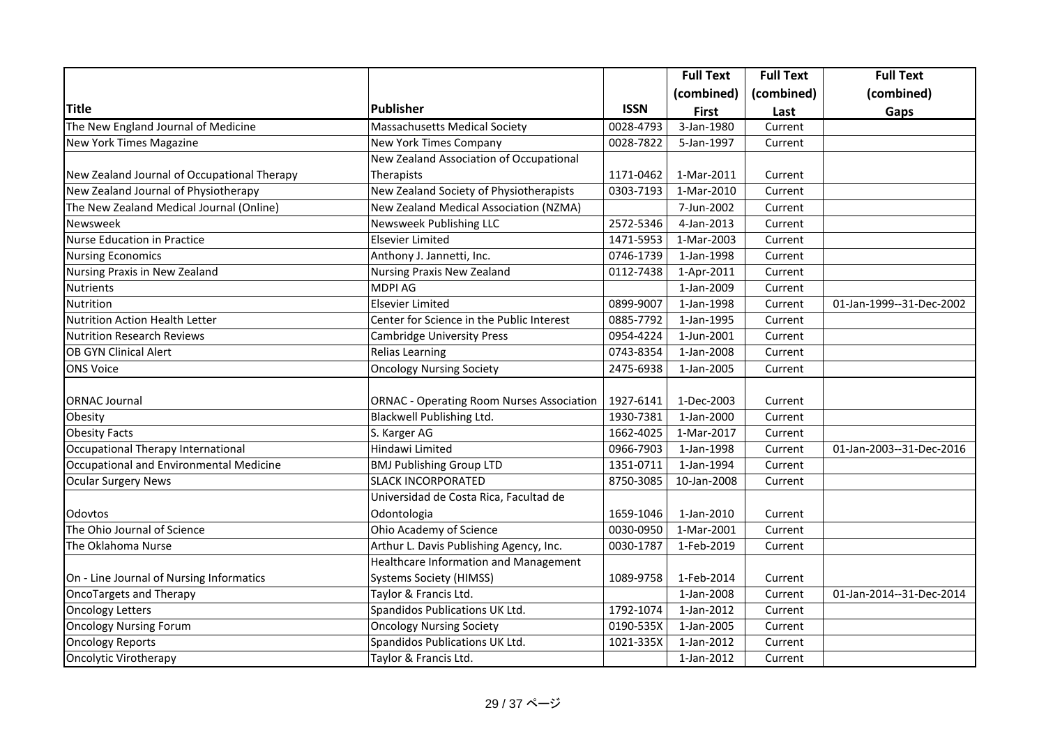|                                             |                                                  |             | <b>Full Text</b>         | <b>Full Text</b> | <b>Full Text</b>         |
|---------------------------------------------|--------------------------------------------------|-------------|--------------------------|------------------|--------------------------|
|                                             |                                                  |             | (combined)               | (combined)       | (combined)               |
| <b>Title</b>                                | <b>Publisher</b>                                 | <b>ISSN</b> | <b>First</b>             | Last             | Gaps                     |
| The New England Journal of Medicine         | <b>Massachusetts Medical Society</b>             | 0028-4793   | $\overline{3}$ -Jan-1980 | Current          |                          |
| New York Times Magazine                     | New York Times Company                           | 0028-7822   | 5-Jan-1997               | Current          |                          |
|                                             | New Zealand Association of Occupational          |             |                          |                  |                          |
| New Zealand Journal of Occupational Therapy | Therapists                                       | 1171-0462   | 1-Mar-2011               | Current          |                          |
| New Zealand Journal of Physiotherapy        | New Zealand Society of Physiotherapists          | 0303-7193   | 1-Mar-2010               | Current          |                          |
| The New Zealand Medical Journal (Online)    | New Zealand Medical Association (NZMA)           |             | 7-Jun-2002               | Current          |                          |
| Newsweek                                    | Newsweek Publishing LLC                          | 2572-5346   | 4-Jan-2013               | Current          |                          |
| <b>Nurse Education in Practice</b>          | <b>Elsevier Limited</b>                          | 1471-5953   | 1-Mar-2003               | Current          |                          |
| <b>Nursing Economics</b>                    | Anthony J. Jannetti, Inc.                        | 0746-1739   | 1-Jan-1998               | Current          |                          |
| Nursing Praxis in New Zealand               | <b>Nursing Praxis New Zealand</b>                | 0112-7438   | 1-Apr-2011               | Current          |                          |
| <b>Nutrients</b>                            | <b>MDPI AG</b>                                   |             | 1-Jan-2009               | Current          |                          |
| Nutrition                                   | <b>Elsevier Limited</b>                          | 0899-9007   | 1-Jan-1998               | Current          | 01-Jan-1999--31-Dec-2002 |
| <b>Nutrition Action Health Letter</b>       | Center for Science in the Public Interest        | 0885-7792   | 1-Jan-1995               | Current          |                          |
| <b>Nutrition Research Reviews</b>           | <b>Cambridge University Press</b>                | 0954-4224   | 1-Jun-2001               | Current          |                          |
| <b>OB GYN Clinical Alert</b>                | <b>Relias Learning</b>                           | 0743-8354   | 1-Jan-2008               | Current          |                          |
| <b>ONS Voice</b>                            | <b>Oncology Nursing Society</b>                  | 2475-6938   | 1-Jan-2005               | Current          |                          |
|                                             |                                                  |             |                          |                  |                          |
| <b>ORNAC Journal</b>                        | <b>ORNAC - Operating Room Nurses Association</b> | 1927-6141   | 1-Dec-2003               | Current          |                          |
| Obesity                                     | Blackwell Publishing Ltd.                        | 1930-7381   | 1-Jan-2000               | Current          |                          |
| <b>Obesity Facts</b>                        | S. Karger AG                                     | 1662-4025   | 1-Mar-2017               | Current          |                          |
| Occupational Therapy International          | Hindawi Limited                                  | 0966-7903   | 1-Jan-1998               | Current          | 01-Jan-2003--31-Dec-2016 |
| Occupational and Environmental Medicine     | <b>BMJ Publishing Group LTD</b>                  | 1351-0711   | 1-Jan-1994               | Current          |                          |
| <b>Ocular Surgery News</b>                  | <b>SLACK INCORPORATED</b>                        | 8750-3085   | 10-Jan-2008              | Current          |                          |
|                                             | Universidad de Costa Rica, Facultad de           |             |                          |                  |                          |
| Odovtos                                     | Odontologia                                      | 1659-1046   | 1-Jan-2010               | Current          |                          |
| The Ohio Journal of Science                 | Ohio Academy of Science                          | 0030-0950   | 1-Mar-2001               | Current          |                          |
| The Oklahoma Nurse                          | Arthur L. Davis Publishing Agency, Inc.          | 0030-1787   | 1-Feb-2019               | Current          |                          |
|                                             | Healthcare Information and Management            |             |                          |                  |                          |
| On - Line Journal of Nursing Informatics    | <b>Systems Society (HIMSS)</b>                   | 1089-9758   | 1-Feb-2014               | Current          |                          |
| OncoTargets and Therapy                     | Taylor & Francis Ltd.                            |             | 1-Jan-2008               | Current          | 01-Jan-2014--31-Dec-2014 |
| <b>Oncology Letters</b>                     | Spandidos Publications UK Ltd.                   | 1792-1074   | 1-Jan-2012               | Current          |                          |
| <b>Oncology Nursing Forum</b>               | <b>Oncology Nursing Society</b>                  | 0190-535X   | 1-Jan-2005               | Current          |                          |
| <b>Oncology Reports</b>                     | Spandidos Publications UK Ltd.                   | 1021-335X   | 1-Jan-2012               | Current          |                          |
| Oncolytic Virotherapy                       | Taylor & Francis Ltd.                            |             | 1-Jan-2012               | Current          |                          |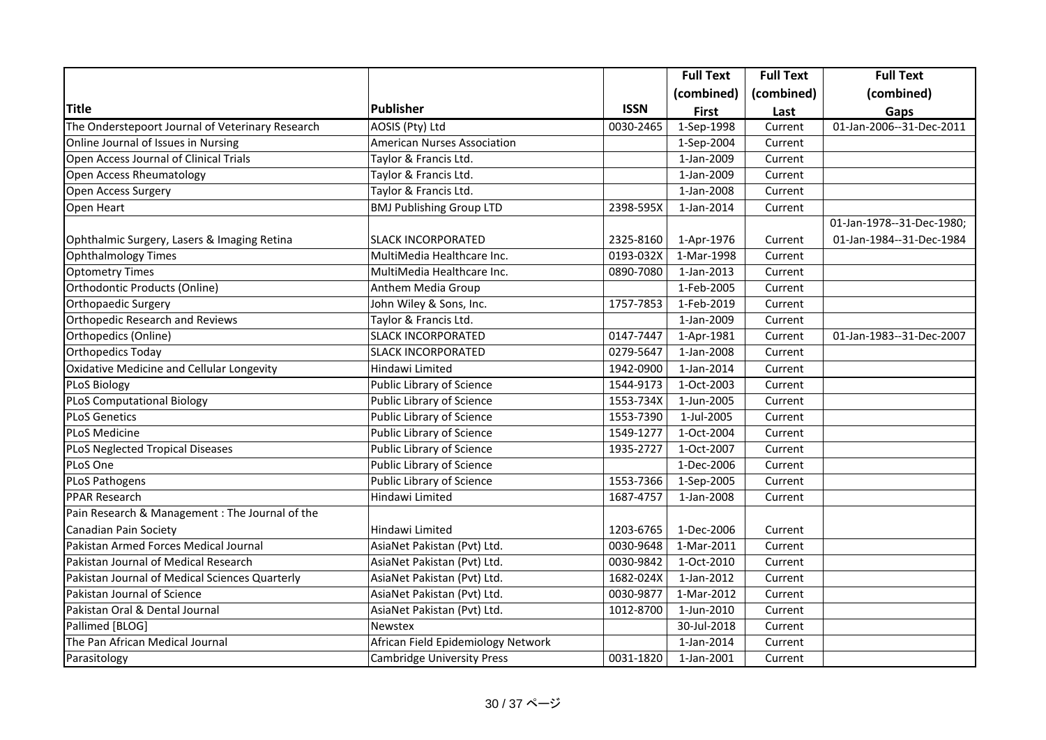|                                                  |                                    |             | <b>Full Text</b> | <b>Full Text</b> | <b>Full Text</b>          |
|--------------------------------------------------|------------------------------------|-------------|------------------|------------------|---------------------------|
|                                                  |                                    |             | (combined)       | (combined)       | (combined)                |
| <b>Title</b>                                     | <b>Publisher</b>                   | <b>ISSN</b> | <b>First</b>     | Last             | Gaps                      |
| The Onderstepoort Journal of Veterinary Research | AOSIS (Pty) Ltd                    | 0030-2465   | 1-Sep-1998       | Current          | 01-Jan-2006--31-Dec-2011  |
| Online Journal of Issues in Nursing              | American Nurses Association        |             | 1-Sep-2004       | Current          |                           |
| Open Access Journal of Clinical Trials           | Taylor & Francis Ltd.              |             | 1-Jan-2009       | Current          |                           |
| Open Access Rheumatology                         | Taylor & Francis Ltd.              |             | 1-Jan-2009       | Current          |                           |
| Open Access Surgery                              | Taylor & Francis Ltd.              |             | 1-Jan-2008       | Current          |                           |
| Open Heart                                       | <b>BMJ Publishing Group LTD</b>    | 2398-595X   | 1-Jan-2014       | Current          |                           |
|                                                  |                                    |             |                  |                  | 01-Jan-1978--31-Dec-1980; |
| Ophthalmic Surgery, Lasers & Imaging Retina      | <b>SLACK INCORPORATED</b>          | 2325-8160   | 1-Apr-1976       | Current          | 01-Jan-1984--31-Dec-1984  |
| Ophthalmology Times                              | MultiMedia Healthcare Inc.         | 0193-032X   | 1-Mar-1998       | Current          |                           |
| <b>Optometry Times</b>                           | MultiMedia Healthcare Inc.         | 0890-7080   | 1-Jan-2013       | Current          |                           |
| Orthodontic Products (Online)                    | Anthem Media Group                 |             | 1-Feb-2005       | Current          |                           |
| Orthopaedic Surgery                              | John Wiley & Sons, Inc.            | 1757-7853   | 1-Feb-2019       | Current          |                           |
| <b>Orthopedic Research and Reviews</b>           | Taylor & Francis Ltd.              |             | 1-Jan-2009       | Current          |                           |
| Orthopedics (Online)                             | <b>SLACK INCORPORATED</b>          | 0147-7447   | 1-Apr-1981       | Current          | 01-Jan-1983--31-Dec-2007  |
| <b>Orthopedics Today</b>                         | <b>SLACK INCORPORATED</b>          | 0279-5647   | 1-Jan-2008       | Current          |                           |
| <b>Oxidative Medicine and Cellular Longevity</b> | Hindawi Limited                    | 1942-0900   | 1-Jan-2014       | Current          |                           |
| <b>PLoS Biology</b>                              | Public Library of Science          | 1544-9173   | 1-Oct-2003       | Current          |                           |
| <b>PLoS Computational Biology</b>                | Public Library of Science          | 1553-734X   | 1-Jun-2005       | Current          |                           |
| <b>PLoS Genetics</b>                             | Public Library of Science          | 1553-7390   | 1-Jul-2005       | Current          |                           |
| <b>PLoS Medicine</b>                             | Public Library of Science          | 1549-1277   | 1-Oct-2004       | Current          |                           |
| <b>PLoS Neglected Tropical Diseases</b>          | Public Library of Science          | 1935-2727   | 1-Oct-2007       | Current          |                           |
| PLoS One                                         | Public Library of Science          |             | 1-Dec-2006       | Current          |                           |
| <b>PLoS Pathogens</b>                            | Public Library of Science          | 1553-7366   | 1-Sep-2005       | Current          |                           |
| <b>PPAR Research</b>                             | Hindawi Limited                    | 1687-4757   | 1-Jan-2008       | Current          |                           |
| Pain Research & Management : The Journal of the  |                                    |             |                  |                  |                           |
| Canadian Pain Society                            | Hindawi Limited                    | 1203-6765   | 1-Dec-2006       | Current          |                           |
| Pakistan Armed Forces Medical Journal            | AsiaNet Pakistan (Pvt) Ltd.        | 0030-9648   | 1-Mar-2011       | Current          |                           |
| Pakistan Journal of Medical Research             | AsiaNet Pakistan (Pvt) Ltd.        | 0030-9842   | 1-Oct-2010       | Current          |                           |
| Pakistan Journal of Medical Sciences Quarterly   | AsiaNet Pakistan (Pvt) Ltd.        | 1682-024X   | 1-Jan-2012       | Current          |                           |
| Pakistan Journal of Science                      | AsiaNet Pakistan (Pvt) Ltd.        | 0030-9877   | 1-Mar-2012       | Current          |                           |
| Pakistan Oral & Dental Journal                   | AsiaNet Pakistan (Pvt) Ltd.        | 1012-8700   | 1-Jun-2010       | Current          |                           |
| Pallimed [BLOG]                                  | Newstex                            |             | 30-Jul-2018      | Current          |                           |
| The Pan African Medical Journal                  | African Field Epidemiology Network |             | 1-Jan-2014       | Current          |                           |
| Parasitology                                     | <b>Cambridge University Press</b>  | 0031-1820   | 1-Jan-2001       | Current          |                           |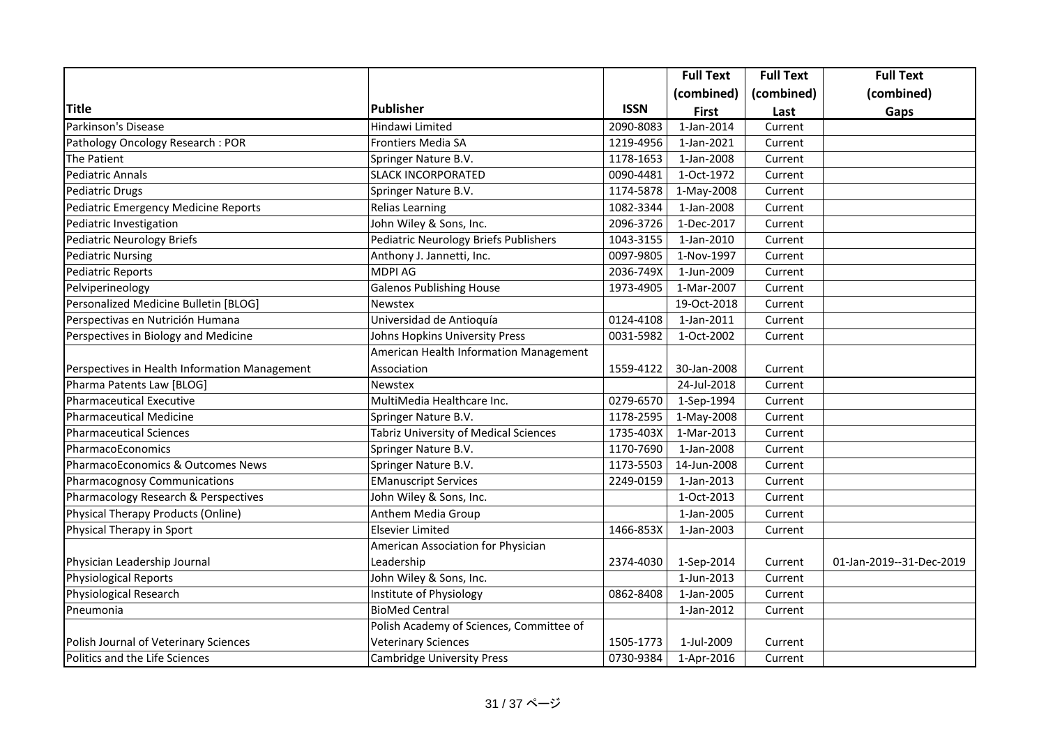|                                               |                                              |             | <b>Full Text</b> | <b>Full Text</b> | <b>Full Text</b>         |
|-----------------------------------------------|----------------------------------------------|-------------|------------------|------------------|--------------------------|
|                                               |                                              |             | (combined)       | (combined)       | (combined)               |
| <b>Title</b>                                  | <b>Publisher</b>                             | <b>ISSN</b> | <b>First</b>     | Last             | Gaps                     |
| Parkinson's Disease                           | Hindawi Limited                              | 2090-8083   | $1$ -Jan-2014    | Current          |                          |
| Pathology Oncology Research: POR              | Frontiers Media SA                           | 1219-4956   | 1-Jan-2021       | Current          |                          |
| <b>The Patient</b>                            | Springer Nature B.V.                         | 1178-1653   | 1-Jan-2008       | Current          |                          |
| <b>Pediatric Annals</b>                       | <b>SLACK INCORPORATED</b>                    | 0090-4481   | 1-Oct-1972       | Current          |                          |
| <b>Pediatric Drugs</b>                        | Springer Nature B.V.                         | 1174-5878   | 1-May-2008       | Current          |                          |
| Pediatric Emergency Medicine Reports          | <b>Relias Learning</b>                       | 1082-3344   | 1-Jan-2008       | Current          |                          |
| Pediatric Investigation                       | John Wiley & Sons, Inc.                      | 2096-3726   | 1-Dec-2017       | Current          |                          |
| <b>Pediatric Neurology Briefs</b>             | <b>Pediatric Neurology Briefs Publishers</b> | 1043-3155   | 1-Jan-2010       | Current          |                          |
| <b>Pediatric Nursing</b>                      | Anthony J. Jannetti, Inc.                    | 0097-9805   | 1-Nov-1997       | Current          |                          |
| <b>Pediatric Reports</b>                      | <b>MDPI AG</b>                               | 2036-749X   | 1-Jun-2009       | Current          |                          |
| Pelviperineology                              | <b>Galenos Publishing House</b>              | 1973-4905   | 1-Mar-2007       | Current          |                          |
| Personalized Medicine Bulletin [BLOG]         | Newstex                                      |             | 19-Oct-2018      | Current          |                          |
| Perspectivas en Nutrición Humana              | Universidad de Antioquía                     | 0124-4108   | 1-Jan-2011       | Current          |                          |
| Perspectives in Biology and Medicine          | Johns Hopkins University Press               | 0031-5982   | 1-Oct-2002       | Current          |                          |
|                                               | American Health Information Management       |             |                  |                  |                          |
| Perspectives in Health Information Management | Association                                  | 1559-4122   | 30-Jan-2008      | Current          |                          |
| Pharma Patents Law [BLOG]                     | Newstex                                      |             | 24-Jul-2018      | Current          |                          |
| <b>Pharmaceutical Executive</b>               | MultiMedia Healthcare Inc.                   | 0279-6570   | 1-Sep-1994       | Current          |                          |
| <b>Pharmaceutical Medicine</b>                | Springer Nature B.V.                         | 1178-2595   | 1-May-2008       | Current          |                          |
| <b>Pharmaceutical Sciences</b>                | <b>Tabriz University of Medical Sciences</b> | 1735-403X   | 1-Mar-2013       | Current          |                          |
| PharmacoEconomics                             | Springer Nature B.V.                         | 1170-7690   | 1-Jan-2008       | Current          |                          |
| PharmacoEconomics & Outcomes News             | Springer Nature B.V.                         | 1173-5503   | 14-Jun-2008      | Current          |                          |
| Pharmacognosy Communications                  | <b>EManuscript Services</b>                  | 2249-0159   | 1-Jan-2013       | Current          |                          |
| Pharmacology Research & Perspectives          | John Wiley & Sons, Inc.                      |             | 1-Oct-2013       | Current          |                          |
| Physical Therapy Products (Online)            | Anthem Media Group                           |             | 1-Jan-2005       | Current          |                          |
| Physical Therapy in Sport                     | <b>Elsevier Limited</b>                      | 1466-853X   | 1-Jan-2003       | Current          |                          |
|                                               | American Association for Physician           |             |                  |                  |                          |
| Physician Leadership Journal                  | Leadership                                   | 2374-4030   | 1-Sep-2014       | Current          | 01-Jan-2019--31-Dec-2019 |
| <b>Physiological Reports</b>                  | John Wiley & Sons, Inc.                      |             | 1-Jun-2013       | Current          |                          |
| Physiological Research                        | Institute of Physiology                      | 0862-8408   | 1-Jan-2005       | Current          |                          |
| Pneumonia                                     | <b>BioMed Central</b>                        |             | 1-Jan-2012       | Current          |                          |
|                                               | Polish Academy of Sciences, Committee of     |             |                  |                  |                          |
| Polish Journal of Veterinary Sciences         | <b>Veterinary Sciences</b>                   | 1505-1773   | 1-Jul-2009       | Current          |                          |
| Politics and the Life Sciences                | <b>Cambridge University Press</b>            | 0730-9384   | 1-Apr-2016       | Current          |                          |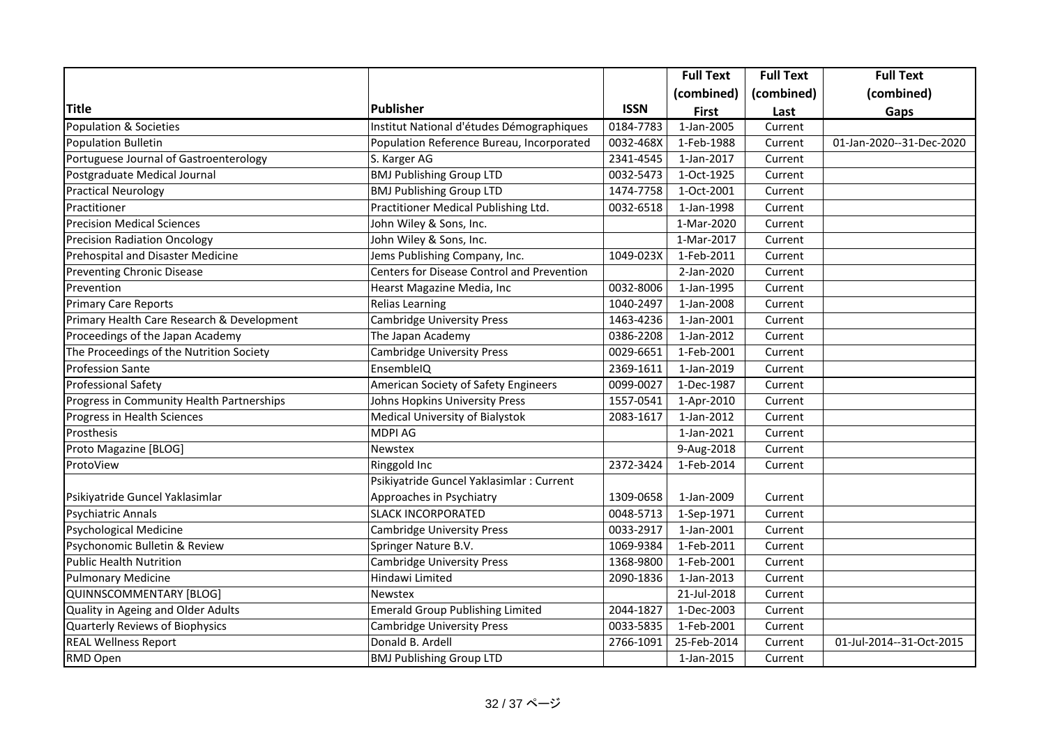|                                            |                                            |             | <b>Full Text</b> | <b>Full Text</b> | <b>Full Text</b>         |
|--------------------------------------------|--------------------------------------------|-------------|------------------|------------------|--------------------------|
|                                            |                                            |             | (combined)       | (combined)       | (combined)               |
| <b>Title</b>                               | <b>Publisher</b>                           | <b>ISSN</b> | <b>First</b>     | Last             | Gaps                     |
| <b>Population &amp; Societies</b>          | Institut National d'études Démographiques  | 0184-7783   | 1-Jan-2005       | Current          |                          |
| Population Bulletin                        | Population Reference Bureau, Incorporated  | 0032-468X   | 1-Feb-1988       | Current          | 01-Jan-2020--31-Dec-2020 |
| Portuguese Journal of Gastroenterology     | S. Karger AG                               | 2341-4545   | 1-Jan-2017       | Current          |                          |
| Postgraduate Medical Journal               | <b>BMJ Publishing Group LTD</b>            | 0032-5473   | 1-Oct-1925       | Current          |                          |
| <b>Practical Neurology</b>                 | <b>BMJ Publishing Group LTD</b>            | 1474-7758   | 1-Oct-2001       | Current          |                          |
| Practitioner                               | Practitioner Medical Publishing Ltd.       | 0032-6518   | 1-Jan-1998       | Current          |                          |
| <b>Precision Medical Sciences</b>          | John Wiley & Sons, Inc.                    |             | 1-Mar-2020       | Current          |                          |
| <b>Precision Radiation Oncology</b>        | John Wiley & Sons, Inc.                    |             | 1-Mar-2017       | Current          |                          |
| Prehospital and Disaster Medicine          | Jems Publishing Company, Inc.              | 1049-023X   | 1-Feb-2011       | Current          |                          |
| <b>Preventing Chronic Disease</b>          | Centers for Disease Control and Prevention |             | 2-Jan-2020       | Current          |                          |
| Prevention                                 | Hearst Magazine Media, Inc                 | 0032-8006   | 1-Jan-1995       | Current          |                          |
| <b>Primary Care Reports</b>                | <b>Relias Learning</b>                     | 1040-2497   | 1-Jan-2008       | Current          |                          |
| Primary Health Care Research & Development | <b>Cambridge University Press</b>          | 1463-4236   | 1-Jan-2001       | Current          |                          |
| Proceedings of the Japan Academy           | The Japan Academy                          | 0386-2208   | 1-Jan-2012       | Current          |                          |
| The Proceedings of the Nutrition Society   | <b>Cambridge University Press</b>          | 0029-6651   | 1-Feb-2001       | Current          |                          |
| <b>Profession Sante</b>                    | EnsembleIQ                                 | 2369-1611   | 1-Jan-2019       | Current          |                          |
| <b>Professional Safety</b>                 | American Society of Safety Engineers       | 0099-0027   | 1-Dec-1987       | Current          |                          |
| Progress in Community Health Partnerships  | Johns Hopkins University Press             | 1557-0541   | 1-Apr-2010       | Current          |                          |
| Progress in Health Sciences                | Medical University of Bialystok            | 2083-1617   | 1-Jan-2012       | Current          |                          |
| Prosthesis                                 | <b>MDPI AG</b>                             |             | 1-Jan-2021       | Current          |                          |
| Proto Magazine [BLOG]                      | Newstex                                    |             | 9-Aug-2018       | Current          |                          |
| ProtoView                                  | Ringgold Inc                               | 2372-3424   | 1-Feb-2014       | Current          |                          |
|                                            | Psikiyatride Guncel Yaklasimlar : Current  |             |                  |                  |                          |
| Psikiyatride Guncel Yaklasimlar            | Approaches in Psychiatry                   | 1309-0658   | 1-Jan-2009       | Current          |                          |
| <b>Psychiatric Annals</b>                  | <b>SLACK INCORPORATED</b>                  | 0048-5713   | 1-Sep-1971       | Current          |                          |
| <b>Psychological Medicine</b>              | <b>Cambridge University Press</b>          | 0033-2917   | 1-Jan-2001       | Current          |                          |
| Psychonomic Bulletin & Review              | Springer Nature B.V.                       | 1069-9384   | 1-Feb-2011       | Current          |                          |
| <b>Public Health Nutrition</b>             | Cambridge University Press                 | 1368-9800   | 1-Feb-2001       | Current          |                          |
| <b>Pulmonary Medicine</b>                  | Hindawi Limited                            | 2090-1836   | 1-Jan-2013       | Current          |                          |
| QUINNSCOMMENTARY [BLOG]                    | <b>Newstex</b>                             |             | $21$ -Jul-2018   | Current          |                          |
| Quality in Ageing and Older Adults         | <b>Emerald Group Publishing Limited</b>    | 2044-1827   | 1-Dec-2003       | Current          |                          |
| Quarterly Reviews of Biophysics            | <b>Cambridge University Press</b>          | 0033-5835   | 1-Feb-2001       | Current          |                          |
| <b>REAL Wellness Report</b>                | Donald B. Ardell                           | 2766-1091   | 25-Feb-2014      | Current          | 01-Jul-2014--31-Oct-2015 |
| RMD Open                                   | <b>BMJ Publishing Group LTD</b>            |             | 1-Jan-2015       | Current          |                          |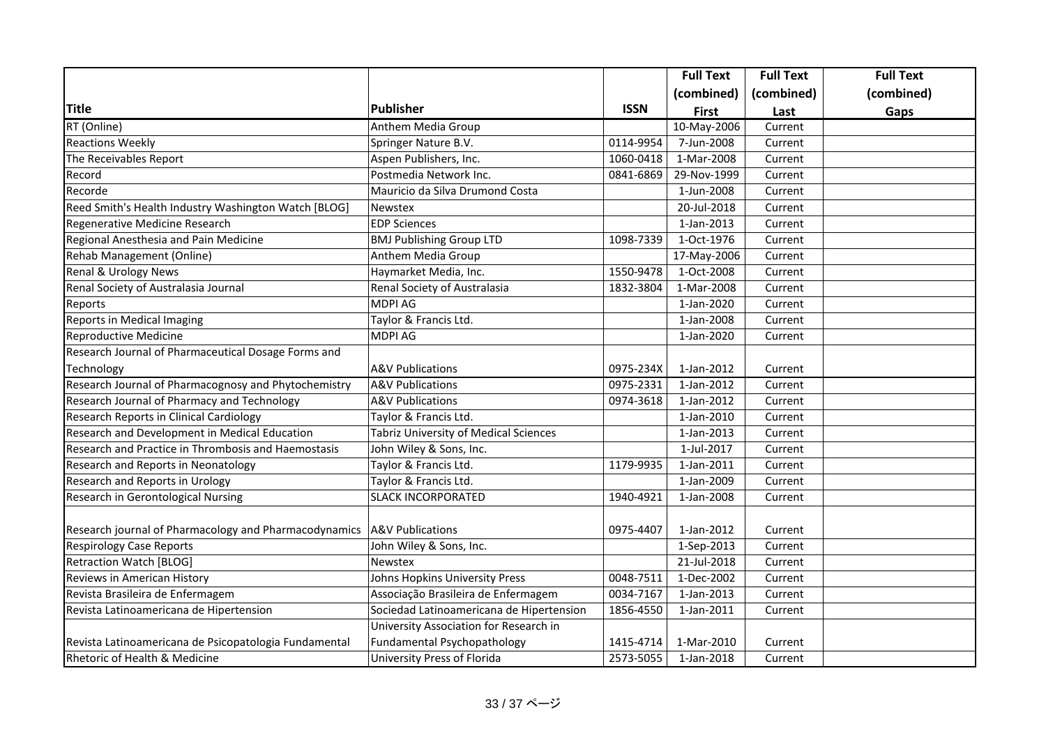|                                                       |                                              |             | <b>Full Text</b> | <b>Full Text</b> | <b>Full Text</b> |
|-------------------------------------------------------|----------------------------------------------|-------------|------------------|------------------|------------------|
|                                                       |                                              |             | (combined)       | (combined)       | (combined)       |
| <b>Title</b>                                          | Publisher                                    | <b>ISSN</b> | <b>First</b>     | Last             | Gaps             |
| RT (Online)                                           | Anthem Media Group                           |             | 10-May-2006      | Current          |                  |
| <b>Reactions Weekly</b>                               | Springer Nature B.V.                         | 0114-9954   | 7-Jun-2008       | Current          |                  |
| The Receivables Report                                | Aspen Publishers, Inc.                       | 1060-0418   | 1-Mar-2008       | Current          |                  |
| Record                                                | Postmedia Network Inc.                       | 0841-6869   | 29-Nov-1999      | Current          |                  |
| Recorde                                               | Mauricio da Silva Drumond Costa              |             | 1-Jun-2008       | Current          |                  |
| Reed Smith's Health Industry Washington Watch [BLOG]  | Newstex                                      |             | 20-Jul-2018      | Current          |                  |
| Regenerative Medicine Research                        | <b>EDP Sciences</b>                          |             | 1-Jan-2013       | Current          |                  |
| Regional Anesthesia and Pain Medicine                 | <b>BMJ Publishing Group LTD</b>              | 1098-7339   | 1-Oct-1976       | Current          |                  |
| Rehab Management (Online)                             | Anthem Media Group                           |             | 17-May-2006      | Current          |                  |
| Renal & Urology News                                  | Haymarket Media, Inc.                        | 1550-9478   | 1-Oct-2008       | Current          |                  |
| Renal Society of Australasia Journal                  | Renal Society of Australasia                 | 1832-3804   | 1-Mar-2008       | Current          |                  |
| Reports                                               | MDPI AG                                      |             | 1-Jan-2020       | Current          |                  |
| Reports in Medical Imaging                            | Taylor & Francis Ltd.                        |             | 1-Jan-2008       | Current          |                  |
| Reproductive Medicine                                 | <b>MDPI AG</b>                               |             | 1-Jan-2020       | Current          |                  |
| Research Journal of Pharmaceutical Dosage Forms and   |                                              |             |                  |                  |                  |
| Technology                                            | <b>A&amp;V Publications</b>                  | 0975-234X   | 1-Jan-2012       | Current          |                  |
| Research Journal of Pharmacognosy and Phytochemistry  | <b>A&amp;V</b> Publications                  | 0975-2331   | 1-Jan-2012       | Current          |                  |
| Research Journal of Pharmacy and Technology           | A&V Publications                             | 0974-3618   | 1-Jan-2012       | Current          |                  |
| Research Reports in Clinical Cardiology               | Taylor & Francis Ltd.                        |             | 1-Jan-2010       | Current          |                  |
| Research and Development in Medical Education         | <b>Tabriz University of Medical Sciences</b> |             | 1-Jan-2013       | Current          |                  |
| Research and Practice in Thrombosis and Haemostasis   | John Wiley & Sons, Inc.                      |             | 1-Jul-2017       | Current          |                  |
| Research and Reports in Neonatology                   | Taylor & Francis Ltd.                        | 1179-9935   | 1-Jan-2011       | Current          |                  |
| Research and Reports in Urology                       | Taylor & Francis Ltd.                        |             | 1-Jan-2009       | Current          |                  |
| Research in Gerontological Nursing                    | <b>SLACK INCORPORATED</b>                    | 1940-4921   | 1-Jan-2008       | Current          |                  |
|                                                       |                                              |             |                  |                  |                  |
| Research journal of Pharmacology and Pharmacodynamics | <b>A&amp;V Publications</b>                  | 0975-4407   | 1-Jan-2012       | Current          |                  |
| <b>Respirology Case Reports</b>                       | John Wiley & Sons, Inc.                      |             | 1-Sep-2013       | Current          |                  |
| Retraction Watch [BLOG]                               | Newstex                                      |             | 21-Jul-2018      | Current          |                  |
| Reviews in American History                           | Johns Hopkins University Press               | 0048-7511   | 1-Dec-2002       | Current          |                  |
| Revista Brasileira de Enfermagem                      | Associação Brasileira de Enfermagem          | 0034-7167   | 1-Jan-2013       | Current          |                  |
| Revista Latinoamericana de Hipertension               | Sociedad Latinoamericana de Hipertension     | 1856-4550   | 1-Jan-2011       | Current          |                  |
|                                                       | University Association for Research in       |             |                  |                  |                  |
| Revista Latinoamericana de Psicopatologia Fundamental | Fundamental Psychopathology                  | 1415-4714   | 1-Mar-2010       | Current          |                  |
| Rhetoric of Health & Medicine                         | University Press of Florida                  | 2573-5055   | 1-Jan-2018       | Current          |                  |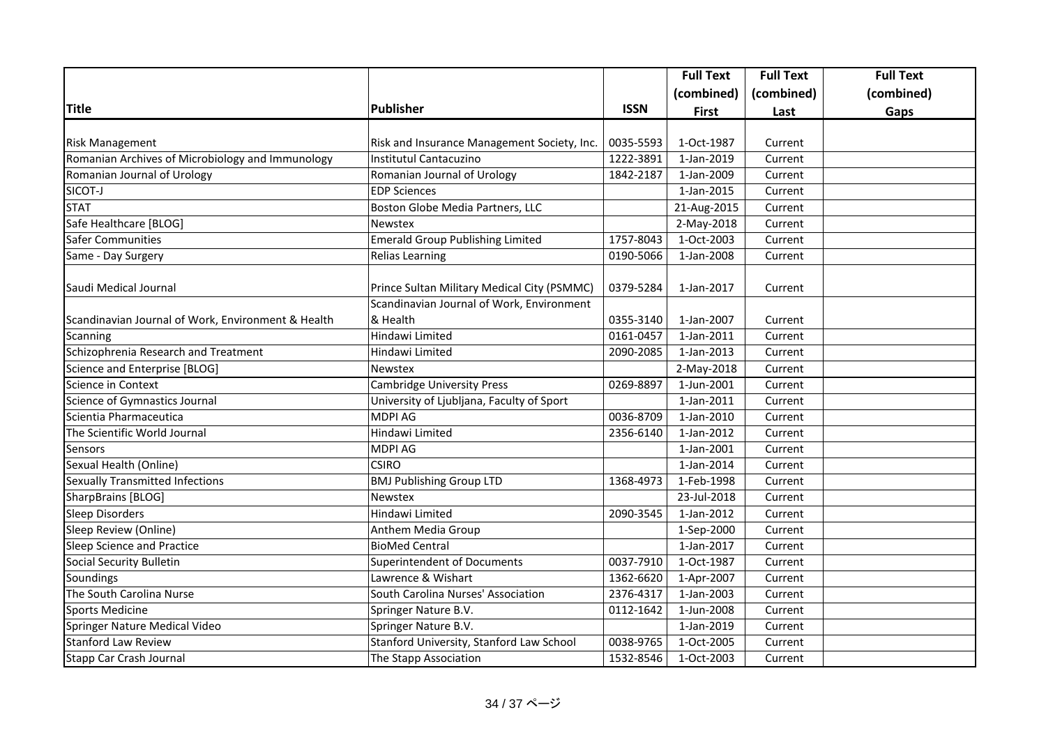|                                                    |                                             |             | <b>Full Text</b> | <b>Full Text</b> | <b>Full Text</b> |
|----------------------------------------------------|---------------------------------------------|-------------|------------------|------------------|------------------|
|                                                    |                                             |             | (combined)       | (combined)       | (combined)       |
| <b>Title</b>                                       | Publisher                                   | <b>ISSN</b> | <b>First</b>     | Last             | Gaps             |
|                                                    |                                             |             |                  |                  |                  |
| <b>Risk Management</b>                             | Risk and Insurance Management Society, Inc. | 0035-5593   | 1-Oct-1987       | Current          |                  |
| Romanian Archives of Microbiology and Immunology   | Institutul Cantacuzino                      | 1222-3891   | 1-Jan-2019       | Current          |                  |
| Romanian Journal of Urology                        | Romanian Journal of Urology                 | 1842-2187   | 1-Jan-2009       | Current          |                  |
| SICOT-J                                            | <b>EDP Sciences</b>                         |             | 1-Jan-2015       | Current          |                  |
| <b>STAT</b>                                        | Boston Globe Media Partners, LLC            |             | 21-Aug-2015      | Current          |                  |
| Safe Healthcare [BLOG]                             | Newstex                                     |             | 2-May-2018       | Current          |                  |
| <b>Safer Communities</b>                           | <b>Emerald Group Publishing Limited</b>     | 1757-8043   | 1-Oct-2003       | Current          |                  |
| Same - Day Surgery                                 | <b>Relias Learning</b>                      | 0190-5066   | 1-Jan-2008       | Current          |                  |
| Saudi Medical Journal                              | Prince Sultan Military Medical City (PSMMC) | 0379-5284   | 1-Jan-2017       | Current          |                  |
|                                                    | Scandinavian Journal of Work, Environment   |             |                  |                  |                  |
| Scandinavian Journal of Work, Environment & Health | & Health                                    | 0355-3140   | 1-Jan-2007       | Current          |                  |
| Scanning                                           | Hindawi Limited                             | 0161-0457   | 1-Jan-2011       | Current          |                  |
| Schizophrenia Research and Treatment               | Hindawi Limited                             | 2090-2085   | 1-Jan-2013       | Current          |                  |
| Science and Enterprise [BLOG]                      | <b>Newstex</b>                              |             | 2-May-2018       | Current          |                  |
| Science in Context                                 | <b>Cambridge University Press</b>           | 0269-8897   | 1-Jun-2001       | Current          |                  |
| Science of Gymnastics Journal                      | University of Ljubljana, Faculty of Sport   |             | 1-Jan-2011       | Current          |                  |
| Scientia Pharmaceutica                             | <b>MDPI AG</b>                              | 0036-8709   | 1-Jan-2010       | Current          |                  |
| The Scientific World Journal                       | Hindawi Limited                             | 2356-6140   | 1-Jan-2012       | Current          |                  |
| Sensors                                            | MDPI AG                                     |             | 1-Jan-2001       | Current          |                  |
| Sexual Health (Online)                             | <b>CSIRO</b>                                |             | 1-Jan-2014       | Current          |                  |
| Sexually Transmitted Infections                    | <b>BMJ Publishing Group LTD</b>             | 1368-4973   | 1-Feb-1998       | Current          |                  |
| SharpBrains [BLOG]                                 | Newstex                                     |             | 23-Jul-2018      | Current          |                  |
| <b>Sleep Disorders</b>                             | Hindawi Limited                             | 2090-3545   | 1-Jan-2012       | Current          |                  |
| Sleep Review (Online)                              | Anthem Media Group                          |             | 1-Sep-2000       | Current          |                  |
| Sleep Science and Practice                         | <b>BioMed Central</b>                       |             | 1-Jan-2017       | Current          |                  |
| Social Security Bulletin                           | <b>Superintendent of Documents</b>          | 0037-7910   | 1-Oct-1987       | Current          |                  |
| Soundings                                          | Lawrence & Wishart                          | 1362-6620   | 1-Apr-2007       | Current          |                  |
| The South Carolina Nurse                           | South Carolina Nurses' Association          | 2376-4317   | 1-Jan-2003       | Current          |                  |
| <b>Sports Medicine</b>                             | Springer Nature B.V.                        | 0112-1642   | 1-Jun-2008       | Current          |                  |
| Springer Nature Medical Video                      | Springer Nature B.V.                        |             | 1-Jan-2019       | Current          |                  |
| <b>Stanford Law Review</b>                         | Stanford University, Stanford Law School    | 0038-9765   | 1-Oct-2005       | Current          |                  |
| Stapp Car Crash Journal                            | The Stapp Association                       | 1532-8546   | 1-Oct-2003       | Current          |                  |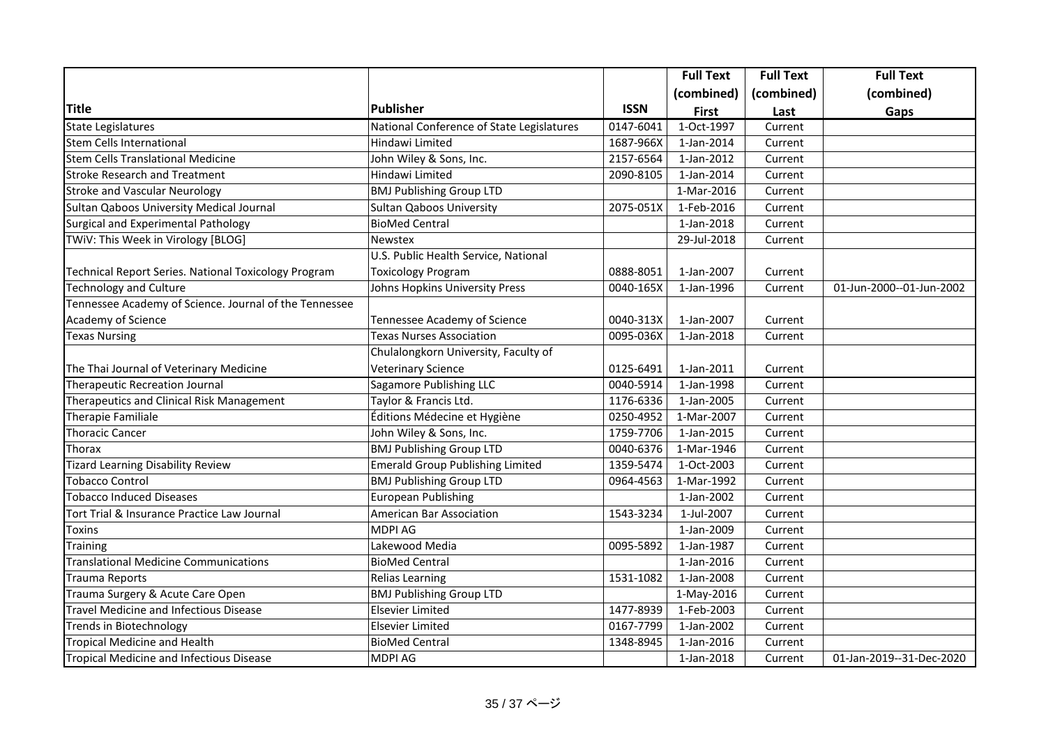|                                                        |                                           |             | <b>Full Text</b>         | <b>Full Text</b> | <b>Full Text</b>         |
|--------------------------------------------------------|-------------------------------------------|-------------|--------------------------|------------------|--------------------------|
|                                                        |                                           |             | (combined)               | (combined)       | (combined)               |
| <b>Title</b>                                           | <b>Publisher</b>                          | <b>ISSN</b> | <b>First</b>             | Last             | Gaps                     |
| <b>State Legislatures</b>                              | National Conference of State Legislatures | 0147-6041   | 1-Oct-1997               | Current          |                          |
| <b>Stem Cells International</b>                        | Hindawi Limited                           | 1687-966X   | 1-Jan-2014               | Current          |                          |
| <b>Stem Cells Translational Medicine</b>               | John Wiley & Sons, Inc.                   | 2157-6564   | 1-Jan-2012               | Current          |                          |
| <b>Stroke Research and Treatment</b>                   | Hindawi Limited                           | 2090-8105   | 1-Jan-2014               | Current          |                          |
| <b>Stroke and Vascular Neurology</b>                   | <b>BMJ Publishing Group LTD</b>           |             | 1-Mar-2016               | Current          |                          |
| Sultan Qaboos University Medical Journal               | Sultan Qaboos University                  | 2075-051X   | 1-Feb-2016               | Current          |                          |
| Surgical and Experimental Pathology                    | <b>BioMed Central</b>                     |             | 1-Jan-2018               | Current          |                          |
| TWiV: This Week in Virology [BLOG]                     | <b>Newstex</b>                            |             | 29-Jul-2018              | Current          |                          |
|                                                        | U.S. Public Health Service, National      |             |                          |                  |                          |
| Technical Report Series. National Toxicology Program   | <b>Toxicology Program</b>                 | 0888-8051   | 1-Jan-2007               | Current          |                          |
| <b>Technology and Culture</b>                          | Johns Hopkins University Press            | 0040-165X   | 1-Jan-1996               | Current          | 01-Jun-2000--01-Jun-2002 |
| Tennessee Academy of Science. Journal of the Tennessee |                                           |             |                          |                  |                          |
| Academy of Science                                     | Tennessee Academy of Science              | 0040-313X   | 1-Jan-2007               | Current          |                          |
| <b>Texas Nursing</b>                                   | <b>Texas Nurses Association</b>           | 0095-036X   | 1-Jan-2018               | Current          |                          |
|                                                        | Chulalongkorn University, Faculty of      |             |                          |                  |                          |
| The Thai Journal of Veterinary Medicine                | Veterinary Science                        | 0125-6491   | 1-Jan-2011               | Current          |                          |
| Therapeutic Recreation Journal                         | Sagamore Publishing LLC                   | 0040-5914   | 1-Jan-1998               | Current          |                          |
| Therapeutics and Clinical Risk Management              | Taylor & Francis Ltd.                     | 1176-6336   | 1-Jan-2005               | Current          |                          |
| Therapie Familiale                                     | Éditions Médecine et Hygiène              | 0250-4952   | 1-Mar-2007               | Current          |                          |
| <b>Thoracic Cancer</b>                                 | John Wiley & Sons, Inc.                   | 1759-7706   | 1-Jan-2015               | Current          |                          |
| Thorax                                                 | <b>BMJ Publishing Group LTD</b>           | 0040-6376   | 1-Mar-1946               | Current          |                          |
| <b>Tizard Learning Disability Review</b>               | Emerald Group Publishing Limited          | 1359-5474   | 1-Oct-2003               | Current          |                          |
| <b>Tobacco Control</b>                                 | <b>BMJ Publishing Group LTD</b>           | 0964-4563   | 1-Mar-1992               | Current          |                          |
| <b>Tobacco Induced Diseases</b>                        | European Publishing                       |             | 1-Jan-2002               | Current          |                          |
| Tort Trial & Insurance Practice Law Journal            | American Bar Association                  | 1543-3234   | $\overline{1}$ -Jul-2007 | Current          |                          |
| Toxins                                                 | <b>MDPI AG</b>                            |             | 1-Jan-2009               | Current          |                          |
| Training                                               | Lakewood Media                            | 0095-5892   | 1-Jan-1987               | Current          |                          |
| <b>Translational Medicine Communications</b>           | <b>BioMed Central</b>                     |             | 1-Jan-2016               | Current          |                          |
| <b>Trauma Reports</b>                                  | <b>Relias Learning</b>                    | 1531-1082   | 1-Jan-2008               | Current          |                          |
| Trauma Surgery & Acute Care Open                       | <b>BMJ Publishing Group LTD</b>           |             | 1-May-2016               | Current          |                          |
| <b>Travel Medicine and Infectious Disease</b>          | Elsevier Limited                          | 1477-8939   | 1-Feb-2003               | Current          |                          |
| Trends in Biotechnology                                | <b>Elsevier Limited</b>                   | 0167-7799   | 1-Jan-2002               | Current          |                          |
| <b>Tropical Medicine and Health</b>                    | <b>BioMed Central</b>                     | 1348-8945   | 1-Jan-2016               | Current          |                          |
| Tropical Medicine and Infectious Disease               | MDPI AG                                   |             | 1-Jan-2018               | Current          | 01-Jan-2019--31-Dec-2020 |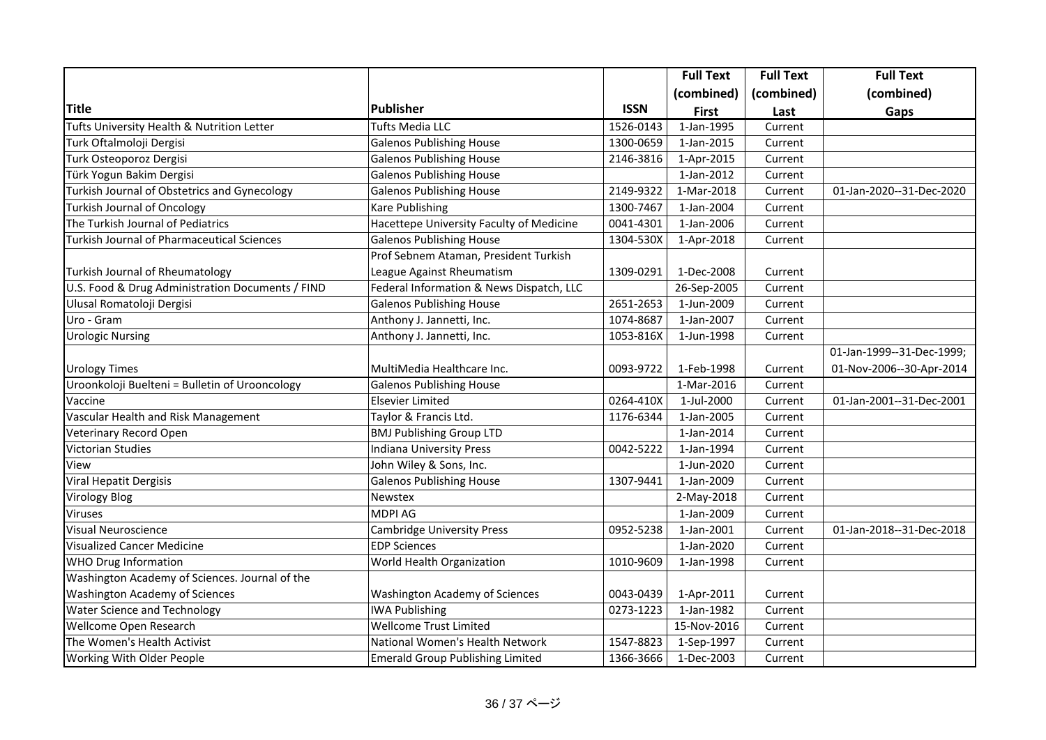|                                                   |                                          |             | <b>Full Text</b>        | <b>Full Text</b> | <b>Full Text</b>          |
|---------------------------------------------------|------------------------------------------|-------------|-------------------------|------------------|---------------------------|
|                                                   |                                          |             | (combined)              | (combined)       | (combined)                |
| Title                                             | Publisher                                | <b>ISSN</b> | <b>First</b>            | Last             | Gaps                      |
| Tufts University Health & Nutrition Letter        | <b>Tufts Media LLC</b>                   | 1526-0143   | $\overline{1-$ Jan-1995 | Current          |                           |
| Turk Oftalmoloji Dergisi                          | <b>Galenos Publishing House</b>          | 1300-0659   | 1-Jan-2015              | Current          |                           |
| Turk Osteoporoz Dergisi                           | <b>Galenos Publishing House</b>          | 2146-3816   | 1-Apr-2015              | Current          |                           |
| Türk Yogun Bakim Dergisi                          | <b>Galenos Publishing House</b>          |             | 1-Jan-2012              | Current          |                           |
| Turkish Journal of Obstetrics and Gynecology      | <b>Galenos Publishing House</b>          | 2149-9322   | 1-Mar-2018              | Current          | 01-Jan-2020--31-Dec-2020  |
| <b>Turkish Journal of Oncology</b>                | <b>Kare Publishing</b>                   | 1300-7467   | 1-Jan-2004              | Current          |                           |
| The Turkish Journal of Pediatrics                 | Hacettepe University Faculty of Medicine | 0041-4301   | 1-Jan-2006              | Current          |                           |
| <b>Turkish Journal of Pharmaceutical Sciences</b> | <b>Galenos Publishing House</b>          | 1304-530X   | 1-Apr-2018              | Current          |                           |
|                                                   | Prof Sebnem Ataman, President Turkish    |             |                         |                  |                           |
| Turkish Journal of Rheumatology                   | League Against Rheumatism                | 1309-0291   | 1-Dec-2008              | Current          |                           |
| U.S. Food & Drug Administration Documents / FIND  | Federal Information & News Dispatch, LLC |             | 26-Sep-2005             | Current          |                           |
| Ulusal Romatoloji Dergisi                         | <b>Galenos Publishing House</b>          | 2651-2653   | 1-Jun-2009              | Current          |                           |
| Uro - Gram                                        | Anthony J. Jannetti, Inc.                | 1074-8687   | 1-Jan-2007              | Current          |                           |
| <b>Urologic Nursing</b>                           | Anthony J. Jannetti, Inc.                | 1053-816X   | 1-Jun-1998              | Current          |                           |
|                                                   |                                          |             |                         |                  | 01-Jan-1999--31-Dec-1999; |
| <b>Urology Times</b>                              | MultiMedia Healthcare Inc.               | 0093-9722   | 1-Feb-1998              | Current          | 01-Nov-2006--30-Apr-2014  |
| Uroonkoloji Buelteni = Bulletin of Urooncology    | <b>Galenos Publishing House</b>          |             | 1-Mar-2016              | Current          |                           |
| Vaccine                                           | Elsevier Limited                         | 0264-410X   | 1-Jul-2000              | Current          | 01-Jan-2001--31-Dec-2001  |
| Vascular Health and Risk Management               | Taylor & Francis Ltd.                    | 1176-6344   | 1-Jan-2005              | Current          |                           |
| <b>Veterinary Record Open</b>                     | <b>BMJ Publishing Group LTD</b>          |             | 1-Jan-2014              | Current          |                           |
| <b>Victorian Studies</b>                          | <b>Indiana University Press</b>          | 0042-5222   | 1-Jan-1994              | Current          |                           |
| View                                              | John Wiley & Sons, Inc.                  |             | 1-Jun-2020              | Current          |                           |
| Viral Hepatit Dergisis                            | <b>Galenos Publishing House</b>          | 1307-9441   | 1-Jan-2009              | Current          |                           |
| <b>Virology Blog</b>                              | Newstex                                  |             | 2-May-2018              | Current          |                           |
| Viruses                                           | <b>MDPI AG</b>                           |             | 1-Jan-2009              | Current          |                           |
| <b>Visual Neuroscience</b>                        | <b>Cambridge University Press</b>        | 0952-5238   | 1-Jan-2001              | Current          | 01-Jan-2018--31-Dec-2018  |
| <b>Visualized Cancer Medicine</b>                 | <b>EDP Sciences</b>                      |             | 1-Jan-2020              | Current          |                           |
| WHO Drug Information                              | World Health Organization                | 1010-9609   | 1-Jan-1998              | Current          |                           |
| Washington Academy of Sciences. Journal of the    |                                          |             |                         |                  |                           |
| <b>Washington Academy of Sciences</b>             | Washington Academy of Sciences           | 0043-0439   | 1-Apr-2011              | Current          |                           |
| <b>Water Science and Technology</b>               | <b>IWA Publishing</b>                    | 0273-1223   | 1-Jan-1982              | Current          |                           |
| Wellcome Open Research                            | <b>Wellcome Trust Limited</b>            |             | 15-Nov-2016             | Current          |                           |
| The Women's Health Activist                       | National Women's Health Network          | 1547-8823   | 1-Sep-1997              | Current          |                           |
| Working With Older People                         | <b>Emerald Group Publishing Limited</b>  | 1366-3666   | 1-Dec-2003              | Current          |                           |